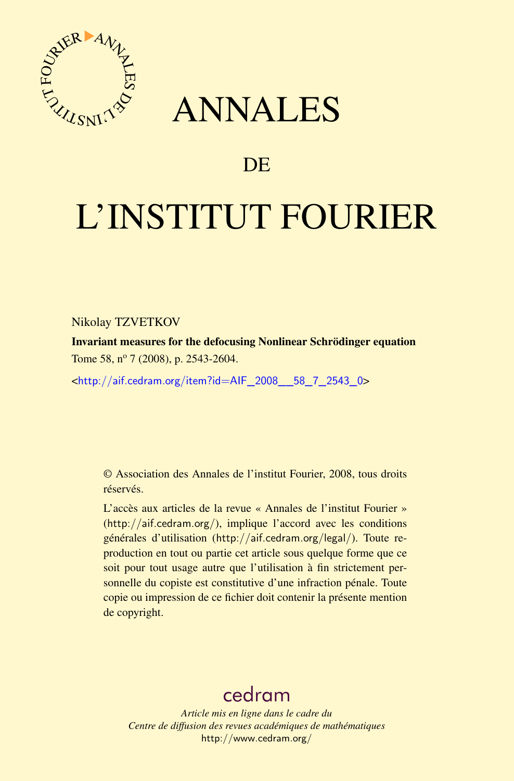

# ANNALES

## **DE**

# L'INSTITUT FOURIER

Nikolay TZVETKOV

Invariant measures for the defocusing Nonlinear Schrödinger equation Tome 58, nº 7 (2008), p. 2543-2604.

<[http://aif.cedram.org/item?id=AIF\\_2008\\_\\_58\\_7\\_2543\\_0](http://aif.cedram.org/item?id=AIF_2008__58_7_2543_0)>

© Association des Annales de l'institut Fourier, 2008, tous droits réservés.

L'accès aux articles de la revue « Annales de l'institut Fourier » (<http://aif.cedram.org/>), implique l'accord avec les conditions générales d'utilisation (<http://aif.cedram.org/legal/>). Toute reproduction en tout ou partie cet article sous quelque forme que ce soit pour tout usage autre que l'utilisation à fin strictement personnelle du copiste est constitutive d'une infraction pénale. Toute copie ou impression de ce fichier doit contenir la présente mention de copyright.

## [cedram](http://www.cedram.org/)

*Article mis en ligne dans le cadre du Centre de diffusion des revues académiques de mathématiques* <http://www.cedram.org/>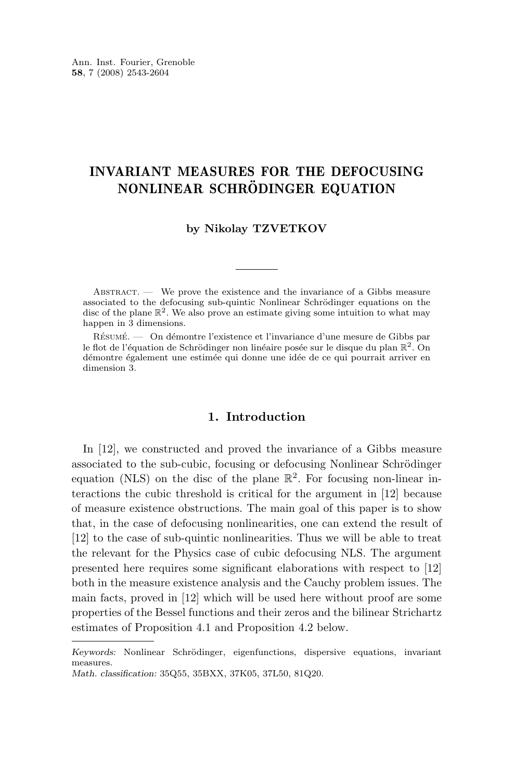## INVARIANT MEASURES FOR THE DEFOCUSING NONLINEAR SCHRÖDINGER EQUATION

## **by Nikolay TZVETKOV**

ABSTRACT. — We prove the existence and the invariance of a Gibbs measure associated to the defocusing sub-quintic Nonlinear Schrödinger equations on the disc of the plane  $\mathbb{R}^2$ . We also prove an estimate giving some intuition to what may happen in 3 dimensions.

Résumé. — On démontre l'existence et l'invariance d'une mesure de Gibbs par le flot de l'équation de Schrödinger non linéaire posée sur le disque du plan  $\mathbb{R}^2$ . On démontre également une estimée qui donne une idée de ce qui pourrait arriver en dimension 3.

## **1. Introduction**

In [\[12\]](#page-62-0), we constructed and proved the invariance of a Gibbs measure associated to the sub-cubic, focusing or defocusing Nonlinear Schrödinger equation (NLS) on the disc of the plane  $\mathbb{R}^2$ . For focusing non-linear interactions the cubic threshold is critical for the argument in [\[12\]](#page-62-0) because of measure existence obstructions. The main goal of this paper is to show that, in the case of defocusing nonlinearities, one can extend the result of [\[12\]](#page-62-0) to the case of sub-quintic nonlinearities. Thus we will be able to treat the relevant for the Physics case of cubic defocusing NLS. The argument presented here requires some significant elaborations with respect to [\[12\]](#page-62-0) both in the measure existence analysis and the Cauchy problem issues. The main facts, proved in [\[12\]](#page-62-0) which will be used here without proof are some properties of the Bessel functions and their zeros and the bilinear Strichartz estimates of Proposition [4.1](#page-23-0) and Proposition [4.2](#page-24-0) below.

*Keywords:* Nonlinear Schrödinger, eigenfunctions, dispersive equations, invariant measures. *Math. classification:* 35Q55, 35BXX, 37K05, 37L50, 81Q20.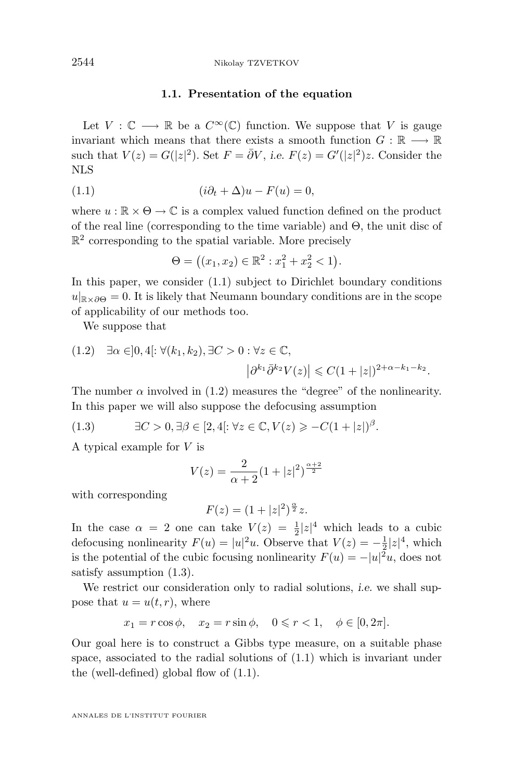#### **1.1. Presentation of the equation**

<span id="page-2-0"></span>Let  $V : \mathbb{C} \longrightarrow \mathbb{R}$  be a  $C^{\infty}(\mathbb{C})$  function. We suppose that V is gauge invariant which means that there exists a smooth function  $G : \mathbb{R} \longrightarrow \mathbb{R}$ such that  $V(z) = G(|z|^2)$ . Set  $F = \overline{\partial}V$ , *i.e.*  $F(z) = G'(|z|^2)z$ . Consider the NLS

(1.1) 
$$
(i\partial_t + \Delta)u - F(u) = 0,
$$

where  $u : \mathbb{R} \times \Theta \to \mathbb{C}$  is a complex valued function defined on the product of the real line (corresponding to the time variable) and Θ, the unit disc of  $\mathbb{R}^2$  corresponding to the spatial variable. More precisely

$$
\Theta = ((x_1, x_2) \in \mathbb{R}^2 : x_1^2 + x_2^2 < 1).
$$

In this paper, we consider (1.1) subject to Dirichlet boundary conditions  $u|_{\mathbb{R}\times\partial\Theta}=0.$  It is likely that Neumann boundary conditions are in the scope of applicability of our methods too.

We suppose that

(1.2) 
$$
\exists \alpha \in ]0, 4[ : \forall (k_1, k_2), \exists C > 0 : \forall z \in \mathbb{C},
$$
  
 $|\partial^{k_1} \bar{\partial}^{k_2} V(z)| \leq C(1+|z|)^{2+\alpha-k_1-k_2}.$ 

The number  $\alpha$  involved in (1.2) measures the "degree" of the nonlinearity. In this paper we will also suppose the defocusing assumption

(1.3) 
$$
\exists C > 0, \exists \beta \in [2, 4]: \forall z \in \mathbb{C}, V(z) \geq -C(1+|z|)^{\beta}.
$$

A typical example for V is

$$
V(z) = \frac{2}{\alpha + 2} (1 + |z|^2)^{\frac{\alpha + 2}{2}}
$$

with corresponding

$$
F(z) = (1 + |z|^2)^{\frac{\alpha}{2}} z.
$$

In the case  $\alpha = 2$  one can take  $V(z) = \frac{1}{2}|z|^4$  which leads to a cubic defocusing nonlinearity  $F(u) = |u|^2 u$ . Observe that  $V(z) = -\frac{1}{2}|z|^4$ , which is the potential of the cubic focusing nonlinearity  $F(u) = -|u|^2 u$ , does not satisfy assumption (1.3).

We restrict our consideration only to radial solutions, *i.e.* we shall suppose that  $u = u(t, r)$ , where

$$
x_1 = r \cos \phi
$$
,  $x_2 = r \sin \phi$ ,  $0 \le r < 1$ ,  $\phi \in [0, 2\pi]$ .

Our goal here is to construct a Gibbs type measure, on a suitable phase space, associated to the radial solutions of (1.1) which is invariant under the (well-defined) global flow of (1.1).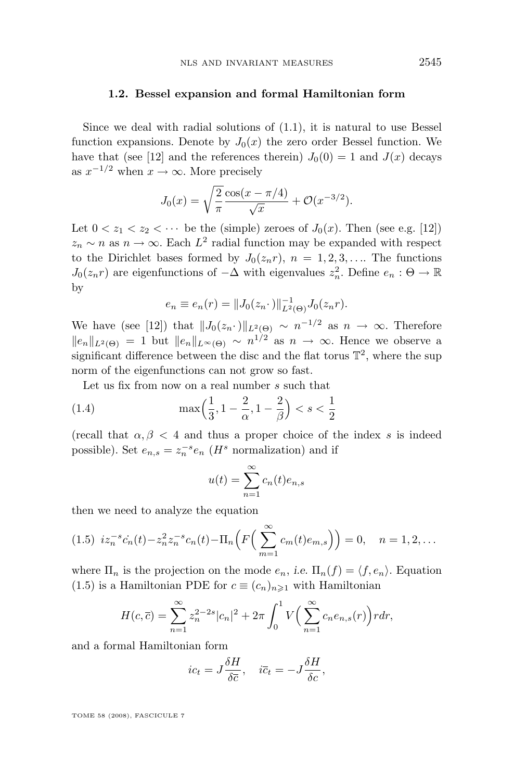#### <span id="page-3-0"></span>**1.2. Bessel expansion and formal Hamiltonian form**

Since we deal with radial solutions of [\(1.1\)](#page-2-0), it is natural to use Bessel function expansions. Denote by  $J_0(x)$  the zero order Bessel function. We have that (see [\[12\]](#page-62-0) and the references therein)  $J_0(0) = 1$  and  $J(x)$  decays as  $x^{-1/2}$  when  $x \to \infty$ . More precisely

$$
J_0(x) = \sqrt{\frac{2}{\pi}} \frac{\cos(x - \pi/4)}{\sqrt{x}} + \mathcal{O}(x^{-3/2}).
$$

Let  $0 < z_1 < z_2 < \cdots$  be the (simple) zeroes of  $J_0(x)$ . Then (see e.g. [\[12\]](#page-62-0))  $z_n \sim n$  as  $n \to \infty$ . Each  $L^2$  radial function may be expanded with respect to the Dirichlet bases formed by  $J_0(z_n r)$ ,  $n = 1, 2, 3, \ldots$  The functions  $J_0(z_n r)$  are eigenfunctions of  $-\Delta$  with eigenvalues  $z_n^2$ . Define  $e_n : \Theta \to \mathbb{R}$ by

$$
e_n \equiv e_n(r) = ||J_0(z_n \cdot)||_{L^2(\Theta)}^{-1} J_0(z_n r).
$$

We have (see [\[12\]](#page-62-0)) that  $||J_0(z_n \cdot)||_{L^2(\Theta)} \sim n^{-1/2}$  as  $n \to \infty$ . Therefore  $||e_n||_{L^2(\Theta)} = 1$  but  $||e_n||_{L^{\infty}(\Theta)} \sim n^{1/2}$  as  $n \to \infty$ . Hence we observe a significant difference between the disc and the flat torus  $\mathbb{T}^2$ , where the sup norm of the eigenfunctions can not grow so fast.

Let us fix from now on a real number s such that

(1.4) 
$$
\max\left(\frac{1}{3}, 1 - \frac{2}{\alpha}, 1 - \frac{2}{\beta}\right) < s < \frac{1}{2}
$$

(recall that  $\alpha, \beta$  < 4 and thus a proper choice of the index s is indeed possible). Set  $e_{n,s} = z_n^{-s} e_n$  (*H*<sup>s</sup> normalization) and if

$$
u(t) = \sum_{n=1}^{\infty} c_n(t)e_{n,s}
$$

then we need to analyze the equation

$$
(1.5) \ i z_n^{-s} \dot{c}_n(t) - z_n^2 z_n^{-s} c_n(t) - \Pi_n \left( F \left( \sum_{m=1}^{\infty} c_m(t) e_{m,s} \right) \right) = 0, \quad n = 1, 2, \dots
$$

where  $\Pi_n$  is the projection on the mode  $e_n$ , *i.e.*  $\Pi_n(f) = \langle f, e_n \rangle$ . Equation (1.5) is a Hamiltonian PDE for  $c \equiv (c_n)_{n \geq 1}$  with Hamiltonian

$$
H(c,\overline{c}) = \sum_{n=1}^{\infty} z_n^{2-2s} |c_n|^2 + 2\pi \int_0^1 V\Big(\sum_{n=1}^{\infty} c_n e_{n,s}(r)\Big) r dr,
$$

and a formal Hamiltonian form

$$
ic_t = J\frac{\delta H}{\delta \overline{c}}, \quad i\overline{c}_t = -J\frac{\delta H}{\delta c},
$$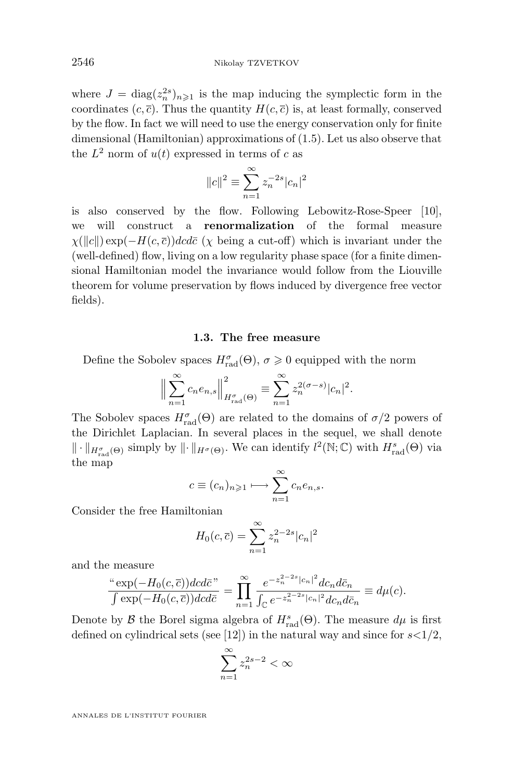where  $J = \text{diag}(z_n^{2s})_{n \geq 1}$  is the map inducing the symplectic form in the coordinates  $(c, \overline{c})$ . Thus the quantity  $H(c, \overline{c})$  is, at least formally, conserved by the flow. In fact we will need to use the energy conservation only for finite dimensional (Hamiltonian) approximations of [\(1.5\)](#page-3-0). Let us also observe that the  $L^2$  norm of  $u(t)$  expressed in terms of c as

$$
||c||^2 \equiv \sum_{n=1}^{\infty} z_n^{-2s} |c_n|^2
$$

is also conserved by the flow. Following Lebowitz-Rose-Speer [\[10\]](#page-62-0), we will construct a **renormalization** of the formal measure  $\chi(\Vert c \Vert) \exp(-H(c, \overline{c}))dcd\overline{c}$  ( $\chi$  being a cut-off) which is invariant under the (well-defined) flow, living on a low regularity phase space (for a finite dimensional Hamiltonian model the invariance would follow from the Liouville theorem for volume preservation by flows induced by divergence free vector fields).

### **1.3. The free measure**

Define the Sobolev spaces  $H_{\text{rad}}^{\sigma}(\Theta)$ ,  $\sigma \geq 0$  equipped with the norm

$$
\Big\|\sum_{n=1}^{\infty}c_ne_{n,s}\Big\|_{H^{\sigma}_{\text{rad}}(\Theta)}^2 \equiv \sum_{n=1}^{\infty}z_n^{2(\sigma-s)}|c_n|^2.
$$

The Sobolev spaces  $H_{\text{rad}}^{\sigma}(\Theta)$  are related to the domains of  $\sigma/2$  powers of the Dirichlet Laplacian. In several places in the sequel, we shall denote  $\|\cdot\|_{H^{\sigma}_{rad}(\Theta)}$  simply by  $\|\cdot\|_{H^{\sigma}(\Theta)}$ . We can identify  $l^2(\mathbb{N}; \mathbb{C})$  with  $H^s_{rad}(\Theta)$  via the map

$$
c \equiv (c_n)_{n \geqslant 1} \longmapsto \sum_{n=1}^{\infty} c_n e_{n,s}.
$$

Consider the free Hamiltonian

$$
H_0(c, \bar{c}) = \sum_{n=1}^{\infty} z_n^{2-2s} |c_n|^2
$$

and the measure

$$
\frac{\text{``exp}(-H_0(c,\overline{c}))dcd\overline{c}}{\int \text{exp}(-H_0(c,\overline{c}))dcd\overline{c}} = \prod_{n=1}^{\infty} \frac{e^{-z_n^{2-2s}|c_n|^2} dc_n d\overline{c}_n}{\int_{\mathbb{C}} e^{-z_n^{2-2s}|c_n|^2} dc_n d\overline{c}_n} \equiv d\mu(c).
$$

Denote by  $\mathcal B$  the Borel sigma algebra of  $H^s_{\text{rad}}(\Theta)$ . The measure  $d\mu$  is first defined on cylindrical sets (see [\[12\]](#page-62-0)) in the natural way and since for  $s<1/2$ ,

$$
\sum_{n=1}^{\infty} z_n^{2s-2} < \infty
$$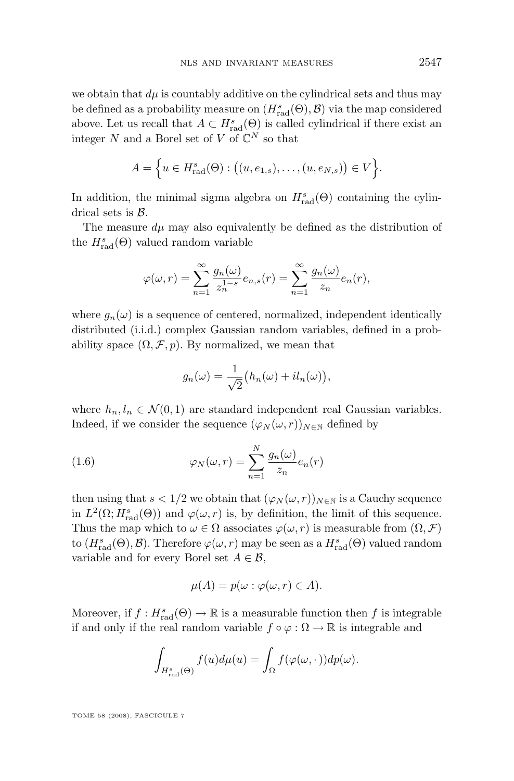<span id="page-5-0"></span>we obtain that  $d\mu$  is countably additive on the cylindrical sets and thus may be defined as a probability measure on  $(H_{\text{rad}}^s(\Theta), \mathcal{B})$  via the map considered above. Let us recall that  $A \subset H^s_{rad}(\Theta)$  is called cylindrical if there exist an integer N and a Borel set of V of  $\mathbb{C}^N$  so that

$$
A = \Big\{ u \in H_{\text{rad}}^{s}(\Theta) : ((u, e_{1,s}), \dots, (u, e_{N,s})) \in V \Big\}.
$$

In addition, the minimal sigma algebra on  $H_{\text{rad}}^s(\Theta)$  containing the cylindrical sets is  $\beta$ .

The measure  $d\mu$  may also equivalently be defined as the distribution of the  $H_{\text{rad}}^s(\Theta)$  valued random variable

$$
\varphi(\omega, r) = \sum_{n=1}^{\infty} \frac{g_n(\omega)}{z_n^{1-s}} e_{n,s}(r) = \sum_{n=1}^{\infty} \frac{g_n(\omega)}{z_n} e_n(r),
$$

where  $g_n(\omega)$  is a sequence of centered, normalized, independent identically distributed (i.i.d.) complex Gaussian random variables, defined in a probability space  $(\Omega, \mathcal{F}, p)$ . By normalized, we mean that

$$
g_n(\omega) = \frac{1}{\sqrt{2}} (h_n(\omega) + i l_n(\omega)),
$$

where  $h_n, l_n \in \mathcal{N}(0, 1)$  are standard independent real Gaussian variables. Indeed, if we consider the sequence  $(\varphi_N(\omega, r))_{N \in \mathbb{N}}$  defined by

(1.6) 
$$
\varphi_N(\omega, r) = \sum_{n=1}^N \frac{g_n(\omega)}{z_n} e_n(r)
$$

then using that  $s < 1/2$  we obtain that  $(\varphi_N(\omega, r))_{N \in \mathbb{N}}$  is a Cauchy sequence in  $L^2(\Omega; H^s_{rad}(\Theta))$  and  $\varphi(\omega, r)$  is, by definition, the limit of this sequence. Thus the map which to  $\omega \in \Omega$  associates  $\varphi(\omega, r)$  is measurable from  $(\Omega, \mathcal{F})$ to  $(H_{\text{rad}}^s(\Theta), \mathcal{B})$ . Therefore  $\varphi(\omega, r)$  may be seen as a  $H_{\text{rad}}^s(\Theta)$  valued random variable and for every Borel set  $A \in \mathcal{B}$ ,

$$
\mu(A) = p(\omega : \varphi(\omega, r) \in A).
$$

Moreover, if  $f: H_{\text{rad}}^s(\Theta) \to \mathbb{R}$  is a measurable function then  $f$  is integrable if and only if the real random variable  $f \circ \varphi : \Omega \to \mathbb{R}$  is integrable and

$$
\int_{H^s_{\text{rad}}(\Theta)} f(u) d\mu(u) = \int_{\Omega} f(\varphi(\omega, \cdot)) dp(\omega).
$$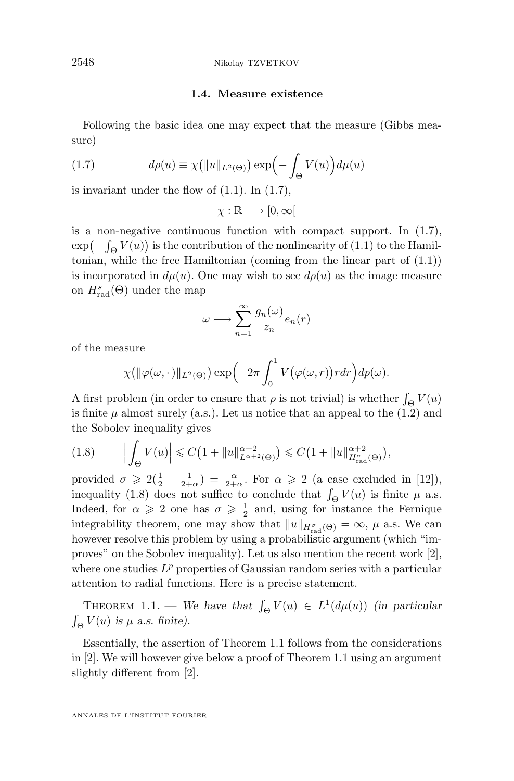## **1.4. Measure existence**

<span id="page-6-0"></span>Following the basic idea one may expect that the measure (Gibbs measure)

(1.7) 
$$
d\rho(u) \equiv \chi\big(||u||_{L^2(\Theta)}\big) \exp\Big(-\int_{\Theta} V(u)\Big) d\mu(u)
$$

is invariant under the flow of [\(1.1\)](#page-2-0). In (1.7),

 $\chi : \mathbb{R} \longrightarrow [0, \infty[$ 

is a non-negative continuous function with compact support. In (1.7),  $\exp(-\int_{\Theta} V(u))$  is the contribution of the nonlinearity of [\(1.1\)](#page-2-0) to the Hamiltonian, while the free Hamiltonian (coming from the linear part of [\(1.1\)](#page-2-0)) is incorporated in  $d\mu(u)$ . One may wish to see  $d\rho(u)$  as the image measure on  $H_{\text{rad}}^s(\Theta)$  under the map

$$
\omega \longmapsto \sum_{n=1}^{\infty} \frac{g_n(\omega)}{z_n} e_n(r)
$$

of the measure

$$
\chi\big(\|\varphi(\omega,\cdot)\|_{L^2(\Theta)}\big)\exp\Big(-2\pi\int_0^1 V\big(\varphi(\omega,r)\big) r dr\Big)dp(\omega).
$$

A first problem (in order to ensure that  $\rho$  is not trivial) is whether  $\int_{\Theta} V(u)$ is finite  $\mu$  almost surely (a.s.). Let us notice that an appeal to the [\(1.2\)](#page-2-0) and the Sobolev inequality gives

$$
(1.8) \qquad \left| \int_{\Theta} V(u) \right| \leq C \left( 1 + \|u\|_{L^{\alpha+2}(\Theta)}^{\alpha+2} \right) \leq C \left( 1 + \|u\|_{H^{\sigma}_{rad}(\Theta)}^{\alpha+2} \right),
$$

provided  $\sigma \geqslant 2(\frac{1}{2}-\frac{1}{2+\alpha}) = \frac{\alpha}{2+\alpha}$ . For  $\alpha \geqslant 2$  (a case excluded in [\[12\]](#page-62-0)), inequality (1.8) does not suffice to conclude that  $\int_{\Theta} V(u)$  is finite  $\mu$  a.s. Indeed, for  $\alpha \geqslant 2$  one has  $\sigma \geqslant \frac{1}{2}$  and, using for instance the Fernique integrability theorem, one may show that  $||u||_{H^{\sigma}_{rad}(\Theta)} = \infty$ ,  $\mu$  a.s. We can however resolve this problem by using a probabilistic argument (which "improves" on the Sobolev inequality). Let us also mention the recent work [\[2\]](#page-61-0), where one studies  $L^p$  properties of Gaussian random series with a particular attention to radial functions. Here is a precise statement.

THEOREM 1.1. — We have that  $\int_{\Theta} V(u) \in L^1(d\mu(u))$  *(in particular*)  $\int_{\Theta} V(u)$  *is*  $\mu$  *a.s. finite*).

Essentially, the assertion of Theorem 1.1 follows from the considerations in [\[2\]](#page-61-0). We will however give below a proof of Theorem 1.1 using an argument slightly different from [\[2\]](#page-61-0).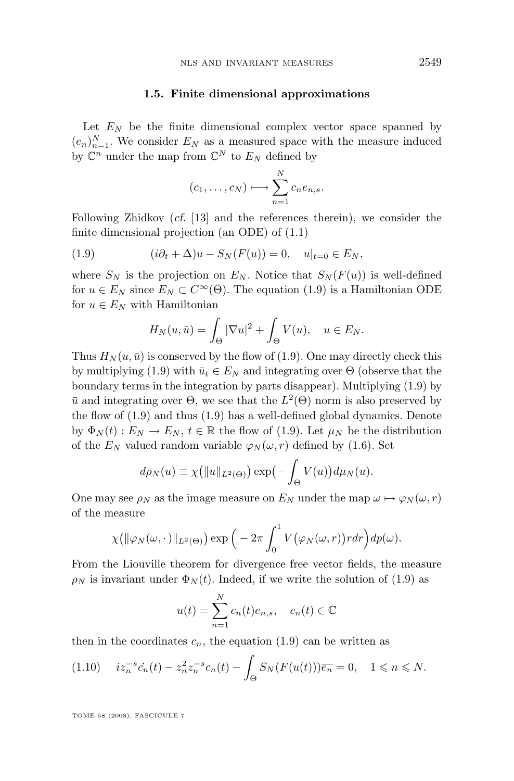#### **1.5. Finite dimensional approximations**

<span id="page-7-0"></span>Let  $E_N$  be the finite dimensional complex vector space spanned by  $(e_n)_{n=1}^N$ . We consider  $E_N$  as a measured space with the measure induced by  $\mathbb{C}^n$  under the map from  $\mathbb{C}^N$  to  $E_N$  defined by

$$
(c_1,\ldots,c_N)\longmapsto \sum_{n=1}^N c_n e_{n,s}.
$$

Following Zhidkov (*cf.* [\[13\]](#page-62-0) and the references therein), we consider the finite dimensional projection (an ODE) of [\(1.1\)](#page-2-0)

(1.9) 
$$
(i\partial_t + \Delta)u - S_N(F(u)) = 0, \quad u|_{t=0} \in E_N,
$$

where  $S_N$  is the projection on  $E_N$ . Notice that  $S_N(F(u))$  is well-defined for  $u \in E_N$  since  $E_N \subset C^\infty(\overline{\Theta})$ . The equation (1.9) is a Hamiltonian ODE for  $u \in E_N$  with Hamiltonian

$$
H_N(u, \bar{u}) = \int_{\Theta} |\nabla u|^2 + \int_{\Theta} V(u), \quad u \in E_N.
$$

Thus  $H_N(u, \bar{u})$  is conserved by the flow of (1.9). One may directly check this by multiplying (1.9) with  $\bar{u}_t \in E_N$  and integrating over  $\Theta$  (observe that the boundary terms in the integration by parts disappear). Multiplying (1.9) by  $\bar{u}$  and integrating over  $\Theta$ , we see that the  $L^2(\Theta)$  norm is also preserved by the flow of (1.9) and thus (1.9) has a well-defined global dynamics. Denote by  $\Phi_N(t) : E_N \to E_N$ ,  $t \in \mathbb{R}$  the flow of (1.9). Let  $\mu_N$  be the distribution of the  $E_N$  valued random variable  $\varphi_N(\omega, r)$  defined by [\(1.6\)](#page-5-0). Set

$$
d\rho_N(u) \equiv \chi\big(||u||_{L^2(\Theta)}\big) \exp\bigl(-\int_{\Theta} V(u)\bigr) d\mu_N(u).
$$

One may see  $\rho_N$  as the image measure on  $E_N$  under the map  $\omega \mapsto \varphi_N(\omega, r)$ of the measure

$$
\chi\big(\|\varphi_N(\omega,\cdot)\|_{L^2(\Theta)}\big)\exp\Big(-2\pi\int_0^1 V\big(\varphi_N(\omega,r)\big) r dr\Big)dp(\omega).
$$

From the Liouville theorem for divergence free vector fields, the measure  $\rho_N$  is invariant under  $\Phi_N(t)$ . Indeed, if we write the solution of (1.9) as

$$
u(t) = \sum_{n=1}^{N} c_n(t)e_{n,s}, \quad c_n(t) \in \mathbb{C}
$$

then in the coordinates  $c_n$ , the equation (1.9) can be written as

$$
(1.10) \quad iz_n^{-s} \dot{c}_n(t) - z_n^2 z_n^{-s} c_n(t) - \int_{\Theta} S_N(F(u(t))) \overline{e_n} = 0, \quad 1 \le n \le N.
$$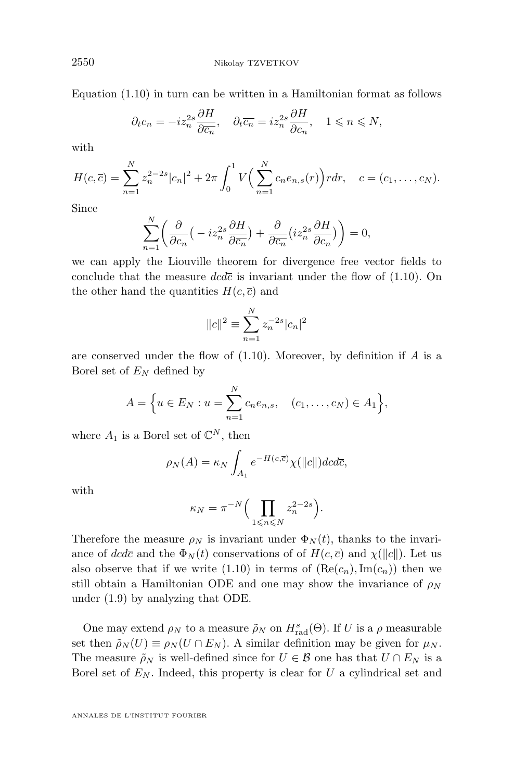Equation [\(1.10\)](#page-7-0) in turn can be written in a Hamiltonian format as follows

$$
\partial_t c_n = -iz_n^{2s} \frac{\partial H}{\partial \overline{c_n}}, \quad \partial_t \overline{c_n} = iz_n^{2s} \frac{\partial H}{\partial c_n}, \quad 1 \le n \le N,
$$

with

$$
H(c,\overline{c}) = \sum_{n=1}^{N} z_n^{2-2s} |c_n|^2 + 2\pi \int_0^1 V\Big(\sum_{n=1}^{N} c_n e_{n,s}(r)\Big) r dr, \quad c = (c_1, \dots, c_N).
$$

Since

$$
\sum_{n=1}^{N} \left( \frac{\partial}{\partial c_n} \left( -iz_n^{2s} \frac{\partial H}{\partial \overline{c_n}} \right) + \frac{\partial}{\partial \overline{c_n}} \left( iz_n^{2s} \frac{\partial H}{\partial c_n} \right) \right) = 0,
$$

we can apply the Liouville theorem for divergence free vector fields to conclude that the measure  $dc\bar{c}$  is invariant under the flow of  $(1.10)$ . On the other hand the quantities  $H(c, \bar{c})$  and

$$
||c||^2 \equiv \sum_{n=1}^{N} z_n^{-2s} |c_n|^2
$$

are conserved under the flow of  $(1.10)$ . Moreover, by definition if A is a Borel set of  $E_N$  defined by

$$
A = \Big\{ u \in E_N : u = \sum_{n=1}^N c_n e_{n,s}, \quad (c_1, \dots, c_N) \in A_1 \Big\},\
$$

where  $A_1$  is a Borel set of  $\mathbb{C}^N$ , then

$$
\rho_N(A) = \kappa_N \int_{A_1} e^{-H(c,\overline{c})} \chi(||c||) dc d\overline{c},
$$

with

$$
\kappa_N = \pi^{-N} \Big( \prod_{1 \leqslant n \leqslant N} z_n^{2-2s} \Big).
$$

Therefore the measure  $\rho_N$  is invariant under  $\Phi_N(t)$ , thanks to the invariance of dcdc and the  $\Phi_N(t)$  conservations of of  $H(c, \overline{c})$  and  $\chi(\Vert c \Vert)$ . Let us also observe that if we write [\(1.10\)](#page-7-0) in terms of  $(Re(c_n), Im(c_n))$  then we still obtain a Hamiltonian ODE and one may show the invariance of  $\rho_N$ under [\(1.9\)](#page-7-0) by analyzing that ODE.

One may extend  $\rho_N$  to a measure  $\tilde{\rho}_N$  on  $H_{\text{rad}}^s(\Theta)$ . If U is a  $\rho$  measurable set then  $\tilde{\rho}_N(U) \equiv \rho_N(U \cap E_N)$ . A similar definition may be given for  $\mu_N$ . The measure  $\rho_N$  is well-defined since for  $U \in \mathcal{B}$  one has that  $U \cap E_N$  is a Borel set of  $E_N$ . Indeed, this property is clear for U a cylindrical set and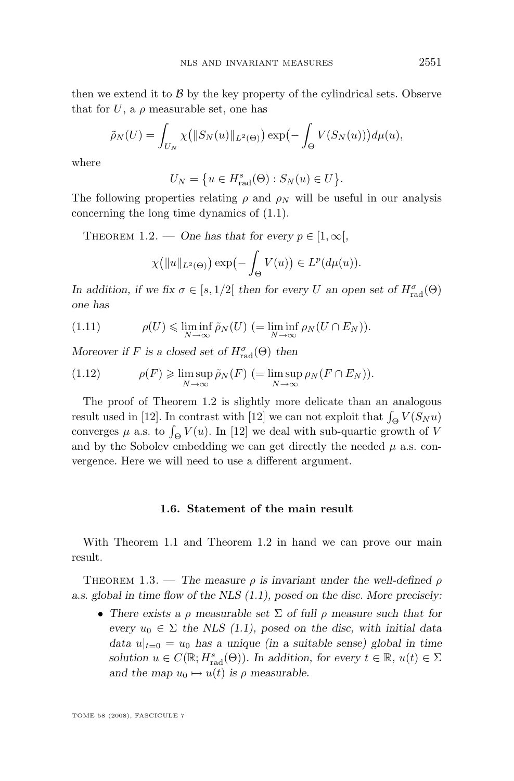<span id="page-9-0"></span>then we extend it to  $\beta$  by the key property of the cylindrical sets. Observe that for U, a  $\rho$  measurable set, one has

$$
\tilde{\rho}_N(U) = \int_{U_N} \chi\big(||S_N(u)||_{L^2(\Theta)}\big) \exp\bigl(-\int_{\Theta} V(S_N(u))\bigr) d\mu(u),
$$

where

$$
U_N = \{ u \in H_{\text{rad}}^s(\Theta) : S_N(u) \in U \}.
$$

The following properties relating  $\rho$  and  $\rho_N$  will be useful in our analysis concerning the long time dynamics of [\(1.1\)](#page-2-0).

THEOREM 1.2. — *One has that for every*  $p \in [1, \infty)$ ,

$$
\chi\big(\|u\|_{L^2(\Theta)}\big)\exp\big(-\int_{\Theta} V(u)\big) \in L^p(d\mu(u)).
$$

*In addition, if we fix*  $\sigma \in [s, 1/2]$  *then for every U an open set of*  $H_{\text{rad}}^{\sigma}(\Theta)$ *one has*

(1.11) 
$$
\rho(U) \leq \liminf_{N \to \infty} \tilde{\rho}_N(U) \quad (=\liminf_{N \to \infty} \rho_N(U \cap E_N)).
$$

*Moreover if* F is a closed set of  $H_{rad}^{\sigma}(\Theta)$  then

(1.12) 
$$
\rho(F) \geq \limsup_{N \to \infty} \tilde{\rho}_N(F) \quad (= \limsup_{N \to \infty} \rho_N(F \cap E_N)).
$$

The proof of Theorem 1.2 is slightly more delicate than an analogous result used in [\[12\]](#page-62-0). In contrast with [12] we can not exploit that  $\int_{\Theta} V(S_N u)$ converges  $\mu$  a.s. to  $\int_{\Theta} V(u)$ . In [\[12\]](#page-62-0) we deal with sub-quartic growth of V and by the Sobolev embedding we can get directly the needed  $\mu$  a.s. convergence. Here we will need to use a different argument.

## **1.6. Statement of the main result**

With Theorem [1.1](#page-6-0) and Theorem 1.2 in hand we can prove our main result.

THEOREM 1.3. — *The measure*  $\rho$  *is invariant under the well-defined*  $\rho$ *a.s. global in time flow of the NLS [\(1.1\)](#page-2-0), posed on the disc. More precisely:*

• *There exists a* ρ *measurable set* Σ *of full* ρ *measure such that for every*  $u_0 \in \Sigma$  *the NLS [\(1.1\)](#page-2-0), posed on the disc, with initial data data*  $u|_{t=0} = u_0$  *has a unique (in a suitable sense) global in time solution*  $u \in C(\mathbb{R}; H_{rad}^s(\Theta))$ *.* In addition, for every  $t \in \mathbb{R}$ ,  $u(t) \in \Sigma$ *and the map*  $u_0 \mapsto u(t)$  *is*  $\rho$  *measurable.*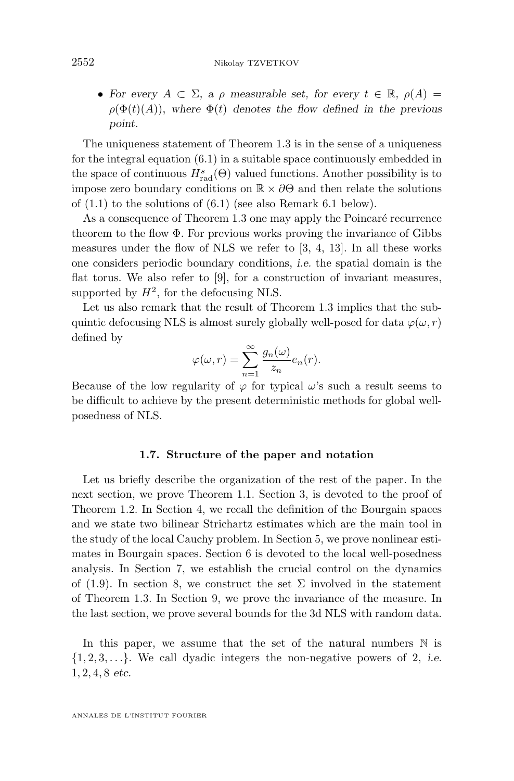• For every  $A \subset \Sigma$ , a  $\rho$  measurable set, for every  $t \in \mathbb{R}$ ,  $\rho(A) =$  $\rho(\Phi(t)(A))$ , where  $\Phi(t)$  denotes the flow defined in the previous *point.*

The uniqueness statement of Theorem [1.3](#page-9-0) is in the sense of a uniqueness for the integral equation  $(6.1)$  in a suitable space continuously embedded in the space of continuous  $H_{\text{rad}}^s(\Theta)$  valued functions. Another possibility is to impose zero boundary conditions on  $\mathbb{R} \times \partial \Theta$  and then relate the solutions of  $(1.1)$  to the solutions of  $(6.1)$  (see also Remark [6.1](#page-38-0) below).

As a consequence of Theorem [1.3](#page-9-0) one may apply the Poincaré recurrence theorem to the flow  $\Phi$ . For previous works proving the invariance of Gibbs measures under the flow of NLS we refer to [\[3,](#page-61-0) [4,](#page-61-0) [13\]](#page-62-0). In all these works one considers periodic boundary conditions, *i.e.* the spatial domain is the flat torus. We also refer to [\[9\]](#page-62-0), for a construction of invariant measures, supported by  $H^2$ , for the defocusing NLS.

Let us also remark that the result of Theorem [1.3](#page-9-0) implies that the subquintic defocusing NLS is almost surely globally well-posed for data  $\varphi(\omega, r)$ defined by

$$
\varphi(\omega, r) = \sum_{n=1}^{\infty} \frac{g_n(\omega)}{z_n} e_n(r).
$$

Because of the low regularity of  $\varphi$  for typical  $\omega$ 's such a result seems to be difficult to achieve by the present deterministic methods for global wellposedness of NLS.

#### **1.7. Structure of the paper and notation**

Let us briefly describe the organization of the rest of the paper. In the next section, we prove Theorem [1.1.](#page-6-0) Section 3, is devoted to the proof of Theorem [1.2.](#page-9-0) In Section 4, we recall the definition of the Bourgain spaces and we state two bilinear Strichartz estimates which are the main tool in the study of the local Cauchy problem. In Section 5, we prove nonlinear estimates in Bourgain spaces. Section 6 is devoted to the local well-posedness analysis. In Section 7, we establish the crucial control on the dynamics of  $(1.9)$ . In section 8, we construct the set  $\Sigma$  involved in the statement of Theorem [1.3.](#page-9-0) In Section 9, we prove the invariance of the measure. In the last section, we prove several bounds for the 3d NLS with random data.

In this paper, we assume that the set of the natural numbers  $\mathbb N$  is {1, 2, 3, . . .}. We call dyadic integers the non-negative powers of 2, *i.e.* 1, 2, 4, 8 *etc.*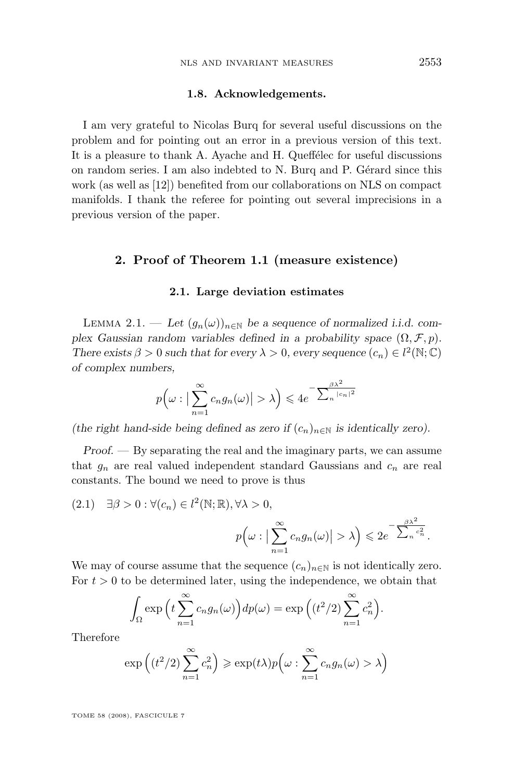#### **1.8. Acknowledgements.**

<span id="page-11-0"></span>I am very grateful to Nicolas Burq for several useful discussions on the problem and for pointing out an error in a previous version of this text. It is a pleasure to thank A. Ayache and H. Queffélec for useful discussions on random series. I am also indebted to N. Burq and P. Gérard since this work (as well as [\[12\]](#page-62-0)) benefited from our collaborations on NLS on compact manifolds. I thank the referee for pointing out several imprecisions in a previous version of the paper.

## **2. Proof of Theorem [1.1](#page-6-0) (measure existence)**

#### **2.1. Large deviation estimates**

LEMMA 2.1. — Let  $(g_n(\omega))_{n\in\mathbb{N}}$  be a sequence of normalized i.i.d. com*plex Gaussian random variables defined in a probability space*  $(\Omega, \mathcal{F}, p)$ . *There exists*  $\beta > 0$  *such that for every*  $\lambda > 0$ *, every sequence*  $(c_n) \in l^2(\mathbb{N}; \mathbb{C})$ *of complex numbers,*

$$
p\left(\omega:\left|\sum_{n=1}^{\infty}c_n g_n(\omega)\right|>\lambda\right)\leqslant 4e^{-\frac{\beta\lambda^2}{\sum_n|c_n|^2}}
$$

*(the right hand-side being defined as zero if*  $(c_n)_{n\in\mathbb{N}}$  *is identically zero).* 

*Proof. —* By separating the real and the imaginary parts, we can assume that  $g_n$  are real valued independent standard Gaussians and  $c_n$  are real constants. The bound we need to prove is thus

$$
(2.1) \quad \exists \beta > 0 : \forall (c_n) \in l^2(\mathbb{N}; \mathbb{R}), \forall \lambda > 0,
$$

$$
p\left(\omega : \left|\sum_{n=1}^{\infty} c_n g_n(\omega)\right| > \lambda\right) \leq 2e^{-\sum_{n=1}^{\beta \lambda^2} \frac{c_n^2}{\lambda}}.
$$

We may of course assume that the sequence  $(c_n)_{n\in\mathbb{N}}$  is not identically zero. For  $t > 0$  to be determined later, using the independence, we obtain that

$$
\int_{\Omega} \exp\left(t \sum_{n=1}^{\infty} c_n g_n(\omega)\right) dp(\omega) = \exp\left((t^2/2) \sum_{n=1}^{\infty} c_n^2\right).
$$

Therefore

$$
\exp\left((t^2/2)\sum_{n=1}^{\infty}c_n^2\right) \geqslant \exp(t\lambda)p\Big(\omega:\sum_{n=1}^{\infty}c_ng_n(\omega)>\lambda\Big)
$$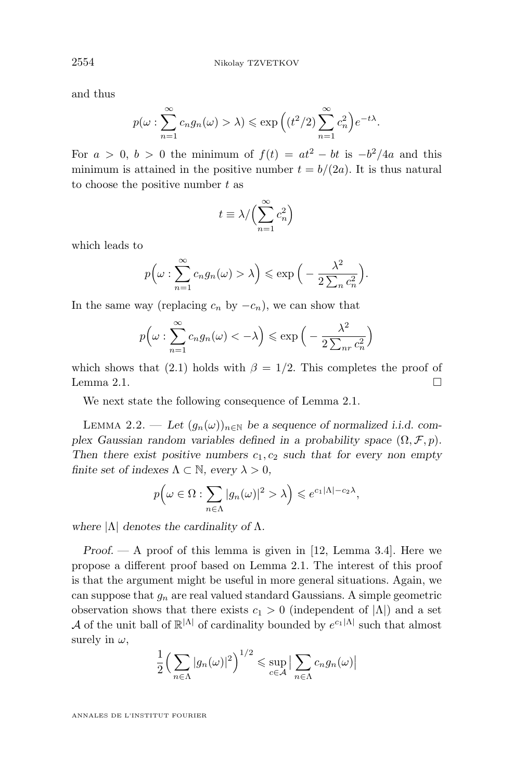and thus

$$
p(\omega : \sum_{n=1}^{\infty} c_n g_n(\omega) > \lambda) \le \exp\left((t^2/2) \sum_{n=1}^{\infty} c_n^2\right) e^{-t\lambda}.
$$

For  $a > 0$ ,  $b > 0$  the minimum of  $f(t) = at^2 - bt$  is  $-b^2/4a$  and this minimum is attained in the positive number  $t = b/(2a)$ . It is thus natural to choose the positive number  $t$  as

$$
t \equiv \lambda / \Bigl( \sum_{n=1}^\infty c_n^2 \Bigr)
$$

which leads to

$$
p\left(\omega : \sum_{n=1}^{\infty} c_n g_n(\omega) > \lambda\right) \le \exp\left(-\frac{\lambda^2}{2\sum_n c_n^2}\right).
$$

In the same way (replacing  $c_n$  by  $-c_n$ ), we can show that

$$
p\left(\omega : \sum_{n=1}^{\infty} c_n g_n(\omega) < -\lambda\right) \le \exp\left(-\frac{\lambda^2}{2\sum_{nr} c_n^2}\right)
$$

which shows that [\(2.1\)](#page-11-0) holds with  $\beta = 1/2$ . This completes the proof of Lemma [2.1.](#page-11-0)  $\Box$ 

We next state the following consequence of Lemma [2.1.](#page-11-0)

LEMMA 2.2. — Let  $(g_n(\omega))_{n\in\mathbb{N}}$  be a sequence of normalized i.i.d. com*plex Gaussian random variables defined in a probability space*  $(\Omega, \mathcal{F}, p)$ *.* Then there exist positive numbers  $c_1, c_2$  such that for every non empty *finite set of indexes*  $\Lambda \subset \mathbb{N}$ *, every*  $\lambda > 0$ *,* 

$$
p(\omega \in \Omega : \sum_{n \in \Lambda} |g_n(\omega)|^2 > \lambda) \leq e^{c_1|\Lambda| - c_2\lambda},
$$

*where* |Λ| *denotes the cardinality of* Λ*.*

*Proof. —* A proof of this lemma is given in [\[12,](#page-62-0) Lemma 3.4]. Here we propose a different proof based on Lemma [2.1.](#page-11-0) The interest of this proof is that the argument might be useful in more general situations. Again, we can suppose that  $g_n$  are real valued standard Gaussians. A simple geometric observation shows that there exists  $c_1 > 0$  (independent of  $|\Lambda|$ ) and a set A of the unit ball of  $\mathbb{R}^{|\Lambda|}$  of cardinality bounded by  $e^{c_1|\Lambda|}$  such that almost surely in  $\omega$ ,

$$
\frac{1}{2}\Big(\sum_{n\in\Lambda}|g_n(\omega)|^2\Big)^{1/2}\leq \sup_{c\in\mathcal{A}}\big|\sum_{n\in\Lambda}c_ng_n(\omega)\big|
$$

<span id="page-12-0"></span>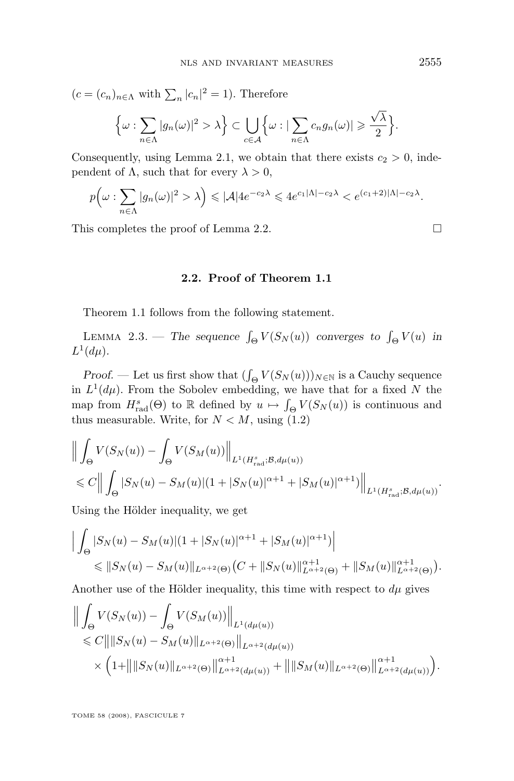<span id="page-13-0"></span> $(c = (c_n)_{n \in \Lambda}$  with  $\sum_n |c_n|^2 = 1$ ). Therefore

$$
\Big\{\omega:\sum_{n\in\Lambda}|g_n(\omega)|^2>\lambda\Big\}\subset\bigcup_{c\in\mathcal{A}}\Big\{\omega:|\sum_{n\in\Lambda}c_ng_n(\omega)|\geqslant\frac{\sqrt{\lambda}}{2}\Big\}.
$$

Consequently, using Lemma [2.1,](#page-11-0) we obtain that there exists  $c_2 > 0$ , independent of  $\Lambda$ , such that for every  $\lambda > 0$ ,

$$
p(\omega: \sum_{n \in \Lambda} |g_n(\omega)|^2 > \lambda) \leq |\mathcal{A}| 4e^{-c_2\lambda} \leq 4e^{c_1|\Lambda| - c_2\lambda} < e^{(c_1+2)|\Lambda| - c_2\lambda}.
$$

This completes the proof of Lemma [2.2.](#page-12-0)

## **2.2. Proof of Theorem [1.1](#page-6-0)**

Theorem [1.1](#page-6-0) follows from the following statement.

LEMMA 2.3. – The sequence  $\int_{\Theta} V(S_N(u))$  converges to  $\int_{\Theta} V(u)$  in  $L^1(d\mu)$ .

*Proof.* — Let us first show that  $(\int_{\Theta} V(S_N(u)))_{N \in \mathbb{N}}$  is a Cauchy sequence in  $L^1(d\mu)$ . From the Sobolev embedding, we have that for a fixed N the map from  $H_{\text{rad}}^s(\Theta)$  to  $\mathbb R$  defined by  $u \mapsto \int_{\Theta} V(S_N(u))$  is continuous and thus measurable. Write, for  $N < M$ , using [\(1.2\)](#page-2-0)

$$
\left\| \int_{\Theta} V(S_N(u)) - \int_{\Theta} V(S_M(u)) \right\|_{L^1(H_{\text{rad}}^s; \mathcal{B}, d\mu(u))}
$$
  
\$\leq C \left\| \int\_{\Theta} |S\_N(u) - S\_M(u)| (1 + |S\_N(u)|^{\alpha+1} + |S\_M(u)|^{\alpha+1}) \right\|\_{L^1(H\_{\text{rad}}^s; \mathcal{B}, d\mu(u))}.

Using the Hölder inequality, we get

$$
\Big| \int_{\Theta} |S_N(u) - S_M(u)| (1 + |S_N(u)|^{\alpha+1} + |S_M(u)|^{\alpha+1}) \Big|
$$
  
\$\leq \|S\_N(u) - S\_M(u)\|\_{L^{\alpha+2}(\Theta)} (C + \|S\_N(u)\|\_{L^{\alpha+2}(\Theta)}^{\alpha+1} + \|S\_M(u)\|\_{L^{\alpha+2}(\Theta)}^{\alpha+1}).

Another use of the Hölder inequality, this time with respect to  $d\mu$  gives

$$
\begin{split} & \Big\| \int_{\Theta} V(S_N(u)) - \int_{\Theta} V(S_M(u)) \Big\|_{L^1(d\mu(u))} \\ & \leqslant C \Big\| \|S_N(u) - S_M(u)\|_{L^{\alpha+2}(\Theta)} \Big\|_{L^{\alpha+2}(d\mu(u))} \\ & \times \Big( 1 + \Big\| \|S_N(u)\|_{L^{\alpha+2}(\Theta)} \Big\|_{L^{\alpha+2}(d\mu(u))}^{\alpha+1} + \Big\| \|S_M(u)\|_{L^{\alpha+2}(\Theta)} \Big\|_{L^{\alpha+2}(d\mu(u))}^{\alpha+1} \Big). \end{split}
$$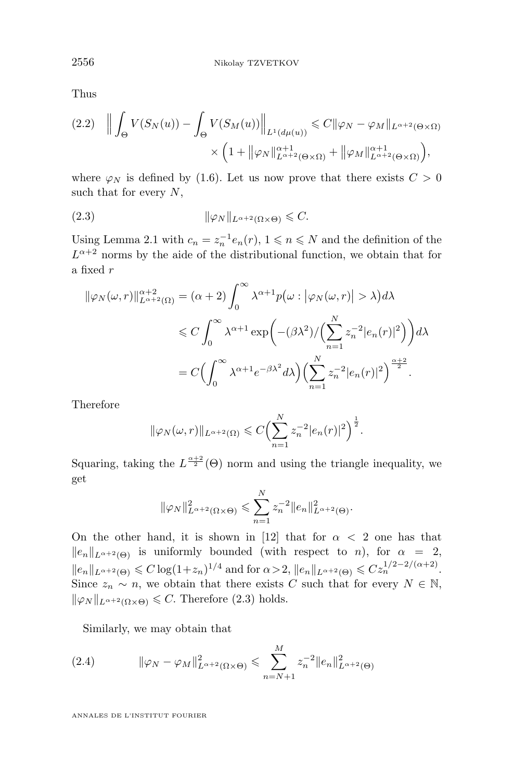Thus

$$
(2.2) \quad \left\| \int_{\Theta} V(S_N(u)) - \int_{\Theta} V(S_M(u)) \right\|_{L^1(d\mu(u))} \leq C \|\varphi_N - \varphi_M\|_{L^{\alpha+2}(\Theta \times \Omega)} \times \left(1 + \|\varphi_N\|_{L^{\alpha+2}(\Theta \times \Omega)}^{\alpha+1} + \|\varphi_M\|_{L^{\alpha+2}(\Theta \times \Omega)}^{\alpha+1}\right),
$$

where  $\varphi_N$  is defined by [\(1.6\)](#page-5-0). Let us now prove that there exists  $C > 0$ such that for every  $N$ ,

(2.3) kϕ<sup>N</sup> kLα+2(Ω×Θ) 6 C.

Using Lemma [2.1](#page-11-0) with  $c_n = z_n^{-1} e_n(r)$ ,  $1 \leqslant n \leqslant N$  and the definition of the  $L^{\alpha+2}$  norms by the aide of the distributional function, we obtain that for a fixed r

$$
\begin{split} \|\varphi_N(\omega,r)\|_{L^{\alpha+2}(\Omega)}^{\alpha+2}&=(\alpha+2)\int_0^\infty \lambda^{\alpha+1}p\big(\omega: \big|\varphi_N(\omega,r)\big|>\lambda\big)d\lambda\\ &\leqslant C\int_0^\infty \lambda^{\alpha+1}\exp\biggl(-(\beta\lambda^2)/\Bigl(\sum_{n=1}^N z_n^{-2}|e_n(r)|^2\Bigr)\biggr)d\lambda\\ &=C\Bigl(\int_0^\infty \lambda^{\alpha+1}e^{-\beta\lambda^2}d\lambda\Bigr)\Bigl(\sum_{n=1}^N z_n^{-2}|e_n(r)|^2\Bigr)^{\frac{\alpha+2}{2}}. \end{split}
$$

Therefore

$$
\|\varphi_N(\omega,r)\|_{L^{\alpha+2}(\Omega)} \leqslant C \Big(\sum_{n=1}^N z_n^{-2} |e_n(r)|^2\Big)^{\frac{1}{2}}.
$$

Squaring, taking the  $L^{\frac{\alpha+2}{2}}(\Theta)$  norm and using the triangle inequality, we get

$$
\|\varphi_N\|_{L^{\alpha+2}(\Omega\times\Theta)}^2 \leqslant \sum_{n=1}^N z_n^{-2} \|e_n\|_{L^{\alpha+2}(\Theta)}^2.
$$

On the other hand, it is shown in [\[12\]](#page-62-0) that for  $\alpha < 2$  one has that  $||e_n||_{L^{\alpha+2}(\Theta)}$  is uniformly bounded (with respect to n), for  $\alpha = 2$ ,  $||e_n||_{L^{\alpha+2}(\Theta)} \leq C \log(1+z_n)^{1/4}$  and for  $\alpha > 2$ ,  $||e_n||_{L^{\alpha+2}(\Theta)} \leq C z_n^{1/2-2/(\alpha+2)}$ . Since  $z_n \sim n$ , we obtain that there exists C such that for every  $N \in \mathbb{N}$ ,  $\|\varphi_N\|_{L^{\alpha+2}(\Omega\times\Theta)} \leq C$ . Therefore (2.3) holds.

Similarly, we may obtain that

(2.4) 
$$
\|\varphi_N - \varphi_M\|_{L^{\alpha+2}(\Omega \times \Theta)}^2 \leq \sum_{n=N+1}^M z_n^{-2} \|e_n\|_{L^{\alpha+2}(\Theta)}^2
$$

<span id="page-14-0"></span>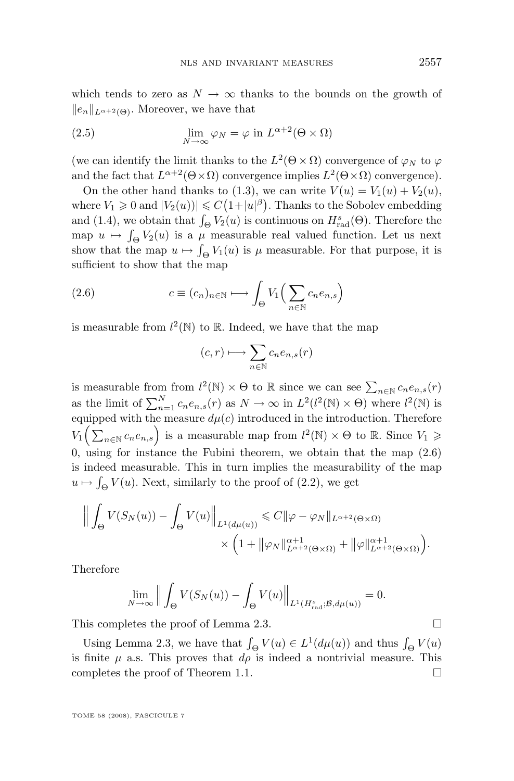which tends to zero as  $N \to \infty$  thanks to the bounds on the growth of  $||e_n||_{L^{\alpha+2}(\Theta)}$ . Moreover, we have that

(2.5) 
$$
\lim_{N \to \infty} \varphi_N = \varphi \text{ in } L^{\alpha+2}(\Theta \times \Omega)
$$

(we can identify the limit thanks to the  $L^2(\Theta \times \Omega)$  convergence of  $\varphi_N$  to  $\varphi$ and the fact that  $L^{\alpha+2}(\Theta \times \Omega)$  convergence implies  $L^2(\Theta \times \Omega)$  convergence).

On the other hand thanks to [\(1.3\)](#page-2-0), we can write  $V(u) = V_1(u) + V_2(u)$ , where  $V_1 \geqslant 0$  and  $|V_2(u))| \leqslant C(1+|u|^{\beta})$ . Thanks to the Sobolev embedding and [\(1.4\)](#page-3-0), we obtain that  $\int_{\Theta} V_2(u)$  is continuous on  $H_{\text{rad}}^s(\Theta)$ . Therefore the map  $u \mapsto \int_{\Theta} V_2(u)$  is a  $\mu$  measurable real valued function. Let us next show that the map  $u \mapsto \int_{\Theta} V_1(u)$  is  $\mu$  measurable. For that purpose, it is sufficient to show that the map

(2.6) 
$$
c \equiv (c_n)_{n \in \mathbb{N}} \longmapsto \int_{\Theta} V_1\Big(\sum_{n \in \mathbb{N}} c_n e_{n,s}\Big)
$$

is measurable from  $l^2(\mathbb{N})$  to  $\mathbb{R}$ . Indeed, we have that the map

$$
(c,r)\longmapsto \sum_{n\in \mathbb{N}}c_ne_{n,s}(r)
$$

is measurable from from  $l^2(\mathbb{N}) \times \Theta$  to  $\mathbb R$  since we can see  $\sum_{n \in \mathbb{N}} c_n e_{n,s}(r)$ as the limit of  $\sum_{n=1}^{N} c_n e_{n,s}(r)$  as  $N \to \infty$  in  $L^2(l^2(\mathbb{N}) \times \Theta)$  where  $l^2(\mathbb{N})$  is equipped with the measure  $d\mu(c)$  introduced in the introduction. Therefore  $V_1\Big(\sum_{n\in\mathbb{N}}c_ne_{n,s}\Big)$  is a measurable map from  $l^2(\mathbb{N})\times\Theta$  to  $\mathbb{R}$ . Since  $V_1\geq$ 0, using for instance the Fubini theorem, we obtain that the map  $(2.6)$ is indeed measurable. This in turn implies the measurability of the map  $u \mapsto \int_{\Theta} V(u)$ . Next, similarly to the proof of [\(2.2\)](#page-14-0), we get

$$
\left\| \int_{\Theta} V(S_N(u)) - \int_{\Theta} V(u) \right\|_{L^1(d\mu(u))} \leq C \|\varphi - \varphi_N\|_{L^{\alpha+2}(\Theta \times \Omega)}
$$

$$
\times \left(1 + \|\varphi_N\|_{L^{\alpha+2}(\Theta \times \Omega)}^{\alpha+1} + \|\varphi\|_{L^{\alpha+2}(\Theta \times \Omega)}^{\alpha+1}\right).
$$

Therefore

$$
\lim_{N \to \infty} \left\| \int_{\Theta} V(S_N(u)) - \int_{\Theta} V(u) \right\|_{L^1(H^s_{\text{rad}}; \mathcal{B}, d\mu(u))} = 0.
$$

This completes the proof of Lemma [2.3.](#page-13-0)

Using Lemma [2.3,](#page-13-0) we have that  $\int_{\Theta} V(u) \in L^1(d\mu(u))$  and thus  $\int_{\Theta} V(u)$ is finite  $\mu$  a.s. This proves that  $d\rho$  is indeed a nontrivial measure. This completes the proof of Theorem [1.1.](#page-6-0)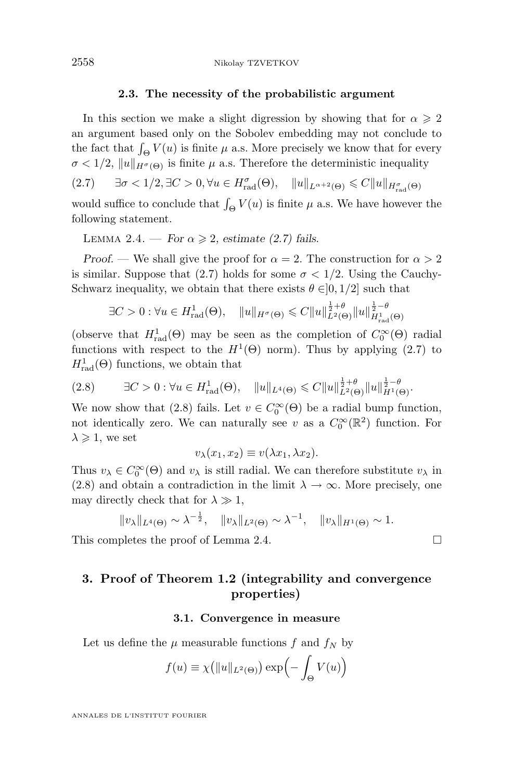#### **2.3. The necessity of the probabilistic argument**

In this section we make a slight digression by showing that for  $\alpha \geq 2$ an argument based only on the Sobolev embedding may not conclude to the fact that  $\int_{\Theta} V(u)$  is finite  $\mu$  a.s. More precisely we know that for every  $\sigma < 1/2$ ,  $||u||_{H^{\sigma}(\Theta)}$  is finite  $\mu$  a.s. Therefore the deterministic inequality

 $(2.7)$   $\exists \sigma < 1/2, \exists C > 0, \forall u \in H_{\text{rad}}^{\sigma}(\Theta), \quad ||u||_{L^{\alpha+2}(\Theta)} \leq C||u||_{H_{\text{rad}}^{\sigma}(\Theta)}$ 

would suffice to conclude that  $\int_{\Theta} V(u)$  is finite  $\mu$  a.s. We have however the following statement.

LEMMA 2.4. — *For*  $\alpha \geq 2$ , estimate (2.7) fails.

*Proof.* — We shall give the proof for  $\alpha = 2$ . The construction for  $\alpha > 2$ is similar. Suppose that (2.7) holds for some  $\sigma < 1/2$ . Using the Cauchy-Schwarz inequality, we obtain that there exists  $\theta \in ]0,1/2]$  such that

$$
\exists C > 0 : \forall u \in H_{\text{rad}}^1(\Theta), \quad ||u||_{H^{\sigma}(\Theta)} \leq C ||u||_{L^2(\Theta)}^{\frac{1}{2} + \theta} ||u||_{H_{\text{rad}}^1(\Theta)}^{\frac{1}{2} - \theta}
$$

(observe that  $H_{rad}^1(\Theta)$  may be seen as the completion of  $C_0^{\infty}(\Theta)$  radial functions with respect to the  $H^1(\Theta)$  norm). Thus by applying (2.7) to  $H_{\text{rad}}^1(\Theta)$  functions, we obtain that

$$
(2.8) \qquad \exists C > 0 : \forall u \in H_{\text{rad}}^1(\Theta), \quad \|u\|_{L^4(\Theta)} \leq C \|u\|_{L^2(\Theta)}^{\frac{1}{2}+\theta} \|u\|_{H^1(\Theta)}^{\frac{1}{2}-\theta}.
$$

We now show that (2.8) fails. Let  $v \in C_0^{\infty}(\Theta)$  be a radial bump function, not identically zero. We can naturally see v as a  $C_0^{\infty}(\mathbb{R}^2)$  function. For  $\lambda \geqslant 1$ , we set

$$
v_{\lambda}(x_1, x_2) \equiv v(\lambda x_1, \lambda x_2).
$$

Thus  $v_\lambda \in C_0^\infty(\Theta)$  and  $v_\lambda$  is still radial. We can therefore substitute  $v_\lambda$  in (2.8) and obtain a contradiction in the limit  $\lambda \to \infty$ . More precisely, one may directly check that for  $\lambda \gg 1$ ,

$$
||v_{\lambda}||_{L^{4}(\Theta)} \sim \lambda^{-\frac{1}{2}}, \quad ||v_{\lambda}||_{L^{2}(\Theta)} \sim \lambda^{-1}, \quad ||v_{\lambda}||_{H^{1}(\Theta)} \sim 1.
$$

This completes the proof of Lemma 2.4.

## **3. Proof of Theorem [1.2](#page-9-0) (integrability and convergence properties)**

## **3.1. Convergence in measure**

Let us define the  $\mu$  measurable functions f and  $f_N$  by

$$
f(u) \equiv \chi\big(||u||_{L^2(\Theta)}\big) \exp\Bigl(-\int_{\Theta} V(u)\Bigr)
$$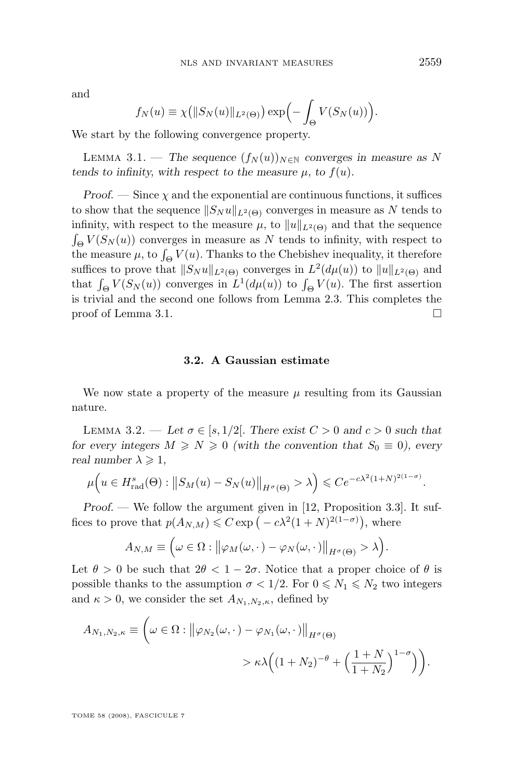<span id="page-17-0"></span>and

$$
f_N(u) \equiv \chi\big(||S_N(u)||_{L^2(\Theta)}\big) \exp\Bigl(-\int_{\Theta} V(S_N(u))\Bigr).
$$

We start by the following convergence property.

LEMMA 3.1. — The sequence  $(f_N(u))_{N\in\mathbb{N}}$  converges in measure as N *tends to infinity, with respect to the measure*  $\mu$ , to  $f(u)$ *.* 

*Proof.* — Since  $\chi$  and the exponential are continuous functions, it suffices to show that the sequence  $||S_N u||_{L^2(\Theta)}$  converges in measure as N tends to infinity, with respect to the measure  $\mu$ , to  $||u||_{L^2(\Theta)}$  and that the sequence  $\int_{\Theta} V(S_N(u))$  converges in measure as N tends to infinity, with respect to the measure  $\mu$ , to  $\int_{\Theta} V(u)$ . Thanks to the Chebishev inequality, it therefore suffices to prove that  $||S_N u||_{L^2(\Theta)}$  converges in  $L^2(d\mu(u))$  to  $||u||_{L^2(\Theta)}$  and that  $\int_{\Theta} V(S_N(u))$  converges in  $L^1(d\mu(u))$  to  $\int_{\Theta} V(u)$ . The first assertion is trivial and the second one follows from Lemma [2.3.](#page-13-0) This completes the proof of Lemma 3.1.

## **3.2. A Gaussian estimate**

We now state a property of the measure  $\mu$  resulting from its Gaussian nature.

LEMMA 3.2. — Let  $\sigma \in [s, 1/2]$ . There exist  $C > 0$  and  $c > 0$  such that *for every integers*  $M \ge N \ge 0$  *(with the convention that*  $S_0 \equiv 0$ *), every real number*  $\lambda \geq 1$ ,

$$
\mu\Big(u \in H_{\text{rad}}^s(\Theta) : \big\|S_M(u) - S_N(u)\big\|_{H^{\sigma}(\Theta)} > \lambda\Big) \leqslant Ce^{-c\lambda^2(1+N)^{2(1-\sigma)}}.
$$

*Proof. —* We follow the argument given in [\[12,](#page-62-0) Proposition 3.3]. It suffices to prove that  $p(A_{N,M}) \leqslant C \exp\left(-c\lambda^2(1+N)^{2(1-\sigma)}\right)$ , where

$$
A_{N,M} \equiv \left(\omega \in \Omega : \left\|\varphi_M(\omega,\cdot) - \varphi_N(\omega,\cdot)\right\|_{H^{\sigma}(\Theta)} > \lambda\right).
$$

Let  $\theta > 0$  be such that  $2\theta < 1-2\sigma$ . Notice that a proper choice of  $\theta$  is possible thanks to the assumption  $\sigma < 1/2$ . For  $0 \le N_1 \le N_2$  two integers and  $\kappa > 0$ , we consider the set  $A_{N_1,N_2,\kappa}$ , defined by

$$
A_{N_1,N_2,\kappa} \equiv \left(\omega \in \Omega : \left\|\varphi_{N_2}(\omega,\cdot) - \varphi_{N_1}(\omega,\cdot)\right\|_{H^{\sigma}(\Theta)} \right)
$$

$$
> \kappa \lambda \left((1+N_2)^{-\theta} + \left(\frac{1+N}{1+N_2}\right)^{1-\sigma}\right)\right).
$$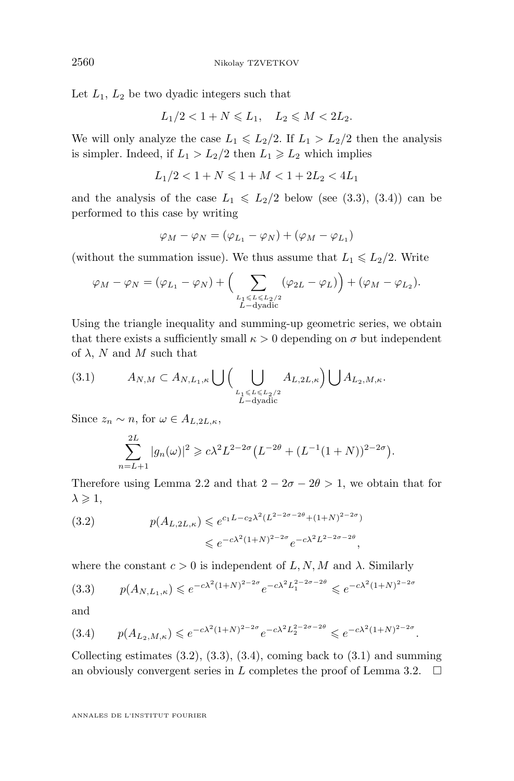Let  $L_1$ ,  $L_2$  be two dyadic integers such that

$$
L_1/2 < 1 + N \leqslant L_1, \quad L_2 \leqslant M < 2L_2.
$$

We will only analyze the case  $L_1 \leq L_2/2$ . If  $L_1 > L_2/2$  then the analysis is simpler. Indeed, if  $L_1 > L_2/2$  then  $L_1 \ge L_2$  which implies

$$
L_1/2<1+N\leqslant 1+M<1+2L_2<4L_1
$$

and the analysis of the case  $L_1 \le L_2/2$  below (see (3.3), (3.4)) can be performed to this case by writing

$$
\varphi_M - \varphi_N = (\varphi_{L_1} - \varphi_N) + (\varphi_M - \varphi_{L_1})
$$

(without the summation issue). We thus assume that  $L_1 \leq L_2/2$ . Write

$$
\varphi_M - \varphi_N = (\varphi_{L_1} - \varphi_N) + \Big(\sum_{\substack{L_1 \le L \le L_2/2 \\ L-\text{dyadic}}} (\varphi_{2L} - \varphi_L)\Big) + (\varphi_M - \varphi_{L_2}).
$$

Using the triangle inequality and summing-up geometric series, we obtain that there exists a sufficiently small  $\kappa > 0$  depending on  $\sigma$  but independent of  $\lambda$ , N and M such that

(3.1) 
$$
A_{N,M} \subset A_{N,L_1,\kappa} \bigcup \Big( \bigcup_{\substack{L_1 \le L \le L_2/2 \\ L-\text{dyadic}}} A_{L,2L,\kappa} \Big) \bigcup A_{L_2,M,\kappa}.
$$

Since  $z_n \sim n$ , for  $\omega \in A_{L,2L,\kappa}$ ,

$$
\sum_{n=L+1}^{2L} |g_n(\omega)|^2 \geq c\lambda^2 L^{2-2\sigma} \left( L^{-2\theta} + (L^{-1}(1+N))^{2-2\sigma} \right).
$$

Therefore using Lemma [2.2](#page-12-0) and that  $2 - 2\sigma - 2\theta > 1$ , we obtain that for  $\lambda \geqslant 1$ ,

(3.2) 
$$
p(A_{L,2L,\kappa}) \leq e^{c_1 L - c_2 \lambda^2 (L^{2-2\sigma - 2\theta} + (1+N)^{2-2\sigma})} \leq e^{-c\lambda^2 (1+N)^{2-2\sigma}} e^{-c\lambda^2 L^{2-2\sigma - 2\theta}},
$$

where the constant  $c > 0$  is independent of  $L, N, M$  and  $\lambda$ . Similarly

$$
(3.3) \qquad p(A_{N,L_1,\kappa}) \leqslant e^{-c\lambda^2(1+N)^{2-2\sigma}}e^{-c\lambda^2 L_1^{2-2\sigma - 2\theta}} \leqslant e^{-c\lambda^2(1+N)^{2-2\sigma}}
$$

and

$$
(3.4) \qquad p(A_{L_2,M,\kappa}) \leqslant e^{-c\lambda^2(1+N)^{2-2\sigma}} e^{-c\lambda^2 L_2^{2-2\sigma - 2\theta}} \leqslant e^{-c\lambda^2(1+N)^{2-2\sigma}}.
$$

Collecting estimates  $(3.2)$ ,  $(3.3)$ ,  $(3.4)$ , coming back to  $(3.1)$  and summing an obviously convergent series in L completes the proof of Lemma [3.2.](#page-17-0)  $\Box$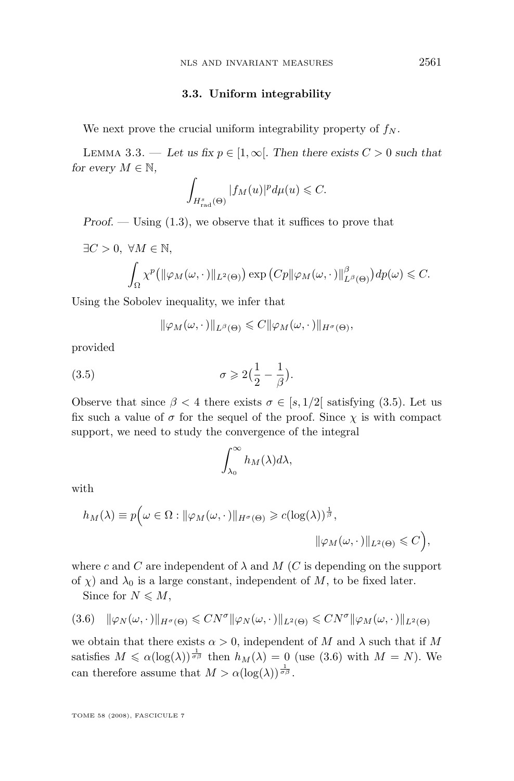## **3.3. Uniform integrability**

<span id="page-19-0"></span>We next prove the crucial uniform integrability property of  $f_N$ .

LEMMA 3.3. — Let us fix  $p \in [1,\infty]$ . Then there exists  $C > 0$  such that *for every*  $M \in \mathbb{N}$ *,* 

$$
\int_{H^s_{\text{rad}}(\Theta)} |f_M(u)|^p d\mu(u) \leqslant C.
$$

*Proof.* — Using  $(1.3)$ , we observe that it suffices to prove that

$$
\exists C > 0, \ \forall M \in \mathbb{N},
$$
  

$$
\int_{\Omega} \chi^{p} \left( \|\varphi_M(\omega, \cdot)\|_{L^2(\Theta)} \right) \exp\left(Cp \|\varphi_M(\omega, \cdot)\|_{L^{\beta}(\Theta)}^{\beta} \right) dp(\omega) \leq C.
$$

Using the Sobolev inequality, we infer that

$$
\|\varphi_M(\omega,\cdot)\|_{L^{\beta}(\Theta)} \leqslant C \|\varphi_M(\omega,\cdot)\|_{H^{\sigma}(\Theta)},
$$

provided

(3.5) 
$$
\sigma \geqslant 2\left(\frac{1}{2} - \frac{1}{\beta}\right).
$$

Observe that since  $\beta < 4$  there exists  $\sigma \in [s, 1/2]$  satisfying (3.5). Let us fix such a value of  $\sigma$  for the sequel of the proof. Since  $\chi$  is with compact support, we need to study the convergence of the integral

$$
\int_{\lambda_0}^{\infty} h_M(\lambda) d\lambda,
$$

with

$$
h_M(\lambda) \equiv p\Big(\omega \in \Omega : \|\varphi_M(\omega, \cdot)\|_{H^{\sigma}(\Theta)} \geq c(\log(\lambda))^{\frac{1}{\beta}},
$$
  

$$
\|\varphi_M(\omega, \cdot)\|_{L^2(\Theta)} \leq C\Big),
$$

where c and C are independent of  $\lambda$  and M (C is depending on the support of  $\chi$ ) and  $\lambda_0$  is a large constant, independent of M, to be fixed later.

Since for  $N \leqslant M$ ,

$$
(3.6)\quad \|\varphi_N(\omega,\cdot\,)\|_{H^\sigma(\Theta)} \leqslant CN^\sigma \|\varphi_N(\omega,\cdot\,)\|_{L^2(\Theta)} \leqslant CN^\sigma \|\varphi_M(\omega,\cdot\,)\|_{L^2(\Theta)}
$$

we obtain that there exists  $\alpha > 0$ , independent of M and  $\lambda$  such that if M satisfies  $M \leq \alpha(\log(\lambda))^{\frac{1}{\sigma\beta}}$  then  $h_M(\lambda) = 0$  (use (3.6) with  $M = N$ ). We can therefore assume that  $M > \alpha(\log(\lambda))^{\frac{1}{\sigma\beta}}$ .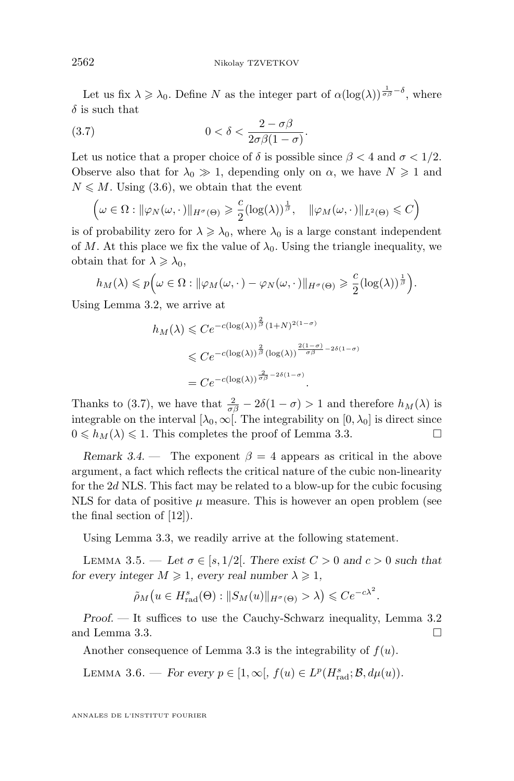<span id="page-20-0"></span>Let us fix  $\lambda \geq \lambda_0$ . Define N as the integer part of  $\alpha(\log(\lambda))^{\frac{1}{\sigma\beta}-\delta}$ , where  $\delta$  is such that

.

(3.7) 
$$
0 < \delta < \frac{2 - \sigma \beta}{2\sigma \beta (1 - \sigma)}
$$

Let us notice that a proper choice of  $\delta$  is possible since  $\beta < 4$  and  $\sigma < 1/2$ . Observe also that for  $\lambda_0 \gg 1$ , depending only on  $\alpha$ , we have  $N \geq 1$  and  $N \leq M$ . Using [\(3.6\)](#page-19-0), we obtain that the event

$$
\left(\omega \in \Omega : \|\varphi_N(\omega,\cdot)\|_{H^{\sigma}(\Theta)} \geq \frac{c}{2} (\log(\lambda))^{\frac{1}{\beta}}, \quad \|\varphi_M(\omega,\cdot)\|_{L^2(\Theta)} \leq C\right)
$$

is of probability zero for  $\lambda \geq \lambda_0$ , where  $\lambda_0$  is a large constant independent of M. At this place we fix the value of  $\lambda_0$ . Using the triangle inequality, we obtain that for  $\lambda \geqslant \lambda_0$ ,

$$
h_M(\lambda) \leqslant p\Big(\omega \in \Omega : \|\varphi_M(\omega,\cdot\,) - \varphi_N(\omega,\cdot\,)\|_{H^\sigma(\Theta)} \geqslant \frac{c}{2}(\log(\lambda))^{\frac{1}{\beta}}\Big).
$$

Using Lemma [3.2,](#page-17-0) we arrive at

$$
h_M(\lambda) \leq C e^{-c(\log(\lambda))^{\frac{2}{\beta}}(1+N)^{2(1-\sigma)}}
$$
  
\$\leq C e^{-c(\log(\lambda))^{\frac{2}{\beta}}(\log(\lambda))^{\frac{2(1-\sigma)}{\sigma\beta}-2\delta(1-\sigma)}\$}  
= C e^{-c(\log(\lambda))^{\frac{2}{\sigma\beta}-2\delta(1-\sigma)}}.

Thanks to (3.7), we have that  $\frac{2}{\sigma\beta} - 2\delta(1-\sigma) > 1$  and therefore  $h_M(\lambda)$  is integrable on the interval  $[\lambda_0,\infty]$ . The integrability on  $[0,\lambda_0]$  is direct since  $0 \leq h_M(\lambda) \leq 1$ . This completes the proof of Lemma [3.3.](#page-19-0)

*Remark 3.4.* — The exponent  $\beta = 4$  appears as critical in the above argument, a fact which reflects the critical nature of the cubic non-linearity for the  $2d$  NLS. This fact may be related to a blow-up for the cubic focusing NLS for data of positive  $\mu$  measure. This is however an open problem (see the final section of [\[12\]](#page-62-0)).

Using Lemma [3.3,](#page-19-0) we readily arrive at the following statement.

LEMMA 3.5. — Let  $\sigma \in [s, 1/2]$ . There exist  $C > 0$  and  $c > 0$  such that *for every integer*  $M \geq 1$ , *every real number*  $\lambda \geq 1$ ,

$$
\tilde{\rho}_M\big(u \in H_{\text{rad}}^s(\Theta) : \|S_M(u)\|_{H^{\sigma}(\Theta)} > \lambda\big) \leqslant Ce^{-c\lambda^2}.
$$

*Proof.* — It suffices to use the Cauchy-Schwarz inequality, Lemma [3.2](#page-17-0) and Lemma [3.3.](#page-19-0)

Another consequence of Lemma [3.3](#page-19-0) is the integrability of  $f(u)$ .

LEMMA 3.6. — *For every*  $p \in [1, \infty], f(u) \in L^p(H_{\text{rad}}^s; \mathcal{B}, d\mu(u)).$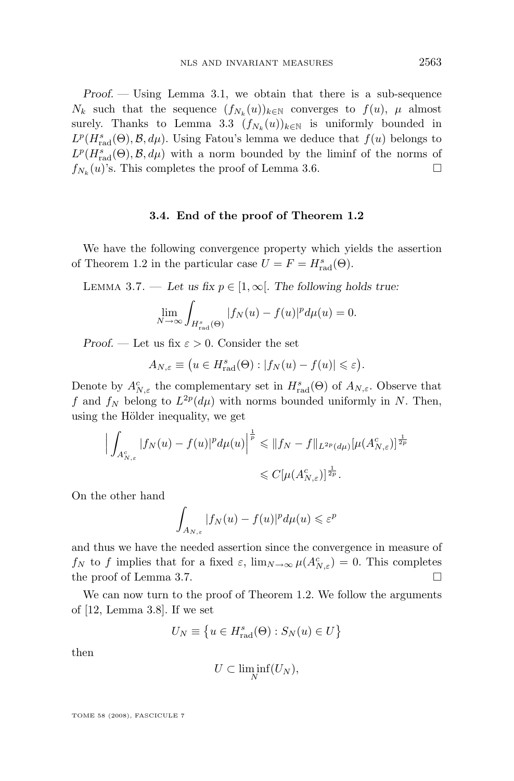<span id="page-21-0"></span>*Proof. —* Using Lemma [3.1,](#page-17-0) we obtain that there is a sub-sequence  $N_k$  such that the sequence  $(f_{N_k}(u))_{k\in\mathbb{N}}$  converges to  $f(u)$ ,  $\mu$  almost surely. Thanks to Lemma [3.3](#page-19-0)  $(f_{N_k}(u))_{k \in \mathbb{N}}$  is uniformly bounded in  $L^p(H_{\text{rad}}^s(\Theta), \mathcal{B}, d\mu)$ . Using Fatou's lemma we deduce that  $f(u)$  belongs to  $L^p(H_{\text{rad}}^s(\Theta), \mathcal{B}, d\mu)$  with a norm bounded by the liminf of the norms of  $f_{N_k}(u)$ 's. This completes the proof of Lemma [3.6.](#page-20-0)

## **3.4. End of the proof of Theorem [1.2](#page-9-0)**

We have the following convergence property which yields the assertion of Theorem [1.2](#page-9-0) in the particular case  $U = F = H_{\text{rad}}^{s}(\Theta)$ .

LEMMA 3.7. — Let us fix  $p \in [1,\infty]$ . The following holds true:

$$
\lim_{N \to \infty} \int_{H_{\text{rad}}^s(\Theta)} |f_N(u) - f(u)|^p d\mu(u) = 0.
$$

*Proof.* — Let us fix  $\varepsilon > 0$ . Consider the set

$$
A_{N,\varepsilon} \equiv \big( u \in H_{\text{rad}}^s(\Theta) : |f_N(u) - f(u)| \leqslant \varepsilon \big).
$$

Denote by  $A_{N,\varepsilon}^c$  the complementary set in  $H_{\text{rad}}^s(\Theta)$  of  $A_{N,\varepsilon}$ . Observe that f and  $f_N$  belong to  $L^{2p}(d\mu)$  with norms bounded uniformly in N. Then, using the Hölder inequality, we get

$$
\left| \int_{A_{N,\varepsilon}^c} |f_N(u) - f(u)|^p d\mu(u) \right|^{\frac{1}{p}} \leq \|f_N - f\|_{L^{2p}(d\mu)} [\mu(A_{N,\varepsilon}^c)]^{\frac{1}{2p}} \leq C[\mu(A_{N,\varepsilon}^c)]^{\frac{1}{2p}}.
$$

On the other hand

$$
\int_{A_{N,\varepsilon}} |f_N(u) - f(u)|^p d\mu(u) \leqslant \varepsilon^p
$$

and thus we have the needed assertion since the convergence in measure of  $f_N$  to f implies that for a fixed  $\varepsilon$ ,  $\lim_{N\to\infty}\mu(A_{N,\varepsilon}^c)=0$ . This completes the proof of Lemma 3.7.

We can now turn to the proof of Theorem [1.2.](#page-9-0) We follow the arguments of [\[12,](#page-62-0) Lemma 3.8]. If we set

$$
U_N \equiv \left\{ u \in H_{\text{rad}}^s(\Theta) : S_N(u) \in U \right\}
$$

then

$$
U\subset \liminf_N (U_N),
$$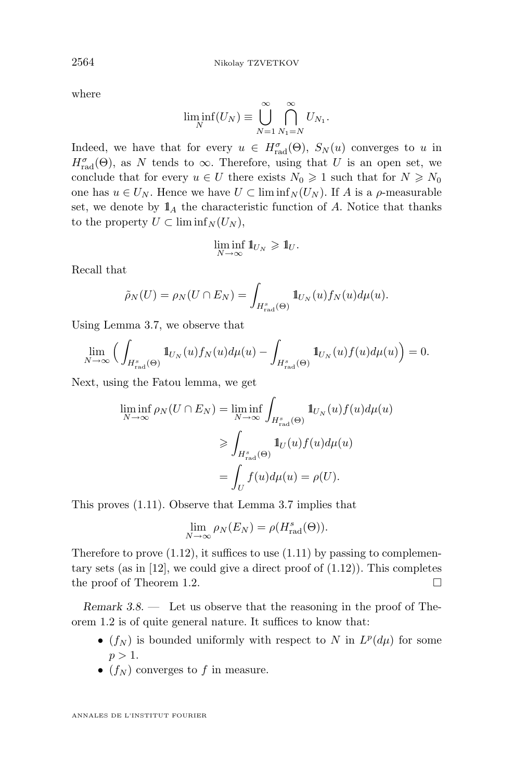where

$$
\liminf_{N}(U_N) \equiv \bigcup_{N=1}^{\infty} \bigcap_{N_1=N}^{\infty} U_{N_1}.
$$

Indeed, we have that for every  $u \in H_{rad}^{\sigma}(\Theta)$ ,  $S_N(u)$  converges to u in  $H_{\text{rad}}^{\sigma}(\Theta)$ , as N tends to  $\infty$ . Therefore, using that U is an open set, we conclude that for every  $u \in U$  there exists  $N_0 \geq 1$  such that for  $N \geq N_0$ one has  $u \in U_N$ . Hence we have  $U \subset \liminf_N (U_N)$ . If A is a  $\rho$ -measurable set, we denote by  $\mathbb{1}_A$  the characteristic function of A. Notice that thanks to the property  $U \subset \liminf_{N} (U_N)$ ,

$$
\liminf_{N\to\infty}1\hskip-2.6pt{\rm l}_{U_N}\geqslant 1\hskip-2.6pt{\rm l}_U.
$$

Recall that

$$
\tilde{\rho}_N(U) = \rho_N(U \cap E_N) = \int_{H_{\text{rad}}^s(\Theta)} \mathbb{1}_{U_N}(u) f_N(u) d\mu(u).
$$

Using Lemma [3.7,](#page-21-0) we observe that

$$
\lim_{N \to \infty} \Big( \int_{H^s_{\text{rad}}(\Theta)} \mathbb{1}_{U_N}(u) f_N(u) d\mu(u) - \int_{H^s_{\text{rad}}(\Theta)} \mathbb{1}_{U_N}(u) f(u) d\mu(u) \Big) = 0.
$$

Next, using the Fatou lemma, we get

$$
\liminf_{N \to \infty} \rho_N(U \cap E_N) = \liminf_{N \to \infty} \int_{H^s_{\text{rad}}(\Theta)} 1\!\!1_{U_N}(u) f(u) d\mu(u)
$$

$$
\geqslant \int_{H^s_{\text{rad}}(\Theta)} 1\!\!1_{U}(u) f(u) d\mu(u)
$$

$$
= \int_U f(u) d\mu(u) = \rho(U).
$$

This proves [\(1.11\)](#page-9-0). Observe that Lemma [3.7](#page-21-0) implies that

$$
\lim_{N \to \infty} \rho_N(E_N) = \rho(H_{\text{rad}}^s(\Theta)).
$$

Therefore to prove  $(1.12)$ , it suffices to use  $(1.11)$  by passing to complementary sets (as in  $[12]$ , we could give a direct proof of  $(1.12)$ ). This completes the proof of Theorem [1.2.](#page-9-0)

*Remark 3.8. —* Let us observe that the reasoning in the proof of Theorem [1.2](#page-9-0) is of quite general nature. It suffices to know that:

- $(f_N)$  is bounded uniformly with respect to N in  $L^p(d\mu)$  for some  $p > 1$ .
- $(f_N)$  converges to f in measure.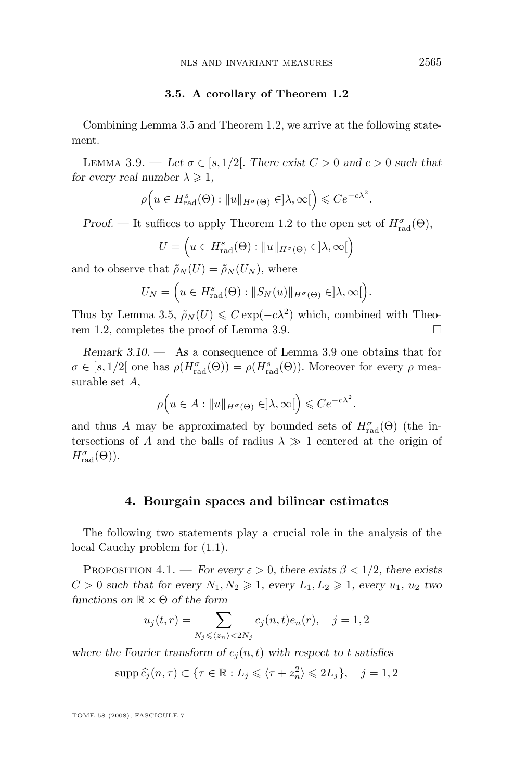## **3.5. A corollary of Theorem [1.2](#page-9-0)**

<span id="page-23-0"></span>Combining Lemma [3.5](#page-20-0) and Theorem [1.2,](#page-9-0) we arrive at the following statement.

LEMMA 3.9. — Let  $\sigma \in [s, 1/2]$ . There exist  $C > 0$  and  $c > 0$  such that *for every real number*  $\lambda \geq 1$ *,* 

$$
\rho\Big(u \in H^s_{\text{rad}}(\Theta) : \|u\|_{H^{\sigma}(\Theta)} \in ]\lambda, \infty[\Big) \leqslant Ce^{-c\lambda^2}.
$$

*Proof.* — It suffices to apply Theorem [1.2](#page-9-0) to the open set of  $H_{\text{rad}}^{\sigma}(\Theta)$ ,

$$
U = \left(u \in H_{\text{rad}}^s(\Theta) : ||u||_{H^{\sigma}(\Theta)} \in ]\lambda, \infty[\right)
$$

and to observe that  $\tilde{\rho}_N(U) = \tilde{\rho}_N(U_N)$ , where

$$
U_N = \Big(u \in H_{\text{rad}}^s(\Theta) : ||S_N(u)||_{H^{\sigma}(\Theta)} \in ]\lambda, \infty[ \Big).
$$

Thus by Lemma [3.5,](#page-20-0)  $\tilde{\rho}_N(U) \leq C \exp(-c\lambda^2)$  which, combined with Theo-rem [1.2,](#page-9-0) completes the proof of Lemma 3.9.  $\Box$ 

*Remark 3.10. —* As a consequence of Lemma 3.9 one obtains that for  $\sigma \in [s, 1/2]$  one has  $\rho(H_{\text{rad}}^{\sigma}(\Theta)) = \rho(H_{\text{rad}}^s(\Theta))$ . Moreover for every  $\rho$  measurable set A,

$$
\rho\Big(u\in A:\|u\|_{H^{\sigma}(\Theta)}\in]\lambda,\infty[\Big)\leqslant Ce^{-c\lambda^2}.
$$

and thus A may be approximated by bounded sets of  $H_{\text{rad}}^{\sigma}(\Theta)$  (the intersections of A and the balls of radius  $\lambda \gg 1$  centered at the origin of  $H_{\mathrm{rad}}^{\sigma}(\Theta)).$ 

## **4. Bourgain spaces and bilinear estimates**

The following two statements play a crucial role in the analysis of the local Cauchy problem for [\(1.1\)](#page-2-0).

PROPOSITION 4.1. — *For every*  $\varepsilon > 0$ *, there exists*  $\beta < 1/2$ *, there exists*  $C > 0$  *such that for every*  $N_1, N_2 \geq 1$ , every  $L_1, L_2 \geq 1$ , every  $u_1, u_2$  two *functions on* R × Θ *of the form*

$$
u_j(t,r)=\sum_{N_j\leqslant \langle z_n\rangle<2N_j}c_j(n,t)e_n(r),\quad j=1,2
$$

where the Fourier transform of  $c_j(n, t)$  with respect to t satisfies

$$
\operatorname{supp} \widehat{c}_j(n,\tau) \subset \{\tau \in \mathbb{R} : L_j \leqslant \langle \tau + z_n^2 \rangle \leqslant 2L_j\}, \quad j = 1, 2
$$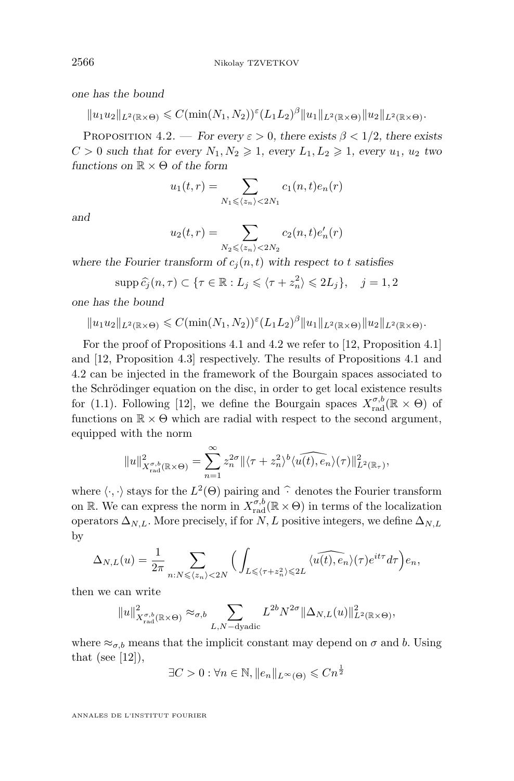<span id="page-24-0"></span>*one has the bound*

$$
||u_1u_2||_{L^2(\mathbb{R}\times\Theta)} \leqslant C(\min(N_1,N_2))^{\varepsilon}(L_1L_2)^{\beta}||u_1||_{L^2(\mathbb{R}\times\Theta)}||u_2||_{L^2(\mathbb{R}\times\Theta)}.
$$

PROPOSITION 4.2. — *For every*  $\varepsilon > 0$ *, there exists*  $\beta < 1/2$ *, there exists*  $C > 0$  *such that for every*  $N_1, N_2 \geq 1$ , every  $L_1, L_2 \geq 1$ , every  $u_1, u_2$  two *functions on* R × Θ *of the form*

$$
u_1(t,r) = \sum_{N_1 \leqslant \langle z_n \rangle < 2N_1} c_1(n,t)e_n(r)
$$

*and*

$$
u_2(t,r) = \sum_{N_2 \leq \langle z_n \rangle < 2N_2} c_2(n,t) e'_n(r)
$$

where the Fourier transform of  $c_i(n, t)$  with respect to t satisfies

$$
\operatorname{supp} \widehat{c}_j(n,\tau) \subset \{\tau \in \mathbb{R} : L_j \leq \langle \tau + z_n^2 \rangle \leq 2L_j\}, \quad j = 1, 2
$$

*one has the bound*

$$
||u_1u_2||_{L^2(\mathbb{R}\times\Theta)} \leqslant C(\min(N_1,N_2))^{\varepsilon}(L_1L_2)^{\beta}||u_1||_{L^2(\mathbb{R}\times\Theta)}||u_2||_{L^2(\mathbb{R}\times\Theta)}.
$$

For the proof of Propositions [4.1](#page-23-0) and 4.2 we refer to [\[12,](#page-62-0) Proposition 4.1] and [\[12,](#page-62-0) Proposition 4.3] respectively. The results of Propositions [4.1](#page-23-0) and 4.2 can be injected in the framework of the Bourgain spaces associated to the Schrödinger equation on the disc, in order to get local existence results for [\(1.1\)](#page-2-0). Following [\[12\]](#page-62-0), we define the Bourgain spaces  $X_{\text{rad}}^{\sigma,b}(\mathbb{R} \times \Theta)$  of functions on  $\mathbb{R} \times \Theta$  which are radial with respect to the second argument, equipped with the norm

$$
||u||^2_{X^{ \sigma,b}_{\mathrm{rad}}(\mathbb{R}\times\Theta)} = \sum_{n=1}^{\infty} z_n^{2\sigma} ||\langle \tau + z_n^2 \rangle^b \langle \widehat{u(t),e_n} \rangle(\tau) ||^2_{L^2(\mathbb{R}_\tau)},
$$

where  $\langle \cdot, \cdot \rangle$  stays for the  $L^2(\Theta)$  pairing and  $\hat{\cdot}$  denotes the Fourier transform on R. We can express the norm in  $X_{\text{rad}}^{\sigma,b}(\mathbb{R} \times \Theta)$  in terms of the localization operators  $\Delta_{N,L}$ . More precisely, if for N, L positive integers, we define  $\Delta_{N,L}$ by

$$
\Delta_{N,L}(u) = \frac{1}{2\pi} \sum_{n:N \leqslant \langle z_n \rangle < 2N} \Big( \int_{L \leqslant \langle \tau + z_n^2 \rangle \leqslant 2L} \langle \widehat{u(t),e_n} \rangle (\tau) e^{it\tau} d\tau \Big) e_n,
$$

then we can write

$$
||u||^2_{X_{\text{rad}}^{\sigma,b}(\mathbb{R}\times\Theta)} \approx_{\sigma,b} \sum_{L,N-\text{dyadic}} L^{2b}N^{2\sigma}||\Delta_{N,L}(u)||^2_{L^2(\mathbb{R}\times\Theta)},
$$

where  $\approx_{\sigma,b}$  means that the implicit constant may depend on  $\sigma$  and b. Using that (see  $[12]$ ),

 $\exists C > 0 : \forall n \in \mathbb{N}, ||e_n||_{L^{\infty}(\Theta)} \leqslant C n^{\frac{1}{2}}$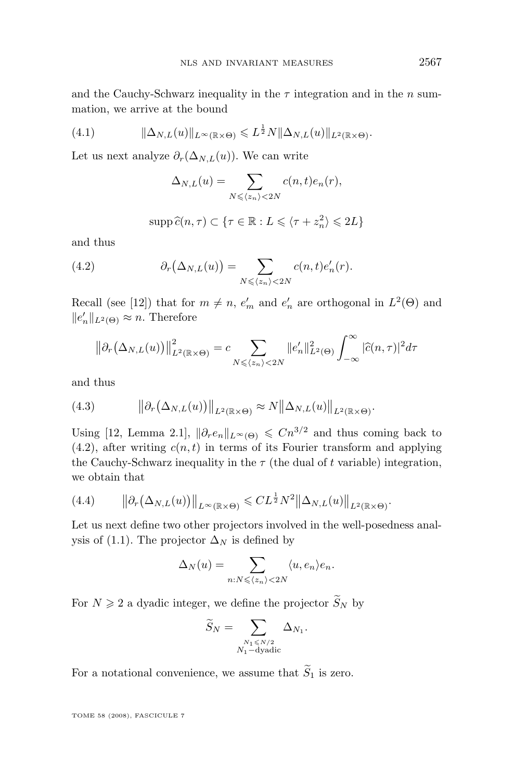<span id="page-25-0"></span>and the Cauchy-Schwarz inequality in the  $\tau$  integration and in the n summation, we arrive at the bound

(4.1) 
$$
\|\Delta_{N,L}(u)\|_{L^{\infty}(\mathbb{R}\times\Theta)} \leqslant L^{\frac{1}{2}}N\|\Delta_{N,L}(u)\|_{L^{2}(\mathbb{R}\times\Theta)}.
$$

Let us next analyze  $\partial_r(\Delta_{N,L}(u))$ . We can write

$$
\Delta_{N,L}(u) = \sum_{N \le \langle z_n \rangle < 2N} c(n,t)e_n(r),
$$

$$
\operatorname{supp} \widehat{c}(n,\tau) \subset \{\tau \in \mathbb{R} : L \leqslant \langle \tau + z_n^2 \rangle \leqslant 2L\}
$$

and thus

(4.2) 
$$
\partial_r(\Delta_{N,L}(u)) = \sum_{N \leqslant \langle z_n \rangle < 2N} c(n,t) e'_n(r).
$$

Recall (see [\[12\]](#page-62-0)) that for  $m \neq n$ ,  $e'_{m}$  and  $e'_{n}$  are orthogonal in  $L^{2}(\Theta)$  and  $||e_n'||_{L^2(\Theta)} \approx n$ . Therefore

$$
\left\|\partial_r(\Delta_{N,L}(u))\right\|_{L^2(\mathbb{R}\times\Theta)}^2 = c \sum_{N\leqslant\langle z_n\rangle\langle 2N} \|e'_n\|_{L^2(\Theta)}^2 \int_{-\infty}^\infty |\widehat{c}(n,\tau)|^2 d\tau
$$

and thus

(4.3) 
$$
\|\partial_r(\Delta_{N,L}(u))\|_{L^2(\mathbb{R}\times\Theta)} \approx N\|\Delta_{N,L}(u)\|_{L^2(\mathbb{R}\times\Theta)}.
$$

Using [\[12,](#page-62-0) Lemma 2.1],  $\|\partial_r e_n\|_{L^\infty(\Theta)} \leq Cn^{3/2}$  and thus coming back to  $(4.2)$ , after writing  $c(n, t)$  in terms of its Fourier transform and applying the Cauchy-Schwarz inequality in the  $\tau$  (the dual of t variable) integration, we obtain that

(4.4) 
$$
\|\partial_r(\Delta_{N,L}(u))\|_{L^\infty(\mathbb{R}\times\Theta)} \leqslant CL^{\frac{1}{2}}N^2\|\Delta_{N,L}(u)\|_{L^2(\mathbb{R}\times\Theta)}.
$$

Let us next define two other projectors involved in the well-posedness anal-ysis of [\(1.1\)](#page-2-0). The projector  $\Delta_N$  is defined by

$$
\Delta_N(u) = \sum_{n:N \leqslant \langle z_n \rangle < 2N} \langle u, e_n \rangle e_n.
$$

For  $N \geq 2$  a dyadic integer, we define the projector  $\widetilde{S}_N$  by

$$
\widetilde{S}_N = \sum_{\substack{N_1 \le N/2 \\ N_1 - \text{dyadic}}} \Delta_{N_1}.
$$

For a notational convenience, we assume that  $\widetilde{S}_1$  is zero.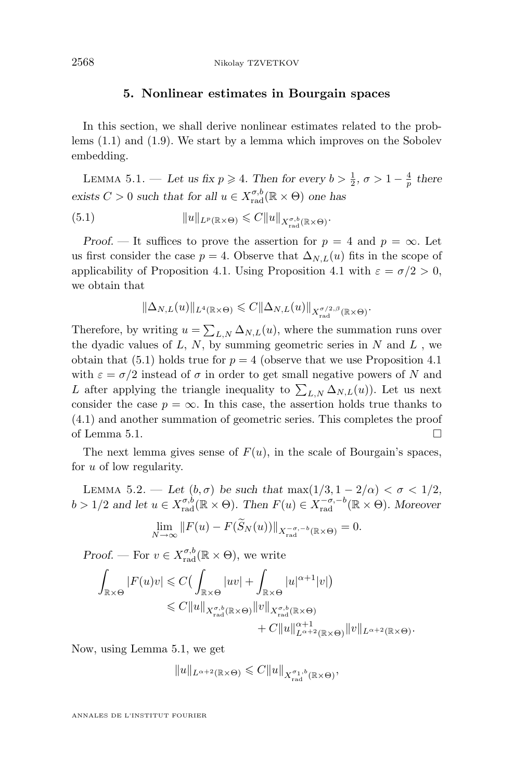## **5. Nonlinear estimates in Bourgain spaces**

<span id="page-26-0"></span>In this section, we shall derive nonlinear estimates related to the problems [\(1.1\)](#page-2-0) and [\(1.9\)](#page-7-0). We start by a lemma which improves on the Sobolev embedding.

LEMMA 5.1. — Let us fix  $p \ge 4$ . Then for every  $b > \frac{1}{2}$ ,  $\sigma > 1 - \frac{4}{p}$  there exists  $C > 0$  *such that for all*  $u \in X_{\text{rad}}^{\sigma,b}(\mathbb{R} \times \Theta)$  *one has* 

(5.1) 
$$
||u||_{L^p(\mathbb{R}\times\Theta)} \leq C||u||_{X_{\text{rad}}^{\sigma,b}(\mathbb{R}\times\Theta)}.
$$

*Proof.* — It suffices to prove the assertion for  $p = 4$  and  $p = \infty$ . Let us first consider the case  $p = 4$ . Observe that  $\Delta_{N,L}(u)$  fits in the scope of applicability of Proposition [4.1.](#page-23-0) Using Proposition [4.1](#page-23-0) with  $\varepsilon = \sigma/2 > 0$ , we obtain that

$$
\|\Delta_{N,L}(u)\|_{L^4(\mathbb{R}\times\Theta)}\leqslant C\|\Delta_{N,L}(u)\|_{X_{\rm rad}^{\sigma/2,\beta}(\mathbb{R}\times\Theta)}.
$$

Therefore, by writing  $u = \sum_{L,N} \Delta_{N,L}(u)$ , where the summation runs over the dyadic values of  $L, N$ , by summing geometric series in  $N$  and  $L$ , we obtain that (5.1) holds true for  $p = 4$  (observe that we use Proposition [4.1](#page-23-0)) with  $\varepsilon = \sigma/2$  instead of  $\sigma$  in order to get small negative powers of N and L after applying the triangle inequality to  $\sum_{L,N} \Delta_{N,L}(u)$ . Let us next consider the case  $p = \infty$ . In this case, the assertion holds true thanks to [\(4.1\)](#page-25-0) and another summation of geometric series. This completes the proof of Lemma 5.1.  $\Box$ 

The next lemma gives sense of  $F(u)$ , in the scale of Bourgain's spaces, for u of low regularity.

LEMMA 5.2. — Let  $(b, \sigma)$  be such that  $\max(1/3, 1 - 2/\alpha) < \sigma < 1/2$ ,  $b > 1/2$  and let  $u \in X_{\text{rad}}^{\sigma,b}(\mathbb{R} \times \Theta)$ . Then  $F(u) \in X_{\text{rad}}^{-\sigma,-b}(\mathbb{R} \times \Theta)$ . Moreover

$$
\lim_{N \to \infty} ||F(u) - F(\tilde{S}_N(u))||_{X_{\text{rad}}^{-\sigma, -b}(\mathbb{R} \times \Theta)} = 0.
$$

*Proof.* — For  $v \in X_{\text{rad}}^{\sigma,b}(\mathbb{R} \times \Theta)$ , we write

$$
\int_{\mathbb{R}\times\Theta} |F(u)v| \leqslant C\left(\int_{\mathbb{R}\times\Theta} |uv| + \int_{\mathbb{R}\times\Theta} |u|^{\alpha+1}|v|\right)
$$
  

$$
\leqslant C||u||_{X_{\text{rad}}^{\sigma,b}(\mathbb{R}\times\Theta)}||v||_{X_{\text{rad}}^{\sigma,b}(\mathbb{R}\times\Theta)}
$$
  

$$
+ C||u||_{L^{\alpha+2}(\mathbb{R}\times\Theta)}||v||_{L^{\alpha+2}(\mathbb{R}\times\Theta)}.
$$

Now, using Lemma 5.1, we get

$$
\|u\|_{L^{\alpha+2}(\mathbb{R}\times \Theta)}\leqslant C\|u\|_{X_{\mathrm{rad}}^{\sigma_1,b}(\mathbb{R}\times \Theta)},
$$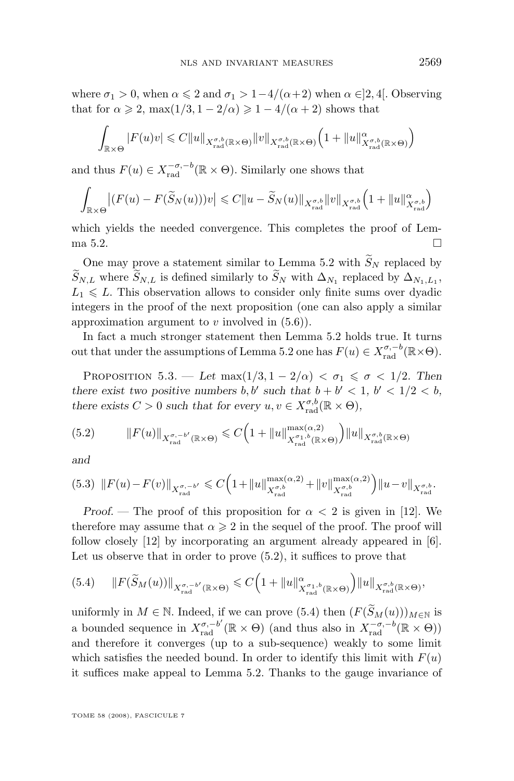<span id="page-27-0"></span>where  $\sigma_1 > 0$ , when  $\alpha \leq 2$  and  $\sigma_1 > 1-4/(\alpha+2)$  when  $\alpha \in ]2, 4[$ . Observing that for  $\alpha \geq 2$ , max $(1/3, 1 - 2/\alpha) \geq 1 - 4/(\alpha + 2)$  shows that

$$
\int_{\mathbb{R}\times\Theta} |F(u)v| \leq C \|u\|_{X^{\sigma,b}_{\text{rad}}(\mathbb{R}\times\Theta)} \|v\|_{X^{\sigma,b}_{\text{rad}}(\mathbb{R}\times\Theta)} \Big(1 + \|u\|^{\alpha}_{X^{\sigma,b}_{\text{rad}}(\mathbb{R}\times\Theta)}\Big)
$$

and thus  $F(u) \in X_{rad}^{-\sigma,-b}(\mathbb{R} \times \Theta)$ . Similarly one shows that

$$
\int_{\mathbb{R}\times\Theta} \left| (F(u) - F(\widetilde{S}_N(u)))v \right| \leq C \|u - \widetilde{S}_N(u)\|_{X_{\text{rad}}^{\sigma,b}} \|v\|_{X_{\text{rad}}^{\sigma,b}} \left(1 + \|u\|_{X_{\text{rad}}^{\sigma,b}}^{\alpha}\right)
$$

which yields the needed convergence. This completes the proof of Lem-ma [5.2.](#page-26-0)

One may prove a statement similar to Lemma [5.2](#page-26-0) with  $\widetilde{S}_N$  replaced by  $S_{N,L}$  where  $S_{N,L}$  is defined similarly to  $S_N$  with  $\Delta_{N_1}$  replaced by  $\Delta_{N_1,L_1}$ ,  $L_1 \leq L$ . This observation allows to consider only finite sums over dyadic integers in the proof of the next proposition (one can also apply a similar approximation argument to v involved in  $(5.6)$ .

In fact a much stronger statement then Lemma [5.2](#page-26-0) holds true. It turns out that under the assumptions of Lemma [5.2](#page-26-0) one has  $F(u) \in X_{\text{rad}}^{\sigma,-b}(\mathbb{R} \times \Theta)$ .

PROPOSITION 5.3. — Let  $\max(1/3, 1-2/\alpha) < \sigma_1 \leq \sigma < 1/2$ . Then *there exist two positive numbers*  $b, b'$  such that  $b + b' < 1, b' < 1/2 < b$ , *there exists*  $C > 0$  *such that for every*  $u, v \in X_{\text{rad}}^{\sigma, b}(\mathbb{R} \times \Theta)$ ,

(5.2) 
$$
||F(u)||_{X_{\text{rad}}^{\sigma,-b'}(\mathbb{R}\times\Theta)} \leq C\Big(1+||u||_{X_{\text{rad}}^{\sigma_1,b}(\mathbb{R}\times\Theta)}^{\max(\alpha,2)}\Big)||u||_{X_{\text{rad}}^{\sigma,b}(\mathbb{R}\times\Theta)}
$$

*and*

$$
(5.3)\ \ \|F(u) - F(v)\|_{X_{\text{rad}}^{\sigma, -b'}} \leqslant C\Big(1 + \|u\|_{X_{\text{rad}}^{\sigma,b}}^{\max(\alpha,2)} + \|v\|_{X_{\text{rad}}^{\sigma,b}}^{\max(\alpha,2)}\Big) \|u - v\|_{X_{\text{rad}}^{\sigma,b}}.
$$

*Proof.* — The proof of this proposition for  $\alpha < 2$  is given in [\[12\]](#page-62-0). We therefore may assume that  $\alpha \geq 2$  in the sequel of the proof. The proof will follow closely [\[12\]](#page-62-0) by incorporating an argument already appeared in [\[6\]](#page-62-0). Let us observe that in order to prove (5.2), it suffices to prove that

$$
(5.4) \qquad ||F(\widetilde{S}_M(u))||_{X_{\mathrm{rad}}^{\sigma,-b'}(\mathbb{R}\times\Theta)} \leqslant C\Big(1+||u||^{\alpha}_{X_{\mathrm{rad}}^{\sigma_1,b}(\mathbb{R}\times\Theta)}\Big)||u||_{X_{\mathrm{rad}}^{\sigma,b}(\mathbb{R}\times\Theta)},
$$

uniformly in  $M \in \mathbb{N}$ . Indeed, if we can prove (5.4) then  $(F(\widetilde{S}_M(u)))_{M \in \mathbb{N}}$  is a bounded sequence in  $X_{\text{rad}}^{\sigma,-b'}(\mathbb{R}\times\Theta)$  (and thus also in  $X_{\text{rad}}^{-\sigma,-b}(\mathbb{R}\times\Theta)$ ) and therefore it converges (up to a sub-sequence) weakly to some limit which satisfies the needed bound. In order to identify this limit with  $F(u)$ it suffices make appeal to Lemma [5.2.](#page-26-0) Thanks to the gauge invariance of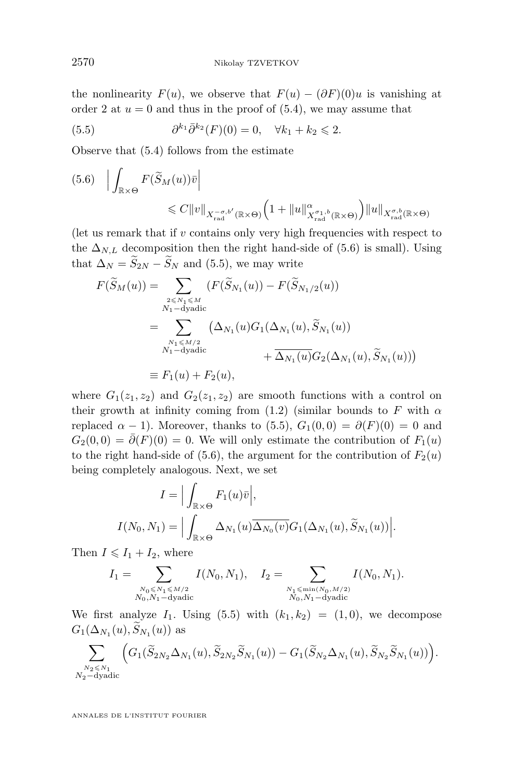<span id="page-28-0"></span>the nonlinearity  $F(u)$ , we observe that  $F(u) - (\partial F)(0)u$  is vanishing at order 2 at  $u = 0$  and thus in the proof of [\(5.4\)](#page-27-0), we may assume that

(5.5) 
$$
\partial^{k_1} \bar{\partial}^{k_2}(F)(0) = 0, \quad \forall k_1 + k_2 \leq 2.
$$

Observe that [\(5.4\)](#page-27-0) follows from the estimate

$$
(5.6) \quad \Big| \int_{\mathbb{R} \times \Theta} F(\widetilde{S}_M(u)) \bar{v} \Big|
$$
  
\$\leq C \|v\|\_{X^{-\sigma,b'}\_{\text{rad}}} (\mathbb{R} \times \Theta) \Big(1 + \|u\|^{\alpha}\_{X^{\sigma\_1,b}\_{\text{rad}}(\mathbb{R} \times \Theta)}\Big) \|u\|\_{X^{\sigma,b}\_{\text{rad}}(\mathbb{R} \times \Theta)}

(let us remark that if  $v$  contains only very high frequencies with respect to the  $\Delta_{N,L}$  decomposition then the right hand-side of (5.6) is small). Using that  $\Delta_N = \widetilde{S}_{2N} - \widetilde{S}_N$  and (5.5), we may write

$$
F(\widetilde{S}_M(u)) = \sum_{\substack{2 \le N_1 \le M \\ N_1 - \text{dyadic}}} (F(\widetilde{S}_{N_1}(u)) - F(\widetilde{S}_{N_1/2}(u))
$$
  
= 
$$
\sum_{\substack{N_1 \le M/2 \\ N_1 - \text{dyadic}}} (\Delta_{N_1}(u)G_1(\Delta_{N_1}(u), \widetilde{S}_{N_1}(u))
$$
  
+ 
$$
\overline{\Delta_{N_1}(u)}G_2(\Delta_{N_1}(u), \widetilde{S}_{N_1}(u)))
$$
  
\equiv  $F_1(u) + F_2(u)$ ,

where  $G_1(z_1, z_2)$  and  $G_2(z_1, z_2)$  are smooth functions with a control on their growth at infinity coming from [\(1.2\)](#page-2-0) (similar bounds to F with  $\alpha$ replaced  $\alpha - 1$ ). Moreover, thanks to (5.5),  $G_1(0,0) = \partial(F)(0) = 0$  and  $G_2(0,0) = \overline{\partial}(F)(0) = 0$ . We will only estimate the contribution of  $F_1(u)$ to the right hand-side of (5.6), the argument for the contribution of  $F_2(u)$ being completely analogous. Next, we set

$$
I = \Big| \int_{\mathbb{R} \times \Theta} F_1(u)\overline{v} \Big|,
$$
  

$$
I(N_0, N_1) = \Big| \int_{\mathbb{R} \times \Theta} \Delta_{N_1}(u) \overline{\Delta_{N_0}(v)} G_1(\Delta_{N_1}(u), \widetilde{S}_{N_1}(u)) \Big|.
$$

Then  $I \leq I_1 + I_2$ , where

$$
I_1 = \sum_{\substack{N_0 \leq N_1 \leq M/2 \\ N_0, N_1 - dyadic}} I(N_0, N_1), \quad I_2 = \sum_{\substack{N_1 \leq \min(N_0, M/2) \\ N_0, N_1 - dyadic}} I(N_0, N_1).
$$

We first analyze  $I_1$ . Using (5.5) with  $(k_1, k_2) = (1, 0)$ , we decompose  $G_1(\Delta_{N_1}(u), S_{N_1}(u))$  as

$$
\sum_{\substack{N_2\leqslant N_1\\N_2-\mathrm{dyadic}}}\Big(G_1(\widetilde{S}_{2N_2}\Delta_{N_1}(u),\widetilde{S}_{2N_2}\widetilde{S}_{N_1}(u))-G_1(\widetilde{S}_{N_2}\Delta_{N_1}(u),\widetilde{S}_{N_2}\widetilde{S}_{N_1}(u))\Big).
$$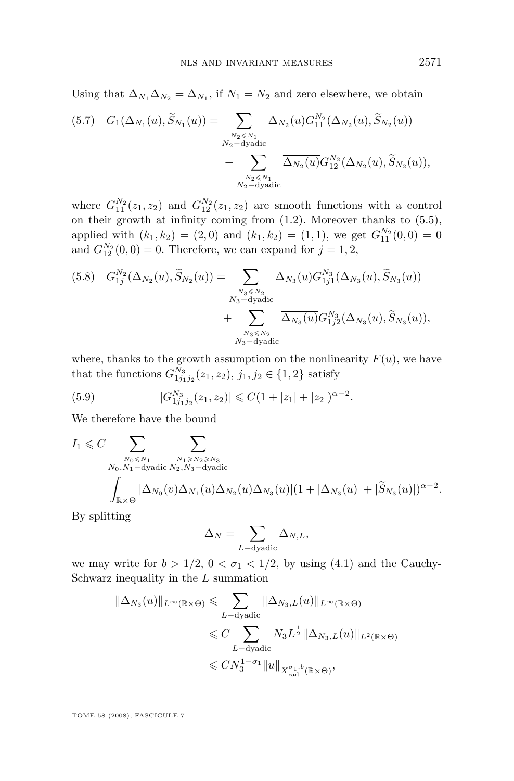<span id="page-29-0"></span>Using that  $\Delta_{N_1} \Delta_{N_2} = \Delta_{N_1}$ , if  $N_1 = N_2$  and zero elsewhere, we obtain

$$
(5.7) \quad G_1(\Delta_{N_1}(u), \widetilde{S}_{N_1}(u)) = \sum_{\substack{N_2 \le N_1 \\ N_2 - \text{dyadic} \\ + \sum_{\substack{N_2 \le N_1 \\ N_2 - \text{dyadic} \\ N_2 - \text{dyadic}}} \Delta_{N_2}(u) G_{12}^{N_2}(\Delta_{N_2}(u), \widetilde{S}_{N_2}(u)),
$$

where  $G_{11}^{N_2}(z_1, z_2)$  and  $G_{12}^{N_2}(z_1, z_2)$  are smooth functions with a control on their growth at infinity coming from [\(1.2\)](#page-2-0). Moreover thanks to [\(5.5\)](#page-28-0), applied with  $(k_1, k_2) = (2, 0)$  and  $(k_1, k_2) = (1, 1)$ , we get  $G_{11}^{N_2}(0, 0) = 0$ and  $G_{12}^{N_2}(0,0) = 0$ . Therefore, we can expand for  $j = 1, 2$ ,

$$
(5.8) \quad G_{1j}^{N_2}(\Delta_{N_2}(u), \widetilde{S}_{N_2}(u)) = \sum_{\substack{N_3 \leq N_2 \\ N_3 - \text{dyadic} \\ + \sum_{\substack{N_3 \leq N_2 \\ N_3 - \text{dyadic} \\ N_3 - \text{dyadic} }} \Delta_{N_3}(u) G_{1j1}^{N_3}(\Delta_{N_3}(u), \widetilde{S}_{N_3}(u)),
$$

where, thanks to the growth assumption on the nonlinearity  $F(u)$ , we have that the functions  $G_{1j_1j_2}^{N_3}(z_1, z_2), j_1, j_2 \in \{1, 2\}$  satisfy

(5.9) 
$$
|G_{1j_1j_2}^{N_3}(z_1, z_2)| \leq C(1+|z_1|+|z_2|)^{\alpha-2}.
$$

We therefore have the bound

$$
I_1 \leq C \sum_{\substack{N_0 \leq N_1 \\ N_0, N_1 - \text{dyadic}}} \sum_{\substack{N_1 \geq N_2 \geq N_3 \\ N_2, N_3 - \text{dyadic}}} \sum_{\substack{N_1 \geq N_2 \geq N_3 \\ N_3 - \text{dyadic}}} \sum_{\substack{N_2 \geq N_3 \\ N_3(w) \geq N_4}} \sum_{\substack{N_3 \geq N_4 \\ N_4(w) \geq N_5(w)}} \sum_{\substack{N_4 \geq N_5 \\ N_5(w)}} \sum_{\substack{N_5 \geq N_6 \\ N_6(w) \geq N_7}} \sum_{\substack{N_6 \geq N_7 \\ N_7(w) \geq N_7}} \sum_{\substack{N_7 \geq N_7 \\ N_8(w) \geq N_7}} \sum_{\substack{N_8 \geq N_8 \\ N_9(w) \geq N_9}} \sum_{\substack{N_9 \geq N_9 \\ N_9(w) \geq N_9}} \sum_{\substack{N_9 \geq N_9 \\ N_9(w) \geq N_9}} \sum_{\substack{N_9 \geq N_9 \\ N_9(w) \geq N_9}} \sum_{\substack{N_9 \geq N_9 \\ N_9(w) \geq N_9}} \sum_{\substack{N_9 \geq N_9 \\ N_9(w) \geq N_9}} \sum_{\substack{N_9 \geq N_9 \\ N_9(w) \geq N_9}} \sum_{\substack{N_9 \geq N_9 \\ N_9(w) \geq N_9}} \sum_{\substack{N_9 \geq N_9 \\ N_9(w) \geq N_9}} \sum_{\substack{N_9 \geq N_9 \\ N_9(w) \geq N_9}} \sum_{\substack{N_9 \geq N_9 \\ N_9(w) \geq N_9}} \sum_{\substack{N_9 \geq N_9 \\ N_9(w) \geq N_9}} \sum_{\substack{N_9 \geq N_9 \\ N_9(w) \geq N_9}} \sum_{\substack{N_9 \geq N_9 \\ N_9(w) \geq N_9}} \sum_{\substack{N_9 \geq N_9 \\ N_9(w) \geq N_9}} \sum_{\substack{N_9 \geq N_9 \\ N_9(w) \geq N_9}} \sum_{\substack{N_9 \geq N_9 \\ N_
$$

By splitting

$$
\Delta_N = \sum_{L-\text{dyadic}} \Delta_{N,L},
$$

we may write for  $b > 1/2$ ,  $0 < \sigma_1 < 1/2$ , by using [\(4.1\)](#page-25-0) and the Cauchy-Schwarz inequality in the  $L$  summation

$$
\|\Delta_{N_3}(u)\|_{L^{\infty}(\mathbb{R}\times\Theta)} \leqslant \sum_{L-\text{dyadic}} \|\Delta_{N_3,L}(u)\|_{L^{\infty}(\mathbb{R}\times\Theta)}
$$
  

$$
\leqslant C \sum_{L-\text{dyadic}} N_3 L^{\frac{1}{2}} \|\Delta_{N_3,L}(u)\|_{L^2(\mathbb{R}\times\Theta)}
$$
  

$$
\leqslant C N_3^{1-\sigma_1} \|u\|_{X_{\text{rad}}^{\sigma_1,b}(\mathbb{R}\times\Theta)},
$$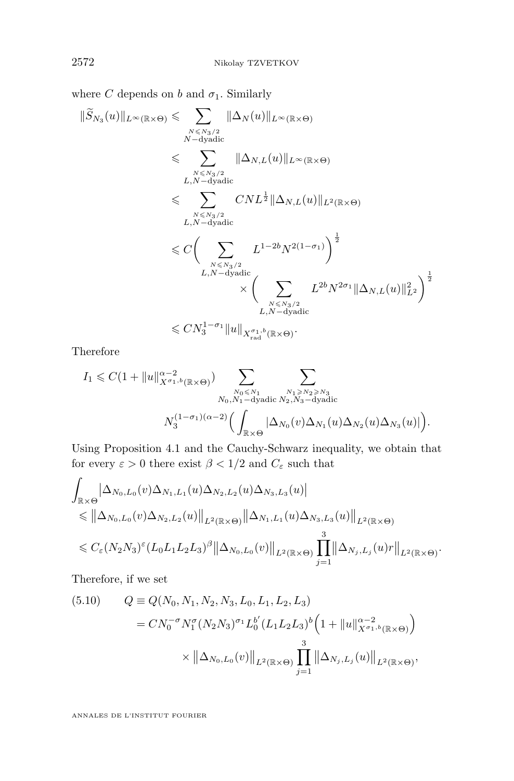<span id="page-30-0"></span>where C depends on b and  $\sigma_1$ . Similarly

$$
\begin{split} \|\widetilde{S}_{N_3}(u)\|_{L^{\infty}(\mathbb{R}\times\Theta)} &\leqslant \sum_{N\leqslant N_3/2 \atop{N-dyadic}}\|\Delta_N(u)\|_{L^{\infty}(\mathbb{R}\times\Theta)}\\ &\leqslant \sum_{N\leqslant N_3/2 \atop{L,N-dyadic}}\|\Delta_{N,L}(u)\|_{L^{\infty}(\mathbb{R}\times\Theta)}\\ &\leqslant \sum_{N\leqslant N_3/2 \atop{L,N-dyadic}}CNL^{\frac{1}{2}}\|\Delta_{N,L}(u)\|_{L^2(\mathbb{R}\times\Theta)}\\ &\leqslant C\bigg(\sum_{N\leqslant N_3/2 \atop{L,N-dyadic}}L^{1-2b}N^{2(1-\sigma_1)}\bigg)^{\frac{1}{2}}\\ &\leqslant C\bigg(\sum_{N\leqslant N_3/2 \atop{L,N-dyadic}}L^{2b}N^{2\sigma_1}\|\Delta_{N,L}(u)\|_{L^2}^2\bigg)^{\frac{1}{2}}\\ &\leqslant CN_3^{1-\sigma_1}\|u\|_{X_{\rm rad}^{\sigma_1,b}(\mathbb{R}\times\Theta)}.\end{split}
$$

Therefore

$$
I_1 \leqslant C(1+\|u\|_{X^{\sigma_1,b}(\mathbb{R}\times\Theta)}^{\alpha-2})\sum_{\substack{N_0\leqslant N_1\\N_0,N_1-\text{dyadic} \\ N_3}}\sum_{\substack{N_1\geqslant N_2\geqslant N_3\\N_2,N_3-\text{dyadic} \\ \left(\int_{\mathbb{R}\times\Theta}|\Delta_{N_0}(v)\Delta_{N_1}(u)\Delta_{N_2}(u)\Delta_{N_3}(u)|\right)}.
$$

Using Proposition [4.1](#page-23-0) and the Cauchy-Schwarz inequality, we obtain that for every  $\varepsilon > 0$  there exist  $\beta < 1/2$  and  $C_{\varepsilon}$  such that

$$
\int_{\mathbb{R}\times\Theta} \left| \Delta_{N_0, L_0}(v) \Delta_{N_1, L_1}(u) \Delta_{N_2, L_2}(u) \Delta_{N_3, L_3}(u) \right| \n\leq \left\| \Delta_{N_0, L_0}(v) \Delta_{N_2, L_2}(u) \right\|_{L^2(\mathbb{R}\times\Theta)} \left\| \Delta_{N_1, L_1}(u) \Delta_{N_3, L_3}(u) \right\|_{L^2(\mathbb{R}\times\Theta)} \n\leq C_{\varepsilon}(N_2 N_3)^{\varepsilon} (L_0 L_1 L_2 L_3)^{\beta} \left\| \Delta_{N_0, L_0}(v) \right\|_{L^2(\mathbb{R}\times\Theta)} \prod_{j=1}^3 \left\| \Delta_{N_j, L_j}(u) r \right\|_{L^2(\mathbb{R}\times\Theta)}.
$$

Therefore, if we set

(5.10) 
$$
Q = Q(N_0, N_1, N_2, N_3, L_0, L_1, L_2, L_3)
$$

$$
= CN_0^{-\sigma} N_1^{\sigma} (N_2 N_3)^{\sigma_1} L_0^{b'} (L_1 L_2 L_3)^{b'} \Big(1 + ||u||_{X^{\sigma_1,b}(\mathbb{R}\times\Theta)}^{\alpha-2}\Big)
$$

$$
\times ||\Delta_{N_0, L_0}(v)||_{L^2(\mathbb{R}\times\Theta)} \prod_{j=1}^3 ||\Delta_{N_j, L_j}(u)||_{L^2(\mathbb{R}\times\Theta)},
$$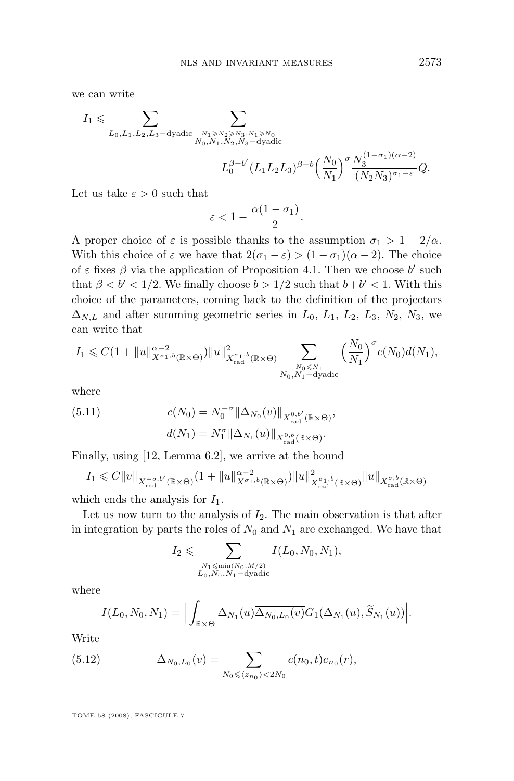we can write

$$
I_1 \leqslant \sum_{L_0, L_1, L_2, L_3-\text{dyadic}} \sum_{\substack{N_1 \geqslant N_2 \geqslant N_3, N_1 \geqslant N_0 \\ N_0, N_1, N_2, N_3-\text{dyadic}}}
$$
  

$$
L_0^{\beta-b'} (L_1 L_2 L_3)^{\beta-b} \left(\frac{N_0}{N_1}\right)^{\sigma} \frac{N_3^{(1-\sigma_1)(\alpha-2)}}{(N_2 N_3)^{\sigma_1-\varepsilon}} Q.
$$

Let us take  $\varepsilon > 0$  such that

$$
\varepsilon<1-\frac{\alpha(1-\sigma_1)}{2}.
$$

A proper choice of  $\varepsilon$  is possible thanks to the assumption  $\sigma_1 > 1 - 2/\alpha$ . With this choice of  $\varepsilon$  we have that  $2(\sigma_1 - \varepsilon) > (1 - \sigma_1)(\alpha - 2)$ . The choice of  $\varepsilon$  fixes  $\beta$  via the application of Proposition [4.1.](#page-23-0) Then we choose b' such that  $\beta < b' < 1/2$ . We finally choose  $b > 1/2$  such that  $b + b' < 1$ . With this choice of the parameters, coming back to the definition of the projectors  $\Delta_{N,L}$  and after summing geometric series in  $L_0$ ,  $L_1$ ,  $L_2$ ,  $L_3$ ,  $N_2$ ,  $N_3$ , we can write that

$$
I_1 \leq C\left(1 + \|u\|_{X^{\sigma_1,b}(\mathbb{R}\times\Theta)}^{2\alpha-2}\right) \|u\|_{X_{\text{rad}}^{\sigma_1,b}(\mathbb{R}\times\Theta)}^2 \sum_{\substack{N_0 \leq N_1\\N_0, N_1-\text{dyadic}}}\left(\frac{N_0}{N_1}\right)^{\sigma}c(N_0)d(N_1),
$$

where

(5.11) 
$$
c(N_0) = N_0^{-\sigma} ||\Delta_{N_0}(v)||_{X_{\text{rad}}^{0,b'}(\mathbb{R}\times\Theta)},
$$

$$
d(N_1) = N_1^{\sigma} ||\Delta_{N_1}(u)||_{X_{\text{rad}}^{0,b}(\mathbb{R}\times\Theta)}.
$$

Finally, using [\[12,](#page-62-0) Lemma 6.2], we arrive at the bound

$$
I_1 \leq C||v||_{X_{\text{rad}}^{-\sigma,b'}(\mathbb{R}\times\Theta)}(1+||u||_{X^{\sigma_1,b}(\mathbb{R}\times\Theta)}^{\alpha-2})||u||_{X_{\text{rad}}^{\sigma_1,b}(\mathbb{R}\times\Theta)}^2||u||_{X_{\text{rad}}^{\sigma,b}(\mathbb{R}\times\Theta)}
$$

which ends the analysis for  $I_1$ .

Let us now turn to the analysis of  $I_2$ . The main observation is that after in integration by parts the roles of  $N_0$  and  $N_1$  are exchanged. We have that

$$
I_2 \leqslant \sum_{\substack{N_1 \leqslant \min(N_0, M/2) \\ L_0, N_0, N_1 - \text{dyadic}}} I(L_0, N_0, N_1),
$$

where

$$
I(L_0, N_0, N_1) = \Big|\int_{\mathbb{R} \times \Theta} \Delta_{N_1}(u) \overline{\Delta_{N_0, L_0}(v)} G_1(\Delta_{N_1}(u), \widetilde{S}_{N_1}(u))\Big|.
$$

Write

(5.12) 
$$
\Delta_{N_0, L_0}(v) = \sum_{N_0 \leqslant \langle z_{n_0} \rangle < 2N_0} c(n_0, t) e_{n_0}(r),
$$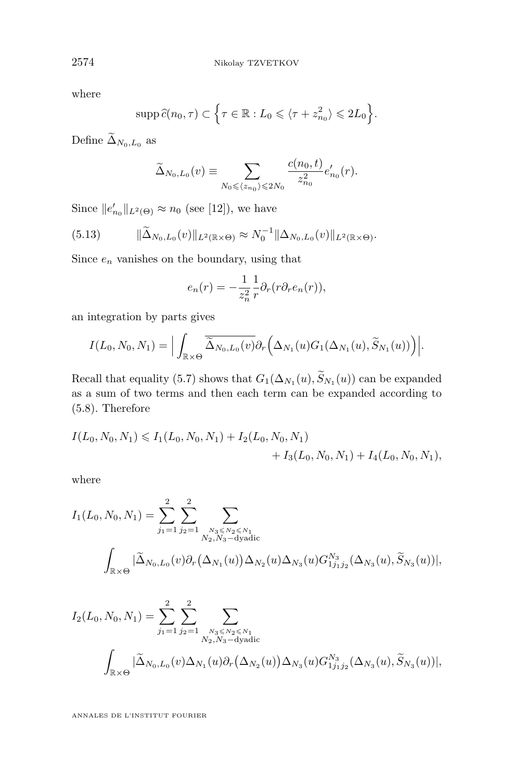<span id="page-32-0"></span>where

$$
\operatorname{supp} \widehat{c}(n_0, \tau) \subset \left\{ \tau \in \mathbb{R} : L_0 \leqslant \langle \tau + z_{n_0}^2 \rangle \leqslant 2L_0 \right\}.
$$

Define  $\widetilde{\Delta}_{N_0,L_0}$  as

$$
\widetilde{\Delta}_{N_0, L_0}(v) \equiv \sum_{N_0 \leq \langle z_{n_0} \rangle \leq 2N_0} \frac{c(n_0, t)}{z_{n_0}^2} e'_{n_0}(r).
$$

Since  $||e'_{n_0}||_{L^2(\Theta)} \approx n_0$  (see [\[12\]](#page-62-0)), we have

$$
(5.13) \t\t\t\t\|\widetilde{\Delta}_{N_0, L_0}(v)\|_{L^2(\mathbb{R}\times\Theta)} \approx N_0^{-1} \|\Delta_{N_0, L_0}(v)\|_{L^2(\mathbb{R}\times\Theta)}.
$$

Since  $e_n$  vanishes on the boundary, using that

$$
e_n(r) = -\frac{1}{z_n^2} \frac{1}{r} \partial_r(r \partial_r e_n(r)),
$$

an integration by parts gives

$$
I(L_0, N_0, N_1) = \Big|\int_{\mathbb{R} \times \Theta} \overline{\widetilde{\Delta}_{N_0, L_0}(v)} \partial_r \Big(\Delta_{N_1}(u) G_1(\Delta_{N_1}(u), \widetilde{S}_{N_1}(u))\Big) \Big|.
$$

Recall that equality [\(5.7\)](#page-29-0) shows that  $G_1(\Delta_{N_1}(u), S_{N_1}(u))$  can be expanded as a sum of two terms and then each term can be expanded according to [\(5.8\)](#page-29-0). Therefore

$$
I(L_0, N_0, N_1) \leq I_1(L_0, N_0, N_1) + I_2(L_0, N_0, N_1) + I_3(L_0, N_0, N_1) + I_4(L_0, N_0, N_1),
$$

where

$$
I_1(L_0, N_0, N_1) = \sum_{j_1=1}^2 \sum_{j_2=1}^2 \sum_{\substack{N_3 \leq N_2 \leq N_1 \\ N_2, N_3-\text{dyadic}}}\n\sum_{\substack{N_3 \leq N_2 \leq N_1 \\ N_2, N_3-\text{dyadic}}}\n\sum_{\substack{N_3 \leq N_2 \leq N_1 \\ N_1 \leq N_2 \leq N_3}}\n\sum_{\substack{N_2 \leq N_1 \\ N_3 \leq N_2 \leq N_3}}\n\sum_{\substack{N_3 \leq N_2 \leq N_1 \\ N_1 \leq N_3 \leq N_3}}\n\sum_{\substack{N_1 \leq N_2 \leq N_1 \\ N_1 \leq N_2 \leq N_3 \leq N_3}}\n\sum_{\substack{N_1 \leq N_2 \leq N_1 \\ N_1 \leq N_2 \leq N_3 \leq N_3}}\n\sum_{\substack{N_1 \leq N_1 \leq N_2 \leq N_1 \\ N_1 \leq N_2 \leq N_3 \leq N_3}}\n\sum_{\substack{N_1 \leq N_2 \leq N_1 \\ N_1 \leq N_2 \leq N_3 \leq N_3}}\n\sum_{\substack{N_1 \leq N_1 \leq N_2 \leq N_1 \\ N_1 \leq N_2 \leq N_3 \leq N_3}}\n\sum_{\substack{N_1 \leq N_2 \leq N_1 \\ N_1 \leq N_2 \leq N_3 \leq N_3}}\n\sum_{\substack{N_1 \leq N_1 \leq N_2 \leq N_1 \\ N_1 \leq N_2 \leq N_3 \leq N_3}}\n\sum_{\substack{N_1 \leq N_2 \leq N_1 \\ N_1 \leq N_2 \leq N_3 \leq N_3}}\n\sum_{\substack{N_1 \leq N_1 \leq N_2 \leq N_1 \\ N_1 \leq N_1 \leq N_2 \leq N_3}}\n\sum_{\substack{N_1 \leq N_1 \leq N_1 \\ N_1 \leq N_2 \leq N_3}}\n\sum_{\substack{N_1 \leq N_1 \leq N_1 \\ N_1 \leq N_2 \leq N_3 \le
$$

$$
I_2(L_0, N_0, N_1) = \sum_{j_1=1}^2 \sum_{j_2=1}^2 \sum_{\substack{N_3 \leq N_2 \leq N_1 \\ N_2, N_3-\text{dyadic}}}
$$
  

$$
\int_{\mathbb{R} \times \Theta} |\tilde{\Delta}_{N_0, L_0}(v) \Delta_{N_1}(u) \partial_r (\Delta_{N_2}(u)) \Delta_{N_3}(u) G_{1j_1j_2}^{N_3}(\Delta_{N_3}(u), \tilde{S}_{N_3}(u))|,
$$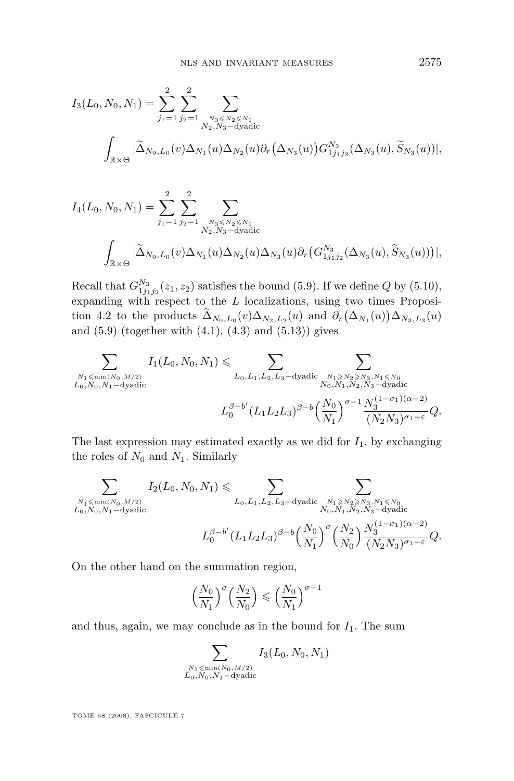$$
I_3(L_0, N_0, N_1) = \sum_{j_1=1}^2 \sum_{j_2=1}^2 \sum_{\substack{N_3 \leq N_2 \leq N_1 \\ N_2, N_3-\text{dyadic}}}
$$
  

$$
\int_{\mathbb{R} \times \Theta} |\tilde{\Delta}_{N_0, L_0}(v) \Delta_{N_1}(u) \Delta_{N_2}(u) \partial_r (\Delta_{N_3}(u)) G_{1j_1 j_2}^{N_3}(\Delta_{N_3}(u), \tilde{S}_{N_3}(u))|,
$$

$$
I_4(L_0, N_0, N_1) = \sum_{j_1=1}^2 \sum_{j_2=1}^2 \sum_{\substack{N_3 \leq N_2 \leq N_1 \\ N_2, N_3-\text{dyadic}}}\n\sum_{\substack{N_3 \leq N_2 \leq N_1 \\ N_2, N_3-\text{dyadic}}}\n\sum_{\substack{N_3 \leq N_2 \leq N_1 \\ (N_2,N_3-\text{dyadic})}}\n\sum_{\substack{N_3 \leq N_2 \leq N_1 \\ (N_1, N_2) \geq N_3}}\n\sum_{\substack{N_2 \leq N_1 \\ (N_1, N_2) \geq N_2}}\n\sum_{\substack{N_3 \leq N_2 \leq N_1 \\ (N_1, N_3) \geq N_3}}\n\sum_{\substack{N_3 \leq N_3 \leq N_1 \\ (N_1, N_2) \geq N_2}}\n\sum_{\substack{N_3 \leq N_3 \leq N_1 \\ (N_1, N_2) \geq N_2}}\n\sum_{\substack{N_3 \leq N_2 \leq N_1 \\ (N_1, N_3) \geq N_3}}\n\sum_{\substack{N_3 \leq N_3 \leq N_1 \\ (N_1, N_3) \geq N_3}}\n\sum_{\substack{N_3 \leq N_3 \leq N_3 \\ (N_1, N_3) \geq N_3}}\n\sum_{\substack{N_3 \leq N_3 \leq N_3 \\ (N_1, N_3) \geq N_3}}\n\sum_{\substack{N_3 \leq N_3 \leq N_3 \\ (N_1, N_3) \geq N_3}}\n\sum_{\substack{N_3 \leq N_3 \leq N_3 \\ (N_1, N_3) \geq N_3}}\n\sum_{\substack{N_3 \leq N_3 \leq N_3 \\ (N_1, N_3) \geq N_3}}\n\sum_{\substack{N_3 \leq N_3 \leq N_3 \\ (N_1, N_3) \geq N_3}}\n\sum_{\substack{N_3 \leq N_3 \leq N_3}}\n\sum_{\substack{N_3 \leq N_3 \leq N_3}}\n\sum_{\substack{N_3 \leq N_3 \leq N_3}}\n\sum_{\
$$

Recall that  $G_{1j_1j_2}^{N_3}(z_1, z_2)$  satisfies the bound [\(5.9\)](#page-29-0). If we define Q by [\(5.10\)](#page-30-0), expanding with respect to the  $L$  localizations, using two times Proposi-tion [4.2](#page-24-0) to the products  $\Delta_{N_0, L_0}(v) \Delta_{N_2, L_2}(u)$  and  $\partial_r (\Delta_{N_1}(u)) \Delta_{N_3, L_3}(u)$ and  $(5.9)$  (together with  $(4.1)$ ,  $(4.3)$  and  $(5.13)$ ) gives

$$
\sum_{\substack{N_1 \le \min(N_0, M/2) \\ L_0, N_0, N_1 - \text{dyadic} }} I_1(L_0, N_0, N_1) \le \sum_{L_0, L_1, L_2, L_3 - \text{dyadic}} \sum_{\substack{N_1 \ge N_2 \ge N_3, N_1 \le N_0 \\ N_0, N_1, N_2, N_3 - \text{dyadic} }} \sum_{\substack{N_1 \le N_2 \le N_3, N_1 \le N_0 \\ N_0, N_1, N_2, N_3 - \text{dyadic} }} \sum_{\substack{N_1 \le N_2 \le N_3, N_1 \le N_0 \\ (N_2, N_3) \sigma_1 - \varepsilon}} \sum_{Q, M_1, M_2 \ge N_1} \sum_{\substack{N_1 \le N_2 \le N_3 \\ (N_1 + N_2 + N_3 - \text{dyadic})}} \sum_{\substack{N_1 \le N_2 \le N_3 \\ (N_1 + N_3 - \text{dyadic})}} \sum_{\substack{N_1 \le N_3 \le N_4 \\ (N_1 + N_2 - \text{dyadic})}} \sum_{\substack{N_1 \le N_4 \le N_5 \\ (N_1 + N_3 - \text{dyadic})}} \sum_{\substack{N_1 \le N_4 \le N_5 \\ (N_1 + N_2 - \text{dyadic})}} \sum_{\substack{N_2 \le N_4 \le N_5 \\ (N_1 + N_2 - \text{dyadic})}} \sum_{\substack{N_3 \le N_4 \le N_5 \\ (N_1 + N_3 - \text{dyadic})}} \sum_{\substack{N_4 \le N_5 \le N_6 \\ (N_1 + N_2 - \text{dyadic})}} \sum_{\substack{N_5 \le N_5 \le N_6 \\ (N_2 + N_3 - \text{dyadic})}} \sum_{\substack{N_6 \le N_6 \le N_6 \\ (N_1 + N_3 - \text{dyadic})}} \sum_{\substack{N_6 \le N_6 \le N_6 \\ (N_2 + N_3 - \text{dyadic})}} \sum_{\substack{N_6 \le N_6 \le N_6 \\ (N_2 + N_3 - \text{dyadic})}} \sum_{\substack{N_6 \le N_6 \le N_6 \\ (N_2 + N_3 - \text{dyadic})}} \sum_{\substack{N_6 \le N_6 \le N
$$

The last expression may estimated exactly as we did for  $I_1$ , by exchanging the roles of  $N_0$  and  $N_1$ . Similarly

$$
\sum_{\substack{N_1 \le \min(N_0, M/2) \\ L_0, N_0, N_1 - \text{dyadic} }} I_2(L_0, N_0, N_1) \le \sum_{L_0, L_1, L_2, L_3 - \text{dyadic}} \sum_{\substack{N_1 \ge N_2 \ge N_3, N_1 \le N_0 \\ N_0, N_1, N_2, N_3 - \text{dyadic} }} \sum_{\substack{N_1 \le N_2 \le N_3, N_1 \le N_0 \\ N_0, N_1, N_2, N_3 - \text{dyadic} }} \sum_{\substack{N_1 \le N_2 \le N_3, N_1 \le N_0 \\ N_1 \ge N_1}} I_2(L_0, N_0, N_1) \le \sum_{L_0, L_1, L_2, L_3 - \text{dyadic}} \sum_{\substack{N_0 \ge N_1 \le N_2 \\ N_1 \ge N_3}} I_2(L_0, N_0, N_1) \le \sum_{\substack{N_1 \le N_2 \le N_3 \\ N_1 \ge N_1}} I_2(L_0, N_0, N_1) \le \sum_{\substack{N_2 \le N_3 \\ N_1 \ge N_2}} I_2(L_0, N_0, N_1) \le \sum_{\substack{N_1 \le N_2 \le N_3 \\ N_1 \ge N_3}} I_2(L_0, N_0, N_1) \le \sum_{\substack{N_1 \le N_3 \le N_4 \\ N_1 \ge N_4}} I_2(L_0, N_0, N_1) \le \sum_{\substack{N_1 \le N_3 \le N_4 \\ N_1 \ge N_2}} I_2(L_0, N_0, N_1) \le \sum_{\substack{N_1 \le N_3 \le N_4 \\ N_1 \ge N_4}} I_2(L_0, N_0, N_1) \le \sum_{\substack{N_1 \le N_4 \\ N_1 \ge N_4}} I_2(L_0, N_0, N_1) \le \sum_{\substack{N_1 \le N_4 \\ N_1 \ge N_4}} I_2(L_0, N_1) \le \sum_{\substack{N_1 \le N_4 \\ N_1 \ge N_4}} I_2(L_0, N_1) \le \sum_{\substack{N_1 \le N_4 \\ N_1 \ge N_4}} I_2(L_0, N_1) \le \sum_{\substack{N_
$$

On the other hand on the summation region,

$$
\left(\frac{N_0}{N_1}\right)^{\sigma} \left(\frac{N_2}{N_0}\right) \leqslant \left(\frac{N_0}{N_1}\right)^{\sigma-1}
$$

and thus, again, we may conclude as in the bound for  $I_1$ . The sum

$$
\sum_{\substack{N_1 \le \min(N_0, M/2) \\ L_0, N_0, N_1-\text{dyadic}}} I_3(L_0, N_0, N_1)
$$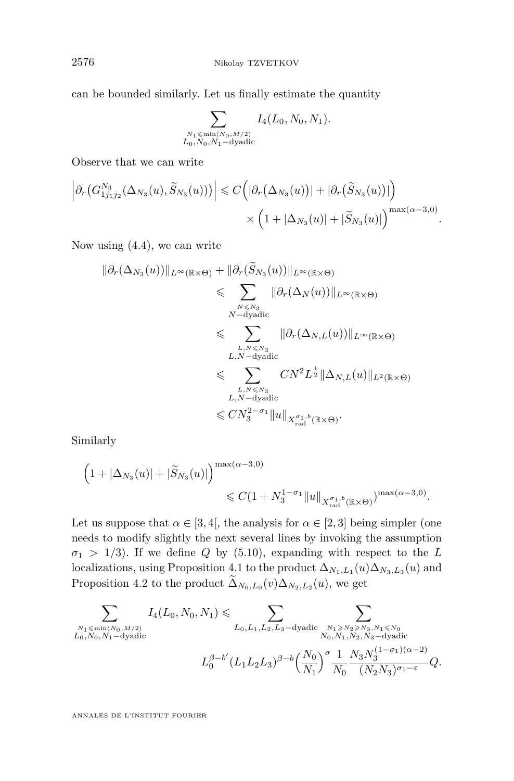can be bounded similarly. Let us finally estimate the quantity

$$
\sum_{\substack{N_1 \le \min(N_0, M/2) \\ L_0, N_0, N_1-\text{dyadic}}} I_4(L_0, N_0, N_1).
$$

Observe that we can write

$$
\left|\partial_r(G_{1j_1j_2}^{N_3}(\Delta_{N_3}(u),\widetilde{S}_{N_3}(u)))\right| \leqslant C\Big(|\partial_r(\Delta_{N_3}(u))| + |\partial_r(\widetilde{S}_{N_3}(u))|\Big) \times \Big(1+|\Delta_{N_3}(u)| + |\widetilde{S}_{N_3}(u)|\Big)^{\max(\alpha-3,0)}
$$

.

Now using [\(4.4\)](#page-25-0), we can write

$$
\|\partial_r(\Delta_{N_3}(u))\|_{L^{\infty}(\mathbb{R}\times\Theta)} + \|\partial_r(\widetilde{S}_{N_3}(u))\|_{L^{\infty}(\mathbb{R}\times\Theta)}
$$
  
\n
$$
\leqslant \sum_{\substack{N\leqslant N_3\\N-\text{dyadic}}}\|\partial_r(\Delta_N(u))\|_{L^{\infty}(\mathbb{R}\times\Theta)}
$$
  
\n
$$
\leqslant \sum_{\substack{L,N\leqslant N_3\\L,N-\text{dyadic}}}\|\partial_r(\Delta_{N,L}(u))\|_{L^{\infty}(\mathbb{R}\times\Theta)}
$$
  
\n
$$
\leqslant \sum_{\substack{L,N\leqslant N_3\\L,N-\text{dyadic}}}\nCN^2L^{\frac{1}{2}}\|\Delta_{N,L}(u)\|_{L^2(\mathbb{R}\times\Theta)}
$$
  
\n
$$
\leqslant CN_3^{2-\sigma_1}\|u\|_{X_{\text{rad}}^{\sigma_1,b}(\mathbb{R}\times\Theta)}.
$$

Similarly

$$
\left(1+|\Delta_{N_3}(u)|+|\widetilde{S}_{N_3}(u)|\right)^{\max(\alpha-3,0)} \leq C(1+N_3^{1-\sigma_1}||u||_{X_{\rm rad}^{\sigma_1,b}(\mathbb{R}\times\Theta)})^{\max(\alpha-3,0)}.
$$

Let us suppose that  $\alpha \in [3, 4]$ , the analysis for  $\alpha \in [2, 3]$  being simpler (one needs to modify slightly the next several lines by invoking the assumption  $\sigma_1$  > 1/3). If we define Q by [\(5.10\)](#page-30-0), expanding with respect to the L localizations, using Proposition [4.1](#page-23-0) to the product  $\Delta_{N_1,L_1}(u)\Delta_{N_3,L_3}(u)$  and Proposition [4.2](#page-24-0) to the product  $\Delta_{N_0, L_0}(v) \Delta_{N_2, L_2}(u)$ , we get

$$
\sum_{\substack{N_1 \leqslant \min(N_0, M/2) \\ L_0, N_0, N_1 - \text{dyadic} }} I_4(L_0, N_0, N_1) \leqslant \sum_{\substack{L_0, L_1, L_2, L_3 - \text{dyadic} \\ N_0, N_1, N_2, N_3 - \text{dyadic} }} \sum_{\substack{N_1 \geqslant N_2 \geqslant N_3, N_1 \leqslant N_0 \\ N_0, N_1, N_2, N_3 - \text{dyadic} }} \sum_{\substack{N_1 \leqslant N_2 \\ N_0 + N_1 - \text{dyadic} \\ N_0 + N_2 - \text{dyadic} }} \frac{1}{\binom{N_0 N_1 N_2 N_3 - \text{dyadic}}}{\binom{N_0 N_1 N_3 - \text{dyadic}}{N_0 N_3 - \text{dyadic}}}.
$$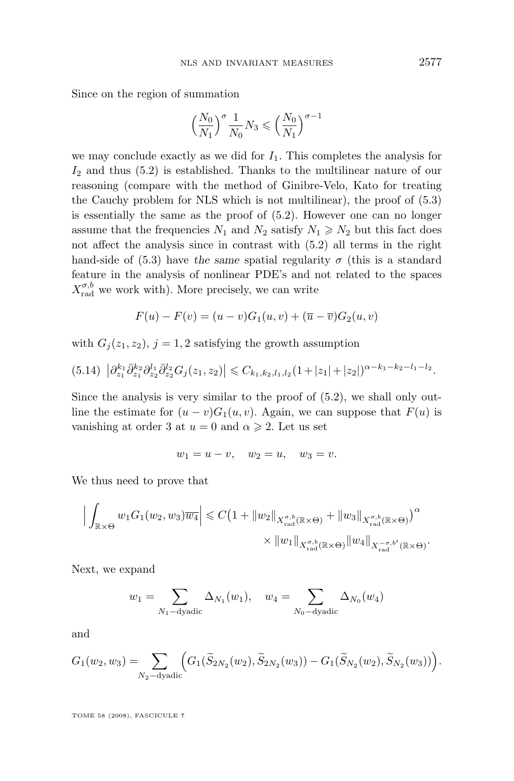Since on the region of summation

$$
\Big(\frac{N_0}{N_1}\Big)^{\sigma}\frac{1}{N_0}N_3\leqslant \Big(\frac{N_0}{N_1}\Big)^{\sigma-1}
$$

we may conclude exactly as we did for  $I_1$ . This completes the analysis for  $I_2$  and thus  $(5.2)$  is established. Thanks to the multilinear nature of our reasoning (compare with the method of Ginibre-Velo, Kato for treating the Cauchy problem for NLS which is not multilinear), the proof of [\(5.3\)](#page-27-0) is essentially the same as the proof of [\(5.2\)](#page-27-0). However one can no longer assume that the frequencies  $N_1$  and  $N_2$  satisfy  $N_1 \ge N_2$  but this fact does not affect the analysis since in contrast with [\(5.2\)](#page-27-0) all terms in the right hand-side of  $(5.3)$  have the same spatial regularity  $\sigma$  (this is a standard feature in the analysis of nonlinear PDE's and not related to the spaces  $X_{\text{rad}}^{\sigma,b}$  we work with). More precisely, we can write

$$
F(u) - F(v) = (u - v)G_1(u, v) + (\overline{u} - \overline{v})G_2(u, v)
$$

with  $G_i(z_1, z_2)$ ,  $j = 1, 2$  satisfying the growth assumption

$$
(5.14) \left| \partial_{z_1}^{k_1} \bar{\partial}_{z_1}^{k_2} \partial_{z_2}^{l_1} \bar{\partial}_{z_2}^{l_2} G_j(z_1, z_2) \right| \leq C_{k_1, k_2, l_1, l_2} (1 + |z_1| + |z_2|)^{\alpha - k_1 - k_2 - l_1 - l_2}.
$$

Since the analysis is very similar to the proof of [\(5.2\)](#page-27-0), we shall only outline the estimate for  $(u - v)G_1(u, v)$ . Again, we can suppose that  $F(u)$  is vanishing at order 3 at  $u = 0$  and  $\alpha \geq 2$ . Let us set

$$
w_1 = u - v, \quad w_2 = u, \quad w_3 = v.
$$

We thus need to prove that

$$
\left| \int_{\mathbb{R} \times \Theta} w_1 G_1(w_2, w_3) \overline{w_4} \right| \leq C \left( 1 + \|w_2\|_{X_{\text{rad}}^{\sigma, b}(\mathbb{R} \times \Theta)} + \|w_3\|_{X_{\text{rad}}^{\sigma, b}(\mathbb{R} \times \Theta)} \right)^{\alpha} \times \|w_1\|_{X_{\text{rad}}^{\sigma, b}(\mathbb{R} \times \Theta)} \|w_4\|_{X_{\text{rad}}^{-\sigma, b'}(\mathbb{R} \times \Theta)}.
$$

Next, we expand

$$
w_1 = \sum_{N_1 - dyadic} \Delta_{N_1}(w_1), \quad w_4 = \sum_{N_0 - dyadic} \Delta_{N_0}(w_4)
$$

and

$$
G_1(w_2, w_3) = \sum_{N_2-\text{dyadic}} \Big( G_1(\widetilde{S}_{2N_2}(w_2), \widetilde{S}_{2N_2}(w_3)) - G_1(\widetilde{S}_{N_2}(w_2), \widetilde{S}_{N_2}(w_3)) \Big).
$$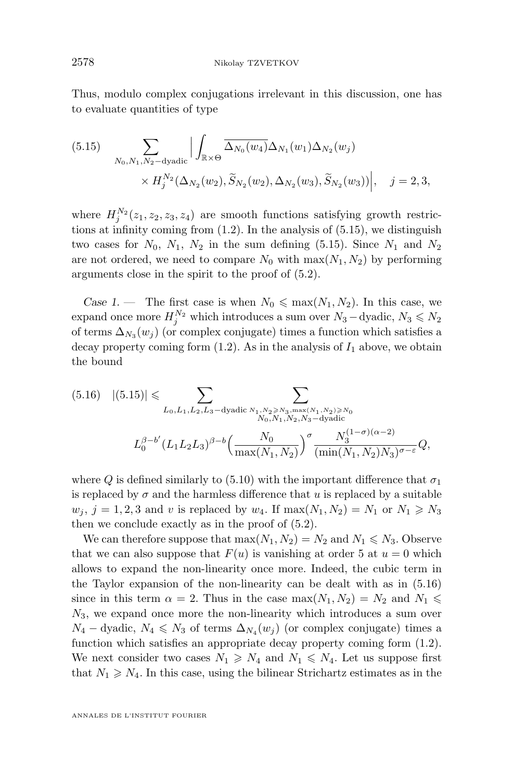<span id="page-36-0"></span>Thus, modulo complex conjugations irrelevant in this discussion, one has to evaluate quantities of type

(5.15) 
$$
\sum_{N_0, N_1, N_2 - \text{dyadic}} \Big| \int_{\mathbb{R} \times \Theta} \overline{\Delta_{N_0}(w_4)} \Delta_{N_1}(w_1) \Delta_{N_2}(w_j)
$$

$$
\times H_j^{N_2}(\Delta_{N_2}(w_2), \widetilde{S}_{N_2}(w_2), \Delta_{N_2}(w_3), \widetilde{S}_{N_2}(w_3)) \Big|, \quad j = 2, 3,
$$

where  $H_j^{N_2}(z_1, z_2, z_3, z_4)$  are smooth functions satisfying growth restrictions at infinity coming from [\(1.2\)](#page-2-0). In the analysis of (5.15), we distinguish two cases for  $N_0$ ,  $N_1$ ,  $N_2$  in the sum defining (5.15). Since  $N_1$  and  $N_2$ are not ordered, we need to compare  $N_0$  with  $\max(N_1, N_2)$  by performing arguments close in the spirit to the proof of [\(5.2\)](#page-27-0).

*Case 1.* — The first case is when  $N_0 \n\leq \max(N_1, N_2)$ . In this case, we expand once more  $H_j^{N_2}$  which introduces a sum over  $N_3$  – dyadic,  $N_3 \leqslant N_2$ of terms  $\Delta_{N_3}(w_j)$  (or complex conjugate) times a function which satisfies a decay property coming form  $(1.2)$ . As in the analysis of  $I_1$  above, we obtain the bound

$$
(5.16) \quad |(5.15)| \leqslant \sum_{L_0, L_1, L_2, L_3-\text{dyadic}} \sum_{\substack{N_1, N_2 \geqslant N_3, \max(N_1, N_2) \geqslant N_0 \\ N_0, N_1, N_2, N_3-\text{dyadic}}} \prod_{\substack{N_0, N_1, N_2, N_3-\text{dyadic} \\ \max(N_1, N_2)}} \sum_{\substack{N_0^{(1-\sigma)(\alpha-2)} \\ \min(N_1, N_2) \geqslant N_3}} \sum_{\substack{N_0^{(1-\sigma)(\alpha-2)} \\ \min(N_1, N_2) \geqslant N_3}} \sum_{\substack{N_0^{(1-\sigma)(\alpha-2)} \\ \min(N_1, N_2) \geqslant N_3}} \sum_{\substack{N_0^{(1-\sigma)(\alpha-2)} \\ \min(N_1, N_2) \geqslant N_3}} \sum_{\substack{N_0^{(1-\sigma)(\alpha-2)} \\ \min(N_1, N_2) \geqslant N_3}} \sum_{\substack{N_0^{(1-\sigma)(\alpha-2)} \\ \min(N_1, N_2) \geqslant N_3}} \sum_{\substack{N_0^{(1-\sigma)(\alpha-2)} \\ \min(N_1, N_2) \geqslant N_3}} \sum_{\substack{N_0^{(1-\sigma)(\alpha-2)} \\ \min(N_1, N_2) \geqslant N_3}} \sum_{\substack{N_0^{(1-\sigma)(\alpha-2)} \\ \min(N_1, N_2) \geqslant N_3}} \sum_{\substack{N_0^{(1-\sigma)(\alpha-2)} \\ \min(N_1, N_2) \geqslant N_3}} \sum_{\substack{N_0^{(1-\sigma)(\alpha-2)} \\ \min(N_1, N_2) \geqslant N_3}} \sum_{\substack{N_0^{(1-\sigma)(\alpha-2)} \\ \min(N_1, N_2) \geqslant N_3}} \sum_{\substack{N_0^{(1-\sigma)(\alpha-2)} \\ \min(N_1, N_2) \geqslant N_3}} \sum_{\substack{N_0^{(1-\sigma)(\alpha-2)} \\ \min(N_1, N_2) \geqslant N_3}} \sum_{\substack{N_0^{(1-\sigma)(\alpha-2)} \\ \min(N_1, N_2) \geqslant N_3
$$

where Q is defined similarly to [\(5.10\)](#page-30-0) with the important difference that  $\sigma_1$ is replaced by  $\sigma$  and the harmless difference that u is replaced by a suitable  $w_i$ ,  $j = 1, 2, 3$  and v is replaced by  $w_4$ . If  $\max(N_1, N_2) = N_1$  or  $N_1 \geq N_3$ then we conclude exactly as in the proof of [\(5.2\)](#page-27-0).

We can therefore suppose that  $\max(N_1, N_2) = N_2$  and  $N_1 \leq N_3$ . Observe that we can also suppose that  $F(u)$  is vanishing at order 5 at  $u = 0$  which allows to expand the non-linearity once more. Indeed, the cubic term in the Taylor expansion of the non-linearity can be dealt with as in (5.16) since in this term  $\alpha = 2$ . Thus in the case max $(N_1, N_2) = N_2$  and  $N_1 \leq$  $N_3$ , we expand once more the non-linearity which introduces a sum over  $N_4$  – dyadic,  $N_4 \leq N_3$  of terms  $\Delta_{N_4}(w_j)$  (or complex conjugate) times a function which satisfies an appropriate decay property coming form [\(1.2\)](#page-2-0). We next consider two cases  $N_1 \geq N_4$  and  $N_1 \leq N_4$ . Let us suppose first that  $N_1 \geq N_4$ . In this case, using the bilinear Strichartz estimates as in the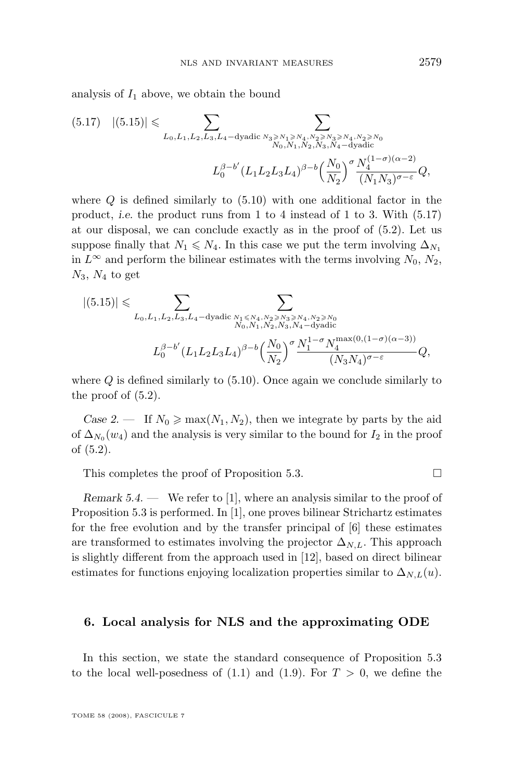analysis of  $I_1$  above, we obtain the bound

$$
(5.17) \quad |(5.15)| \leq \sum_{L_0, L_1, L_2, L_3, L_4-\text{dyadic}} \sum_{\substack{N_3 \geq N_1 \geq N_4, N_2 \geq N_3 \geq N_4, N_2 \geq N_0 \\ N_0, N_1, N_2, N_3, N_4-\text{dyadic}}} \sum_{\substack{N_0, N_1, N_2, N_3, N_4-\text{dyadic} \\ (L_1L_2L_3L_4)^{\beta-b} \left(\frac{N_0}{N_2}\right)^{\sigma} \frac{N_4^{(1-\sigma)(\alpha-2)}}{(N_1N_3)^{\sigma-\varepsilon}}} Q,
$$

where  $Q$  is defined similarly to  $(5.10)$  with one additional factor in the product, *i.e.* the product runs from 1 to 4 instead of 1 to 3. With (5.17) at our disposal, we can conclude exactly as in the proof of [\(5.2\)](#page-27-0). Let us suppose finally that  $N_1 \leq N_4$ . In this case we put the term involving  $\Delta_{N_1}$ in  $L^{\infty}$  and perform the bilinear estimates with the terms involving  $N_0$ ,  $N_2$ ,  $N_3$ ,  $N_4$  to get

$$
|(5.15)| \leq \sum_{L_0, L_1, L_2, L_3, L_4-\text{dyadic}} \sum_{\substack{N_1 \leq N_4, N_2 \geq N_3 \geq N_4, N_2 \geq N_0 \\ N_0, N_1, N_2, N_3, N_4-\text{dyadic}}} \prod_{\substack{m_1 \leq N_4, N_5 \geq N_5\\(L_1, L_2, L_3, L_4) \neq 0}} \sum_{\substack{N_1, N_2, N_3, N_4-\text{dyadic} \\ (N_2, N_4) \neq 0}} (N_1 N_2 N_3 N_4)^{\sigma} \leq \sum_{\substack{N_1, N_2 \geq N_4\\(N_2, N_4) \neq 0}} \sum_{\substack{N_1, N_2 \geq N_5\\(N_3, N_4) \neq 0}} (N_1 N_1 N_2 N_3 N_4 N_5)^{\sigma} \leq \sum_{\substack{N_1, N_2 \geq N_5\\(N_1, N_2) \neq 0}} (N_1 N_1 N_2 N_3 N_4 N_5)^{\sigma} \leq \sum_{\substack{N_1, N_2 \geq N_5\\(N_1, N_2) \neq 0}} (N_1 N_1 N_2 N_3 N_4 N_5)^{\sigma} \leq \sum_{\substack{N_1, N_2 \geq N_5\\(N_1, N_2) \neq 0}} (N_1 N_1 N_2 N_3 N_4 N_5)^{\sigma} \leq \sum_{\substack{N_1, N_2 \geq N_5\\(N_1, N_2) \neq 0}} (N_1 N_1 N_2 N_3 N_4 N_5)^{\sigma} \leq \sum_{\substack{N_1, N_2 \geq N_5\\(N_1, N_2) \neq 0}} (N_1 N_1 N_2 N_4)^{\sigma} \leq \sum_{\substack{N_1, N_2 \geq N_5\\(N_1, N_2) \neq 0}} (N_1 N_1 N_4)^{\sigma} \leq \sum_{\substack{N_1, N_2 \geq N_5\\(N_1, N_2) \neq 0}} (N_1 N_1 N_4)^{\sigma} \leq \sum_{\substack{N_1, N_2 \geq N_5\\(N_1, N_2) \ne
$$

where  $Q$  is defined similarly to  $(5.10)$ . Once again we conclude similarly to the proof of  $(5.2)$ .

*Case 2.* — If  $N_0 \ge \max(N_1, N_2)$ , then we integrate by parts by the aid of  $\Delta_{N_0}(w_4)$  and the analysis is very similar to the bound for  $I_2$  in the proof of [\(5.2\)](#page-27-0).

This completes the proof of Proposition [5.3.](#page-27-0)

*Remark 5.4.* — We refer to [\[1\]](#page-61-0), where an analysis similar to the proof of Proposition [5.3](#page-27-0) is performed. In [\[1\]](#page-61-0), one proves bilinear Strichartz estimates for the free evolution and by the transfer principal of [\[6\]](#page-62-0) these estimates are transformed to estimates involving the projector  $\Delta_{N,L}$ . This approach is slightly different from the approach used in [\[12\]](#page-62-0), based on direct bilinear estimates for functions enjoying localization properties similar to  $\Delta_{N,L}(u)$ .

## **6. Local analysis for NLS and the approximating ODE**

In this section, we state the standard consequence of Proposition [5.3](#page-27-0) to the local well-posedness of  $(1.1)$  and  $(1.9)$ . For  $T > 0$ , we define the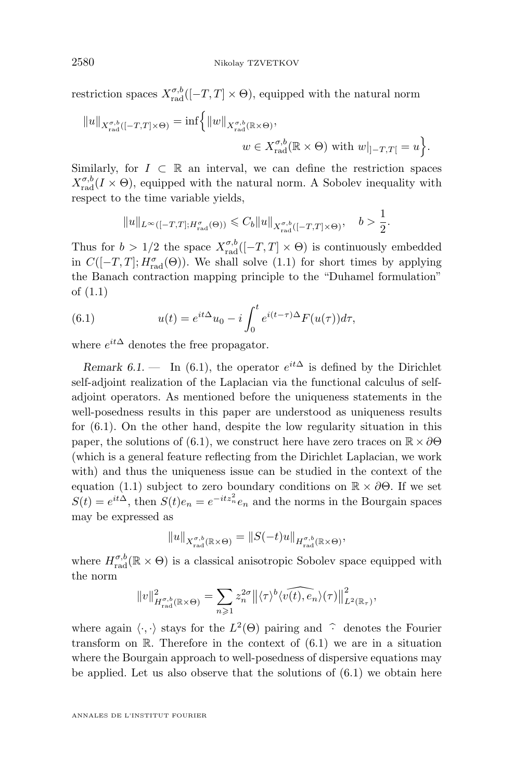<span id="page-38-0"></span>restriction spaces  $X_{\text{rad}}^{\sigma,b}([-T,T] \times \Theta)$ , equipped with the natural norm

$$
||u||_{X_{\text{rad}}^{\sigma,b}([-T,T]\times\Theta)} = \inf \left\{ ||w||_{X_{\text{rad}}^{\sigma,b}(\mathbb{R}\times\Theta)},
$$
  

$$
w \in X_{\text{rad}}^{\sigma,b}(\mathbb{R}\times\Theta) \text{ with } w|_{]-T,T[} = u \right\}.
$$

Similarly, for  $I \subset \mathbb{R}$  an interval, we can define the restriction spaces  $X_{\text{rad}}^{\sigma,b}(I \times \Theta)$ , equipped with the natural norm. A Sobolev inequality with respect to the time variable yields,

$$
||u||_{L^{\infty}([-T,T];H^{\sigma}_{\mathrm{rad}}(\Theta))} \leq C_b ||u||_{X^{\sigma,b}_{\mathrm{rad}}([-T,T]\times\Theta)}, \quad b > \frac{1}{2}
$$

.

Thus for  $b > 1/2$  the space  $X_{\text{rad}}^{\sigma,b}([-T,T] \times \Theta)$  is continuously embedded in  $C([-T, T]; H^{\sigma}_{rad}(\Theta))$ . We shall solve [\(1.1\)](#page-2-0) for short times by applying the Banach contraction mapping principle to the "Duhamel formulation" of [\(1.1\)](#page-2-0)

(6.1) 
$$
u(t) = e^{it\Delta}u_0 - i \int_0^t e^{i(t-\tau)\Delta} F(u(\tau)) d\tau,
$$

where  $e^{it\Delta}$  denotes the free propagator.

*Remark 6.1.* — In (6.1), the operator  $e^{it\Delta}$  is defined by the Dirichlet self-adjoint realization of the Laplacian via the functional calculus of selfadjoint operators. As mentioned before the uniqueness statements in the well-posedness results in this paper are understood as uniqueness results for (6.1). On the other hand, despite the low regularity situation in this paper, the solutions of (6.1), we construct here have zero traces on  $\mathbb{R} \times \partial \Theta$ (which is a general feature reflecting from the Dirichlet Laplacian, we work with) and thus the uniqueness issue can be studied in the context of the equation [\(1.1\)](#page-2-0) subject to zero boundary conditions on  $\mathbb{R} \times \partial \Theta$ . If we set  $S(t) = e^{it\Delta}$ , then  $S(t)e_n = e^{-itz_n^2}e_n$  and the norms in the Bourgain spaces may be expressed as

$$
||u||_{X^{\sigma,b}_{\mathrm{rad}}(\mathbb{R}\times\Theta)}=||S(-t)u||_{H^{\sigma,b}_{\mathrm{rad}}(\mathbb{R}\times\Theta)},
$$

where  $H_{\text{rad}}^{\sigma,b}(\mathbb{R} \times \Theta)$  is a classical anisotropic Sobolev space equipped with the norm

$$
||v||^2_{H^{ \sigma,b}_{\mathrm{rad}}(\mathbb{R}\times \Theta)} = \sum_{n\geqslant 1} z_n^{2\sigma} ||\langle \tau \rangle^b \langle \widehat{v(t),e_n}\rangle(\tau) ||^2_{L^2(\mathbb{R}_\tau)},
$$

where again  $\langle \cdot, \cdot \rangle$  stays for the  $L^2(\Theta)$  pairing and  $\hat{\cdot}$  denotes the Fourier transform on  $\mathbb{R}$ . Therefore in the context of  $(6.1)$  we are in a situation where the Bourgain approach to well-posedness of dispersive equations may be applied. Let us also observe that the solutions of (6.1) we obtain here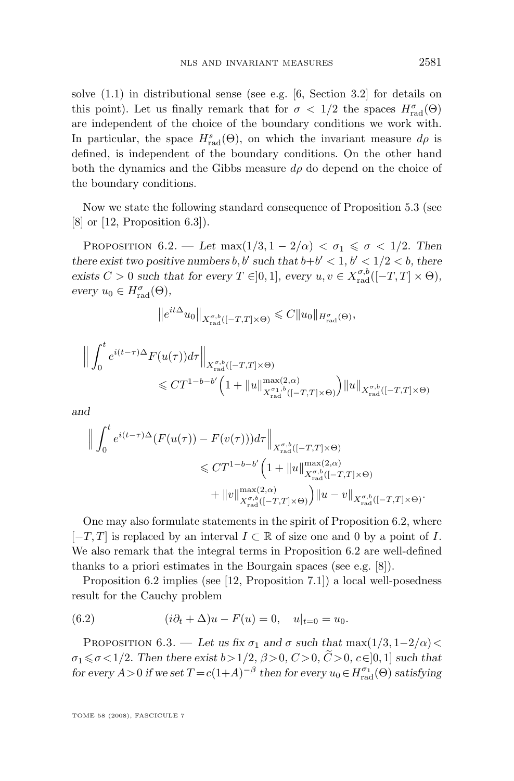<span id="page-39-0"></span>solve [\(1.1\)](#page-2-0) in distributional sense (see e.g. [\[6,](#page-62-0) Section 3.2] for details on this point). Let us finally remark that for  $\sigma < 1/2$  the spaces  $H_{\text{rad}}^{\sigma}(\Theta)$ are independent of the choice of the boundary conditions we work with. In particular, the space  $H_{\text{rad}}^s(\Theta)$ , on which the invariant measure  $d\rho$  is defined, is independent of the boundary conditions. On the other hand both the dynamics and the Gibbs measure  $d\rho$  do depend on the choice of the boundary conditions.

Now we state the following standard consequence of Proposition [5.3](#page-27-0) (see  $[8]$  or  $[12,$  Proposition 6.3]).

PROPOSITION  $6.2.$  — Let max $(1/3, 1-2/\alpha) < \sigma_1 \leq \sigma < 1/2$ . Then *there exist two positive numbers*  $b, b'$  such that  $b+b' < 1, b' < 1/2 < b$ , there exists  $C > 0$  *such that for every*  $T \in ]0,1]$ *, every*  $u, v \in X_{\text{rad}}^{\sigma,b}([-T,T] \times \Theta)$ *,*  $every u_0 \in H_{\text{rad}}^{\sigma}(\Theta),$ 

$$
\left\|e^{it\Delta}u_0\right\|_{X_{\text{rad}}^{\sigma,b}([-T,T]\times\Theta)} \leqslant C\|u_0\|_{H_{\text{rad}}^{\sigma}(\Theta)},
$$

$$
\label{eq:21} \begin{split} \Big\|\int_0^t e^{i(t-\tau)\Delta} F(u(\tau))d\tau\Big\|_{X_{\mathrm{rad}}^{\sigma,b}([-T,T]\times\Theta)}\\ \leqslant C T^{1-b-b'}\Big(1+\|u\|_{X_{\mathrm{rad}}^{\sigma,1,b}([-T,T]\times\Theta)}^{\max(2,\alpha)}\Big)\|u\|_{X_{\mathrm{rad}}^{\sigma,b}([-T,T]\times\Theta)} \end{split}
$$

*and*

$$
\label{eq:20} \begin{split} \Big\|\int_0^t e^{i(t-\tau)\Delta}(F(u(\tau))-F(v(\tau)))d\tau\Big\|_{X_{\mathrm{rad}}^{\sigma,b}([-T,T]\times \Theta)}\\ \leqslant C T^{1-b-b'}\Big(1+\|u\|_{X_{\mathrm{rad}}^{\sigma,b}([-T,T]\times \Theta)}^{\max(2,\alpha)}\\ +\|v\|_{X_{\mathrm{rad}}^{\sigma,b}([-T,T]\times \Theta)}^{\max(2,\alpha)}\Big)\|u-v\|_{X_{\mathrm{rad}}^{\sigma,b}([-T,T]\times \Theta)} . \end{split}
$$

One may also formulate statements in the spirit of Proposition 6.2, where  $[-T, T]$  is replaced by an interval  $I \subset \mathbb{R}$  of size one and 0 by a point of I. We also remark that the integral terms in Proposition 6.2 are well-defined thanks to a priori estimates in the Bourgain spaces (see e.g. [\[8\]](#page-62-0)).

Proposition 6.2 implies (see [\[12,](#page-62-0) Proposition 7.1]) a local well-posedness result for the Cauchy problem

(6.2) 
$$
(i\partial_t + \Delta)u - F(u) = 0, \quad u|_{t=0} = u_0.
$$

PROPOSITION 6.3. — Let us fix  $\sigma_1$  and  $\sigma$  such that  $\max(1/3, 1-2/\alpha)$  $\sigma_1 \leq \sigma \leq 1/2$ . Then there exist  $b > 1/2$ ,  $\beta > 0$ ,  $C > 0$ ,  $\tilde{C} > 0$ ,  $c \in ]0,1]$  such that *for every*  $A > 0$  *if we set*  $T = c(1+A)^{-\beta}$  *then for every*  $u_0 \in H_{rad}^{\sigma_1}(\Theta)$  *satisfying*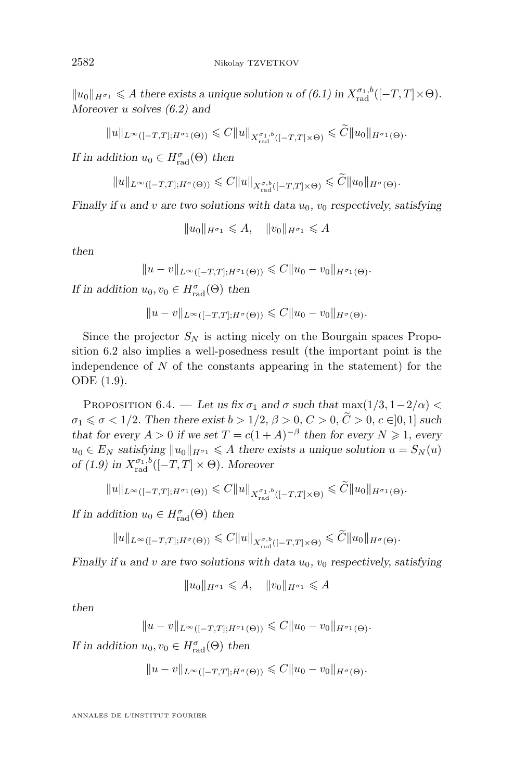$||u_0||_{H^{\sigma_1}} \leq A$  there exists a unique solution u of [\(6.1\)](#page-38-0) in  $X_{\text{rad}}^{\sigma_1, b}([-T, T] \times \Theta)$ . *Moreover* u *solves [\(6.2\)](#page-39-0) and*

$$
||u||_{L^{\infty}([-T,T];H^{\sigma_1}(\Theta))} \leq C||u||_{X_{\text{rad}}^{\sigma_1,b}([-T,T]\times\Theta)} \leq C||u_0||_{H^{\sigma_1}(\Theta)}.
$$

*If in addition*  $u_0 \in H_{\text{rad}}^{\sigma}(\Theta)$  then

$$
||u||_{L^{\infty}([-T,T];H^{\sigma}(\Theta))} \leq C||u||_{X^{\sigma,b}_{\text{rad}}([-T,T]\times\Theta)} \leq \widetilde{C}||u_0||_{H^{\sigma}(\Theta)}.
$$

*Finally if* u and v are two solutions with data  $u_0$ ,  $v_0$  respectively, satisfying

 $||u_0||_{H^{\sigma_1}} \leq A, \quad ||v_0||_{H^{\sigma_1}} \leq A$ 

*then*

$$
||u - v||_{L^{\infty}([-T,T];H^{\sigma_1}(\Theta))} \leq C||u_0 - v_0||_{H^{\sigma_1}(\Theta)}.
$$

*If in addition*  $u_0, v_0 \in H_{\text{rad}}^{\sigma}(\Theta)$  *then* 

$$
||u - v||_{L^{\infty}([-T,T];H^{\sigma}(\Theta))} \leqslant C||u_0 - v_0||_{H^{\sigma}(\Theta)}.
$$

Since the projector  $S_N$  is acting nicely on the Bourgain spaces Proposition [6.2](#page-39-0) also implies a well-posedness result (the important point is the independence of  $N$  of the constants appearing in the statement) for the ODE [\(1.9\)](#page-7-0).

PROPOSITION 6.4. — Let us fix  $\sigma_1$  and  $\sigma$  such that  $\max(1/3, 1-2/\alpha)$  $\sigma_1 \leq \sigma < 1/2$ . Then there exist  $b > 1/2$ ,  $\beta > 0$ ,  $C > 0$ ,  $\tilde{C} > 0$ ,  $c \in ]0,1]$  such *that for every*  $A > 0$  *if we set*  $T = c(1 + A)^{-\beta}$  *then for every*  $N \ge 1$ *, every*  $u_0 \in E_N$  satisfying  $||u_0||_{H^{\sigma_1}} \leq A$  there exists a unique solution  $u = S_N(u)$ *of* [\(1.9\)](#page-7-0) in  $X_{\text{rad}}^{\sigma_1, b}([-T, T] \times \Theta)$ *. Moreover* 

$$
||u||_{L^{\infty}([-T,T];H^{\sigma_1}(\Theta))} \leq C||u||_{X^{\sigma_1,b}_{\mathrm{rad}}([-T,T]\times\Theta)} \leq \widetilde{C}||u_0||_{H^{\sigma_1}(\Theta)}.
$$

*If in addition*  $u_0 \in H_{\text{rad}}^{\sigma}(\Theta)$  *then* 

$$
||u||_{L^{\infty}([-T,T];H^{\sigma}(\Theta))} \leq C||u||_{X^{\sigma,b}_{\text{rad}}([-T,T]\times\Theta)} \leq \widetilde{C}||u_0||_{H^{\sigma}(\Theta)}.
$$

*Finally if* u and v are two solutions with data  $u_0$ ,  $v_0$  respectively, satisfying

$$
||u_0||_{H^{\sigma_1}} \leqslant A, \quad ||v_0||_{H^{\sigma_1}} \leqslant A
$$

*then*

$$
||u - v||_{L^{\infty}([-T,T];H^{\sigma_1}(\Theta))} \leq C||u_0 - v_0||_{H^{\sigma_1}(\Theta)}.
$$

*If in addition*  $u_0, v_0 \in H_{\text{rad}}^{\sigma}(\Theta)$  *then* 

$$
||u - v||_{L^{\infty}([-T,T];H^{\sigma}(\Theta))} \leqslant C||u_0 - v_0||_{H^{\sigma}(\Theta)}.
$$

<span id="page-40-0"></span>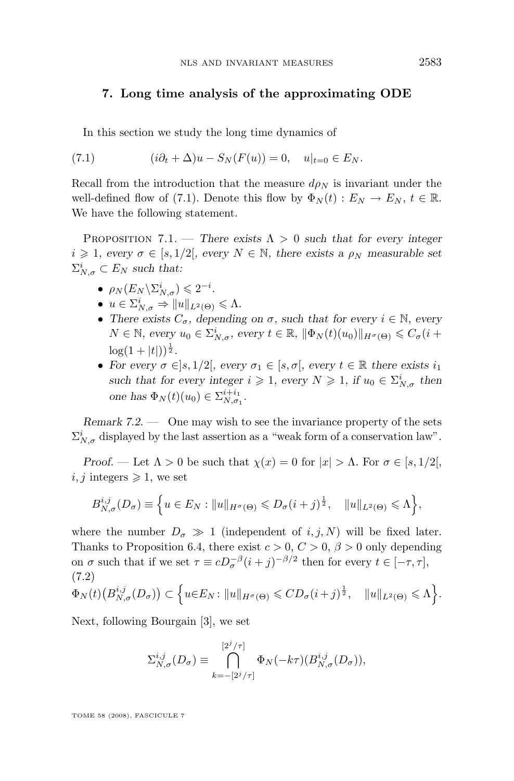## <span id="page-41-0"></span>**7. Long time analysis of the approximating ODE**

In this section we study the long time dynamics of

(7.1) 
$$
(i\partial_t + \Delta)u - S_N(F(u)) = 0, \quad u|_{t=0} \in E_N.
$$

Recall from the introduction that the measure  $d\rho_N$  is invariant under the well-defined flow of (7.1). Denote this flow by  $\Phi_N(t) : E_N \to E_N, t \in \mathbb{R}$ . We have the following statement.

PROPOSITION 7.1. — *There exists*  $\Lambda > 0$  *such that for every integer*  $i \geq 1$ , every  $\sigma \in [s, 1/2]$ , every  $N \in \mathbb{N}$ , there exists a  $\rho_N$  measurable set  $\Sigma_{N,\sigma}^i \subset E_N$  such that:

- $\rho_N(E_N \backslash \Sigma^i_{N,\sigma}) \leqslant 2^{-i}$ .
- $u \in \Sigma_{N,\sigma}^i \Rightarrow \|u\|_{L^2(\Theta)} \leq \Lambda.$
- There exists  $C_{\sigma}$ , depending on  $\sigma$ , such that for every  $i \in \mathbb{N}$ , every  $N \in \mathbb{N}$ , every  $u_0 \in \Sigma_{N,\sigma}^i$ , every  $t \in \mathbb{R}$ ,  $\|\Phi_N(t)(u_0)\|_{H^{\sigma}(\Theta)} \leqslant C_{\sigma}(i+\sigma)$  $\log(1+|t|))^{\frac{1}{2}}$ .
- *For every*  $\sigma \in ]s, 1/2[$ *, every*  $\sigma_1 \in [s, \sigma]$ *, every*  $t \in \mathbb{R}$  there exists  $i_1$ such that for every integer  $i \geqslant 1$ , every  $N \geqslant 1$ , if  $u_0 \in \Sigma_{N,\sigma}^i$  then *one has*  $\Phi_N(t)(u_0) \in \sum_{N,\sigma_1}^{i+i_1}$ .

*Remark 7.2. —* One may wish to see the invariance property of the sets  $\Sigma^i_{N,\sigma}$  displayed by the last assertion as a "weak form of a conservation law".

*Proof.* — Let  $\Lambda > 0$  be such that  $\chi(x) = 0$  for  $|x| > \Lambda$ . For  $\sigma \in [s, 1/2]$ ,  $i, j$  integers  $\geq 1$ , we set

$$
B_{N,\sigma}^{i,j}(D_{\sigma}) \equiv \left\{ u \in E_N : ||u||_{H^{\sigma}(\Theta)} \leqslant D_{\sigma}(i+j)^{\frac{1}{2}}, \quad ||u||_{L^2(\Theta)} \leqslant \Lambda \right\},\,
$$

where the number  $D_{\sigma} \gg 1$  (independent of i, j, N) will be fixed later. Thanks to Proposition [6.4,](#page-40-0) there exist  $c > 0$ ,  $C > 0$ ,  $\beta > 0$  only depending on  $\sigma$  such that if we set  $\tau \equiv cD_{\sigma}^{-\beta}(i+j)^{-\beta/2}$  then for every  $t \in [-\tau, \tau]$ , (7.2)

$$
\Phi_N(t)\big(B_{N,\sigma}^{i,j}(D_{\sigma})\big)\subset \Big\{u\in E_N\colon \|u\|_{H^{\sigma}(\Theta)}\leqslant CD_{\sigma}(i+j)^{\frac{1}{2}},\quad \|u\|_{L^2(\Theta)}\leqslant \Lambda\Big\}.
$$

Next, following Bourgain [\[3\]](#page-61-0), we set

$$
\Sigma_{N,\sigma}^{i,j}(D_{\sigma}) \equiv \bigcap_{k=-\lbrack 2^{j}/\tau\rbrack}^{\lbrack 2^{j}/\tau\rbrack} \Phi_{N}(-k\tau)(B_{N,\sigma}^{i,j}(D_{\sigma})),
$$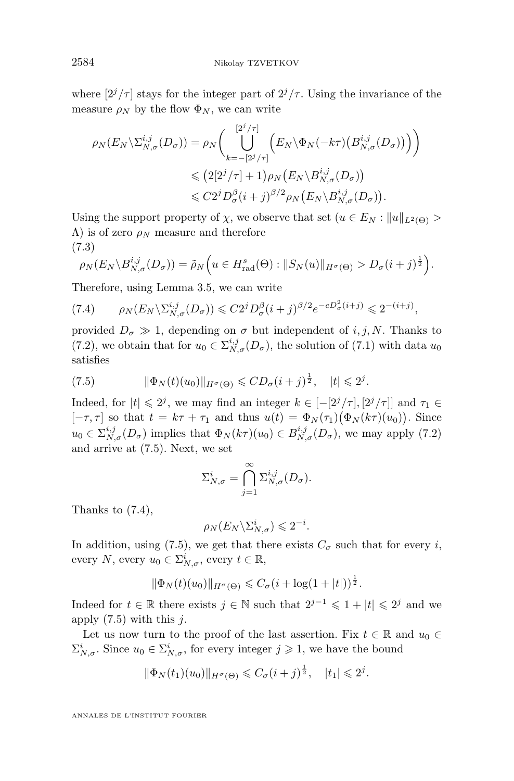where  $[2^{j}/\tau]$  stays for the integer part of  $2^{j}/\tau$ . Using the invariance of the measure  $\rho_N$  by the flow  $\Phi_N$ , we can write

$$
\rho_N(E_N \setminus \Sigma_{N,\sigma}^{i,j}(D_{\sigma})) = \rho_N\Big(\bigcup_{k=-\lfloor 2^j/\tau \rfloor}^{\lfloor 2^j/\tau \rfloor} \Big(E_N \setminus \Phi_N(-k\tau) \big(B_{N,\sigma}^{i,j}(D_{\sigma})\big)\Big)\Big) \leqslant \big(2\lfloor 2^j/\tau \rfloor + 1\big)\rho_N\big(E_N \setminus B_{N,\sigma}^{i,j}(D_{\sigma})\big) \leqslant C2^j D_{\sigma}^{\beta}(i+j)^{\beta/2} \rho_N\big(E_N \setminus B_{N,\sigma}^{i,j}(D_{\sigma})\big).
$$

Using the support property of  $\chi$ , we observe that set  $(u \in E_N : ||u||_{L^2(\Theta)} >$  $Λ$ ) is of zero  $ρ_N$  measure and therefore (7.3)

$$
\rho_N(E_N \setminus B_{N,\sigma}^{i,j}(D_{\sigma})) = \tilde{\rho}_N\Big(u \in H_{\text{rad}}^s(\Theta) : \|S_N(u)\|_{H^{\sigma}(\Theta)} > D_{\sigma}(i+j)^{\frac{1}{2}}\Big).
$$

Therefore, using Lemma [3.5,](#page-20-0) we can write

$$
(7.4) \qquad \rho_N(E_N \backslash \Sigma_{N,\sigma}^{i,j}(D_\sigma)) \leqslant C2^j D_\sigma^\beta (i+j)^{\beta/2} e^{-cD_\sigma^2 (i+j)} \leqslant 2^{-(i+j)},
$$

provided  $D_{\sigma} \gg 1$ , depending on  $\sigma$  but independent of i, j, N. Thanks to [\(7.2\)](#page-41-0), we obtain that for  $u_0 \in \sum_{N,\sigma}^{i,j} (D_{\sigma})$ , the solution of [\(7.1\)](#page-41-0) with data  $u_0$ satisfies

(7.5) 
$$
\|\Phi_N(t)(u_0)\|_{H^{\sigma}(\Theta)} \leqslant CD_{\sigma}(i+j)^{\frac{1}{2}}, \quad |t| \leqslant 2^{j}.
$$

Indeed, for  $|t| \leq 2^j$ , we may find an integer  $k \in [-[2^j/\tau], [2^j/\tau]]$  and  $\tau_1 \in$  $[-\tau, \tau]$  so that  $t = k\tau + \tau_1$  and thus  $u(t) = \Phi_N(\tau_1)(\Phi_N(k\tau)(u_0))$ . Since  $u_0 \in \sum_{N,\sigma}^{i,j}(D_{\sigma})$  implies that  $\Phi_N(k\tau)(u_0) \in B_{N,\sigma}^{i,j}(D_{\sigma})$ , we may apply [\(7.2\)](#page-41-0) and arrive at (7.5). Next, we set

$$
\Sigma_{N,\sigma}^i = \bigcap_{j=1}^{\infty} \Sigma_{N,\sigma}^{i,j}(D_{\sigma}).
$$

Thanks to (7.4),

$$
\rho_N(E_N \backslash \Sigma_{N,\sigma}^i) \leqslant 2^{-i}.
$$

In addition, using (7.5), we get that there exists  $C_{\sigma}$  such that for every i, every  $N$ , every  $u_0 \in \Sigma_{N,\sigma}^i$ , every  $t \in \mathbb{R}$ ,

$$
\|\Phi_N(t)(u_0)\|_{H^{\sigma}(\Theta)} \leq C_{\sigma}(i + \log(1+|t|))^{\frac{1}{2}}.
$$

Indeed for  $t \in \mathbb{R}$  there exists  $j \in \mathbb{N}$  such that  $2^{j-1} \leq 1 + |t| \leq 2^j$  and we apply  $(7.5)$  with this j.

Let us now turn to the proof of the last assertion. Fix  $t \in \mathbb{R}$  and  $u_0 \in$  $\Sigma_{N,\sigma}^i$ . Since  $u_0 \in \Sigma_{N,\sigma}^i$ , for every integer  $j \geqslant 1$ , we have the bound

$$
\|\Phi_N(t_1)(u_0)\|_{H^{\sigma}(\Theta)} \leq C_{\sigma}(i+j)^{\frac{1}{2}}, \quad |t_1| \leq 2^{j}.
$$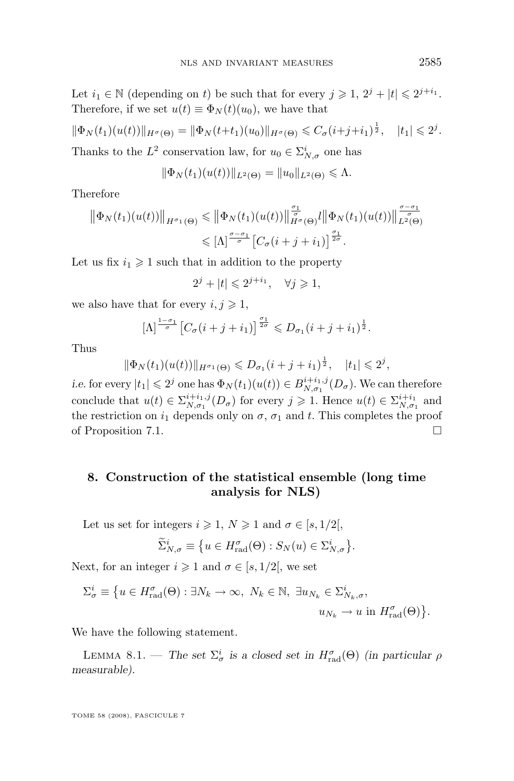<span id="page-43-0"></span>Let  $i_1 \in \mathbb{N}$  (depending on t) be such that for every  $j \geqslant 1$ ,  $2^j + |t| \leqslant 2^{j+i_1}$ . Therefore, if we set  $u(t) \equiv \Phi_N(t)(u_0)$ , we have that

$$
\|\Phi_N(t_1)(u(t))\|_{H^{\sigma}(\Theta)} = \|\Phi_N(t+t_1)(u_0)\|_{H^{\sigma}(\Theta)} \leq C_{\sigma}(i+j+i_1)^{\frac{1}{2}}, \quad |t_1| \leq 2^{j}.
$$

Thanks to the  $L^2$  conservation law, for  $u_0 \in \Sigma^i_{N,\sigma}$  one has

$$
\|\Phi_N(t_1)(u(t))\|_{L^2(\Theta)} = \|u_0\|_{L^2(\Theta)} \le \Lambda.
$$

Therefore

$$
\|\Phi_N(t_1)(u(t))\|_{H^{\sigma_1}(\Theta)} \leq \|\Phi_N(t_1)(u(t))\|_{H^{\sigma}(\Theta)}^{\frac{\sigma_1}{\sigma}}l\|\Phi_N(t_1)(u(t))\|_{L^2(\Theta)}^{\frac{\sigma-\sigma_1}{\sigma}}\n\leq [\Lambda]^{\frac{\sigma-\sigma_1}{\sigma}}\left[C_{\sigma}(i+j+i_1)\right]^{\frac{\sigma_1}{2\sigma}}.
$$

Let us fix  $i_1 \geq 1$  such that in addition to the property

$$
2^j + |t| \leq 2^{j+i_1}, \quad \forall j \geq 1,
$$

we also have that for every  $i, j \geq 1$ ,

$$
[\Lambda]^{\frac{1-\sigma_1}{\sigma}} \left[ C_{\sigma}(i+j+i_1) \right]^{\frac{\sigma_1}{2\sigma}} \leqslant D_{\sigma_1}(i+j+i_1)^{\frac{1}{2}}.
$$

Thus

$$
\|\Phi_N(t_1)(u(t))\|_{H^{\sigma_1}(\Theta)} \leq D_{\sigma_1}(i+j+i_1)^{\frac{1}{2}}, \quad |t_1| \leq 2^j,
$$

*i.e.* for every  $|t_1| \leq 2^j$  one has  $\Phi_N(t_1)(u(t)) \in B_{N,\sigma_1}^{i+i_1,j}(D_\sigma)$ . We can therefore conclude that  $u(t) \in \sum_{N,\sigma_1}^{i+i_1,j}(D_\sigma)$  for every  $j \geq 1$ . Hence  $u(t) \in \sum_{N,\sigma_1}^{i+i_1}$  and the restriction on  $i_1$  depends only on  $\sigma$ ,  $\sigma_1$  and t. This completes the proof of Proposition [7.1.](#page-41-0)  $\Box$ 

## **8. Construction of the statistical ensemble (long time analysis for NLS)**

Let us set for integers  $i \geqslant 1$ ,  $N \geqslant 1$  and  $\sigma \in [s, 1/2]$ ,

$$
\widetilde{\Sigma}_{N,\sigma}^{i} \equiv \{ u \in H_{\text{rad}}^{\sigma}(\Theta) : S_{N}(u) \in \Sigma_{N,\sigma}^{i} \}.
$$

Next, for an integer  $i \geqslant 1$  and  $\sigma \in [s, 1/2]$ , we set

$$
\Sigma_{\sigma}^{i} \equiv \{ u \in H_{\text{rad}}^{\sigma}(\Theta) : \exists N_{k} \to \infty, N_{k} \in \mathbb{N}, \exists u_{N_{k}} \in \Sigma_{N_{k},\sigma}^{i},, u_{N_{k}} \to u \text{ in } H_{\text{rad}}^{\sigma}(\Theta) \}.
$$

We have the following statement.

LEMMA 8.1. — *The set*  $\Sigma^i_\sigma$  is a closed set in  $H^{\sigma}_{rad}(\Theta)$  (in particular  $\rho$ *measurable).*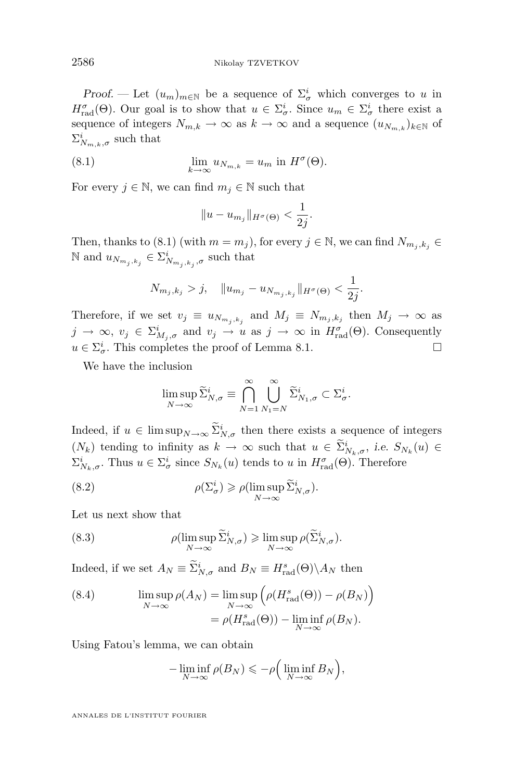<span id="page-44-0"></span>*Proof.* — Let  $(u_m)_{m \in \mathbb{N}}$  be a sequence of  $\Sigma^i_\sigma$  which converges to u in  $H_{\text{rad}}^{\sigma}(\Theta)$ . Our goal is to show that  $u \in \Sigma_{\sigma}^{i}$ . Since  $u_m \in \Sigma_{\sigma}^{i}$  there exist a sequence of integers  $N_{m,k} \to \infty$  as  $k \to \infty$  and a sequence  $(u_{N_{m,k}})_{k \in \mathbb{N}}$  of  $\Sigma_{N_{m,k},\sigma}^{i}$  such that

(8.1) 
$$
\lim_{k \to \infty} u_{N_{m,k}} = u_m \text{ in } H^{\sigma}(\Theta).
$$

For every  $j \in \mathbb{N}$ , we can find  $m_j \in \mathbb{N}$  such that

$$
||u - u_{m_j}||_{H^{\sigma}(\Theta)} < \frac{1}{2j}.
$$

Then, thanks to (8.1) (with  $m = m_j$ ), for every  $j \in \mathbb{N}$ , we can find  $N_{m_j, k_j} \in$ N and  $u_{N_{m_j,k_j}} \in \Sigma^i_{N_{m_j,k_j},\sigma}$  such that

$$
N_{m_j,k_j} > j
$$
,  $||u_{m_j} - u_{N_{m_j,k_j}}||_{H^{\sigma}(\Theta)} < \frac{1}{2j}$ .

Therefore, if we set  $v_j \equiv u_{N_{m_j,k_j}}$  and  $M_j \equiv N_{m_j,k_j}$  then  $M_j \to \infty$  as  $j \to \infty$ ,  $v_j \in \Sigma^i_{M_j, \sigma}$  and  $v_j \to u$  as  $j \to \infty$  in  $H^{\sigma}_{rad}(\Theta)$ . Consequently  $u \in \Sigma^i_{\sigma}$ . This completes the proof of Lemma [8.1.](#page-43-0)

We have the inclusion

$$
\limsup_{N \to \infty} \widetilde{\Sigma}_{N,\sigma}^i \equiv \bigcap_{N=1}^{\infty} \bigcup_{N_1=N}^{\infty} \widetilde{\Sigma}_{N_1,\sigma}^i \subset \Sigma_{\sigma}^i.
$$

Indeed, if  $u \in \limsup_{N \to \infty} \sum_{N,\sigma}^{i}$  then there exists a sequence of integers  $(N_k)$  tending to infinity as  $k \to \infty$  such that  $u \in \Sigma_{N_k, \sigma}^i$ , *i.e.*  $S_{N_k}(u) \in$  $\Sigma^i_{N_k, \sigma}$ . Thus  $u \in \Sigma^i_{\sigma}$  since  $S_{N_k}(u)$  tends to u in  $H^{\sigma}_{\text{rad}}(\Theta)$ . Therefore

(8.2) 
$$
\rho(\Sigma_{\sigma}^{i}) \geqslant \rho(\limsup_{N \to \infty} \widetilde{\Sigma}_{N,\sigma}^{i}).
$$

Let us next show that

(8.3) 
$$
\rho(\limsup_{N \to \infty} \widetilde{\Sigma}_{N,\sigma}^i) \geq \limsup_{N \to \infty} \rho(\widetilde{\Sigma}_{N,\sigma}^i).
$$

Indeed, if we set  $A_N \equiv \Sigma_{N,\sigma}^i$  and  $B_N \equiv H_{\text{rad}}^s(\Theta) \backslash A_N$  then

(8.4) 
$$
\limsup_{N \to \infty} \rho(A_N) = \limsup_{N \to \infty} \left( \rho(H_{\text{rad}}^s(\Theta)) - \rho(B_N) \right)
$$

$$
= \rho(H_{\text{rad}}^s(\Theta)) - \liminf_{N \to \infty} \rho(B_N).
$$

Using Fatou's lemma, we can obtain

$$
-\liminf_{N\to\infty}\rho(B_N)\leqslant-\rho\Big(\liminf_{N\to\infty}B_N\Big),
$$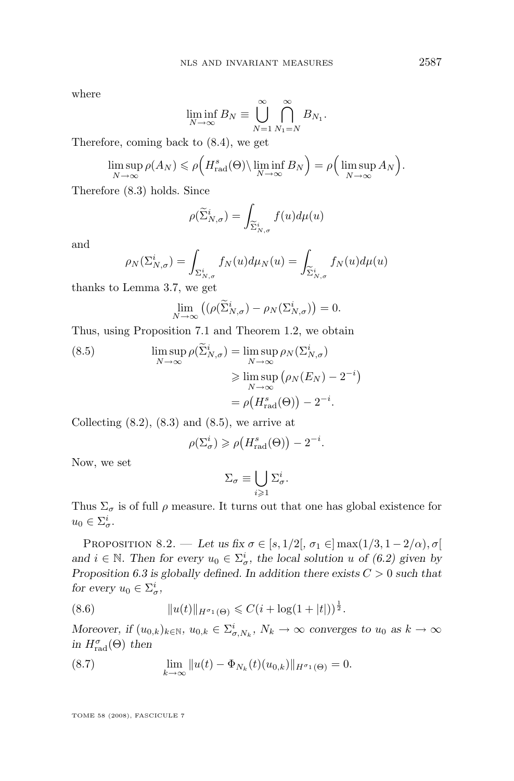<span id="page-45-0"></span>where

$$
\liminf_{N \to \infty} B_N \equiv \bigcup_{N=1}^{\infty} \bigcap_{N_1=N}^{\infty} B_{N_1}.
$$

Therefore, coming back to [\(8.4\)](#page-44-0), we get

$$
\limsup_{N \to \infty} \rho(A_N) \leqslant \rho\Big(H_{\text{rad}}^s(\Theta) \setminus \liminf_{N \to \infty} B_N\Big) = \rho\Big(\limsup_{N \to \infty} A_N\Big).
$$

Therefore [\(8.3\)](#page-44-0) holds. Since

$$
\rho(\widetilde{\Sigma}_{N,\sigma}^i) = \int_{\widetilde{\Sigma}_{N,\sigma}^i} f(u) d\mu(u)
$$

and

$$
\rho_N(\Sigma_{N,\sigma}^i) = \int_{\Sigma_{N,\sigma}^i} f_N(u) d\mu_N(u) = \int_{\widetilde{\Sigma}_{N,\sigma}^i} f_N(u) d\mu(u)
$$

thanks to Lemma [3.7,](#page-21-0) we get

$$
\lim_{N \to \infty} \left( \left( \rho(\widetilde{\Sigma}_{N,\sigma}^i) - \rho_N(\Sigma_{N,\sigma}^i) \right) = 0.
$$

Thus, using Proposition [7.1](#page-41-0) and Theorem [1.2,](#page-9-0) we obtain

(8.5) 
$$
\limsup_{N \to \infty} \rho(\widetilde{\Sigma}_{N,\sigma}^i) = \limsup_{N \to \infty} \rho_N(\Sigma_{N,\sigma}^i)
$$

$$
\geq \limsup_{N \to \infty} (\rho_N(E_N) - 2^{-i})
$$

$$
= \rho(H_{\text{rad}}^s(\Theta)) - 2^{-i}.
$$

Collecting  $(8.2)$ ,  $(8.3)$  and  $(8.5)$ , we arrive at

$$
\rho(\Sigma^i_{\sigma}) \geqslant \rho\big(H_{\text{rad}}^s(\Theta)\big) - 2^{-i}.
$$

Now, we set

$$
\Sigma_{\sigma} \equiv \bigcup_{i \geqslant 1} \Sigma_{\sigma}^i.
$$

Thus  $\Sigma_{\sigma}$  is of full  $\rho$  measure. It turns out that one has global existence for  $u_0 \in \Sigma^i_\sigma.$ 

PROPOSITION 8.2. — Let us fix  $\sigma \in [s, 1/2], \sigma_1 \in ]\max(1/3, 1-2/\alpha), \sigma[$ and  $i \in \mathbb{N}$ . Then for every  $u_0 \in \Sigma_{\sigma}^i$ , the local solution u of [\(6.2\)](#page-39-0) given by *Proposition [6.3](#page-39-0) is globally defined. In addition there exists* C > 0 *such that for every*  $u_0 \in \Sigma^i_{\sigma}$ ,

(8.6) 
$$
||u(t)||_{H^{\sigma_1}(\Theta)} \leqslant C(i + \log(1+|t|))^{\frac{1}{2}}.
$$

*Moreover, if*  $(u_{0,k})_{k \in \mathbb{N}}$ ,  $u_{0,k} \in \sum_{\sigma}^{i} N_k$ ,  $N_k \to \infty$  *converges to*  $u_0$  *as*  $k \to \infty$  $\lim H_{rad}^{\sigma}(\Theta)$  *then* 

(8.7) 
$$
\lim_{k \to \infty} ||u(t) - \Phi_{N_k}(t)(u_{0,k})||_{H^{\sigma_1}(\Theta)} = 0.
$$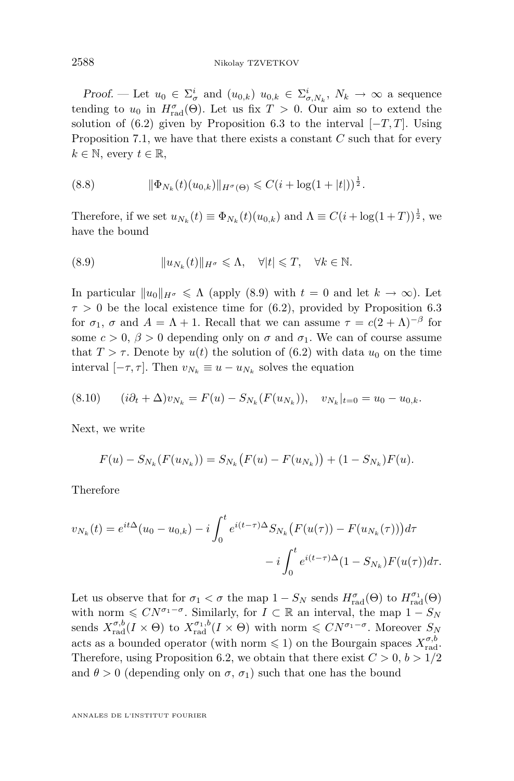<span id="page-46-0"></span>*Proof.* — Let  $u_0 \in \Sigma^i_\sigma$  and  $(u_{0,k})$   $u_{0,k} \in \Sigma^i_{\sigma, N_k}$ ,  $N_k \to \infty$  a sequence tending to  $u_0$  in  $H_{\text{rad}}^{\sigma}(\Theta)$ . Let us fix  $T > 0$ . Our aim so to extend the solution of [\(6.2\)](#page-39-0) given by Proposition [6.3](#page-39-0) to the interval  $[-T, T]$ . Using Proposition [7.1,](#page-41-0) we have that there exists a constant  $C$  such that for every  $k \in \mathbb{N}$ , every  $t \in \mathbb{R}$ ,

(8.8) 
$$
\|\Phi_{N_k}(t)(u_{0,k})\|_{H^{\sigma}(\Theta)} \leqslant C(i + \log(1+|t|))^{\frac{1}{2}}.
$$

Therefore, if we set  $u_{N_k}(t) \equiv \Phi_{N_k}(t)(u_{0,k})$  and  $\Lambda \equiv C(i + \log(1+T))^{\frac{1}{2}}$ , we have the bound

(8.9) 
$$
||u_{N_k}(t)||_{H^{\sigma}} \leq \Lambda, \quad \forall |t| \leq T, \quad \forall k \in \mathbb{N}.
$$

In particular  $||u_0||_{H^{\sigma}} \le \Lambda$  (apply (8.9) with  $t = 0$  and let  $k \to \infty$ ). Let  $\tau > 0$  be the local existence time for [\(6.2\)](#page-39-0), provided by Proposition [6.3](#page-39-0) for  $\sigma_1$ ,  $\sigma$  and  $A = \Lambda + 1$ . Recall that we can assume  $\tau = c(2 + \Lambda)^{-\beta}$  for some  $c > 0$ ,  $\beta > 0$  depending only on  $\sigma$  and  $\sigma_1$ . We can of course assume that  $T > \tau$ . Denote by  $u(t)$  the solution of [\(6.2\)](#page-39-0) with data  $u_0$  on the time interval  $[-\tau, \tau]$ . Then  $v_{N_k} \equiv u - u_{N_k}$  solves the equation

$$
(8.10) \qquad (i\partial_t + \Delta)v_{N_k} = F(u) - S_{N_k}(F(u_{N_k})), \quad v_{N_k}|_{t=0} = u_0 - u_{0,k}.
$$

Next, we write

$$
F(u) - S_{N_k}(F(u_{N_k})) = S_{N_k}(F(u) - F(u_{N_k})) + (1 - S_{N_k})F(u).
$$

Therefore

$$
v_{N_k}(t) = e^{it\Delta}(u_0 - u_{0,k}) - i \int_0^t e^{i(t-\tau)\Delta} S_{N_k}(F(u(\tau)) - F(u_{N_k}(\tau)))d\tau - i \int_0^t e^{i(t-\tau)\Delta}(1 - S_{N_k})F(u(\tau))d\tau.
$$

Let us observe that for  $\sigma_1 < \sigma$  the map  $1 - S_N$  sends  $H_{\text{rad}}^{\sigma}(\Theta)$  to  $H_{\text{rad}}^{\sigma_1}(\Theta)$ with norm  $\leq CN^{\sigma_1-\sigma}$ . Similarly, for  $I \subset \mathbb{R}$  an interval, the map  $1-S_N$ sends  $X_{\text{rad}}^{\sigma,b}(I \times \Theta)$  to  $X_{\text{rad}}^{\sigma_1,b}(I \times \Theta)$  with norm  $\leqslant CN^{\sigma_1-\sigma}$ . Moreover  $S_N$ acts as a bounded operator (with norm  $\leq 1$ ) on the Bourgain spaces  $X_{\text{rad}}^{\sigma,b}$ . Therefore, using Proposition [6.2,](#page-39-0) we obtain that there exist  $C > 0, b > 1/2$ and  $\theta > 0$  (depending only on  $\sigma$ ,  $\sigma_1$ ) such that one has the bound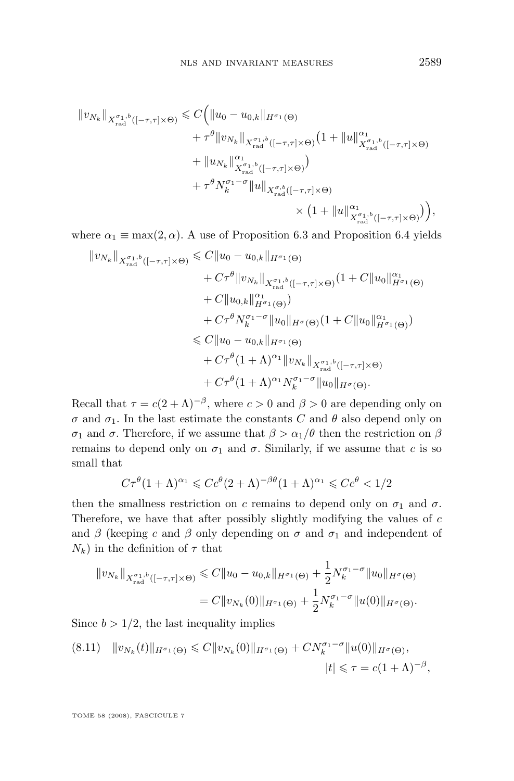<span id="page-47-0"></span>
$$
\|v_{N_k}\|_{X_{\text{rad}}^{\sigma_1,b}([-\tau,\tau]\times\Theta)} \leqslant C \Big( \|u_0 - u_{0,k}\|_{H^{\sigma_1}(\Theta)} \\qquad \qquad + \tau^\theta \|v_{N_k}\|_{X_{\text{rad}}^{\sigma_1,b}([-\tau,\tau]\times\Theta)} \big(1 + \|u\|_{X_{\text{rad}}^{\sigma_1,b}([-\tau,\tau]\times\Theta)}^{\alpha_1} \\qquad \qquad + \|u_{N_k}\|_{X_{\text{rad}}^{\sigma_1,b}([-\tau,\tau]\times\Theta)}^{\alpha_1} \big) \\qquad \qquad + \tau^\theta N_k^{\sigma_1-\sigma} \|u\|_{X_{\text{rad}}^{\sigma,b}([-\tau,\tau]\times\Theta)} \\qquad \qquad \times \big(1 + \|u\|_{X_{\text{rad}}^{\sigma_1,b}([-\tau,\tau]\times\Theta)}^{\alpha_1}\big) \Big),
$$

where  $\alpha_1 \equiv \max(2, \alpha)$ . A use of Proposition [6.3](#page-39-0) and Proposition [6.4](#page-40-0) yields

$$
||v_{N_k}||_{X_{\text{rad}}^{\sigma_1,b}([-\tau,\tau]\times\Theta)} \leq C||u_0 - u_{0,k}||_{H^{\sigma_1}(\Theta)}
$$
  
+  $C\tau^{\theta}||v_{N_k}||_{X_{\text{rad}}^{\sigma_1,b}([-\tau,\tau]\times\Theta)}(1+C||u_0||_{H^{\sigma_1}(\Theta)}^{\alpha_1})$   
+  $C||u_{0,k}||_{H^{\sigma_1}(\Theta)}^{a_1})$   
+  $C\tau^{\theta}N_k^{\sigma_1-\sigma}||u_0||_{H^{\sigma}(\Theta)}(1+C||u_0||_{H^{\sigma_1}(\Theta)}^{\alpha_1})$   
 $\leq C||u_0 - u_{0,k}||_{H^{\sigma_1}(\Theta)}$   
+  $C\tau^{\theta}(1+\Lambda)^{\alpha_1}||v_{N_k}||_{X_{\text{rad}}^{\sigma_1,b}([-\tau,\tau]\times\Theta)}$   
+  $C\tau^{\theta}(1+\Lambda)^{\alpha_1}N_k^{\sigma_1-\sigma}||u_0||_{H^{\sigma}(\Theta)}$ .

Recall that  $\tau = c(2+\Lambda)^{-\beta}$ , where  $c > 0$  and  $\beta > 0$  are depending only on  $\sigma$  and  $\sigma_1$ . In the last estimate the constants C and  $\theta$  also depend only on σ<sub>1</sub> and σ. Therefore, if we assume that  $\beta > \alpha_1/\theta$  then the restriction on  $\beta$ remains to depend only on  $\sigma_1$  and  $\sigma$ . Similarly, if we assume that c is so small that

$$
C\tau^{\theta}(1+\Lambda)^{\alpha_1} \leqslant C c^{\theta}(2+\Lambda)^{-\beta\theta}(1+\Lambda)^{\alpha_1} \leqslant C c^{\theta} < 1/2
$$

then the smallness restriction on c remains to depend only on  $\sigma_1$  and  $\sigma$ . Therefore, we have that after possibly slightly modifying the values of  $c$ and  $\beta$  (keeping c and  $\beta$  only depending on  $\sigma$  and  $\sigma_1$  and independent of  $N_k$ ) in the definition of  $\tau$  that

$$
||v_{N_k}||_{X_{\text{rad}}^{\sigma_1,b}([-{\tau},{\tau}]\times\Theta)} \leq C||u_0 - u_{0,k}||_{H^{\sigma_1}(\Theta)} + \frac{1}{2}N_k^{\sigma_1-\sigma}||u_0||_{H^{\sigma}(\Theta)}
$$
  
=  $C||v_{N_k}(0)||_{H^{\sigma_1}(\Theta)} + \frac{1}{2}N_k^{\sigma_1-\sigma}||u(0)||_{H^{\sigma}(\Theta)}$ .

Since  $b > 1/2$ , the last inequality implies

$$
(8.11) \quad ||v_{N_k}(t)||_{H^{\sigma_1}(\Theta)} \leq C||v_{N_k}(0)||_{H^{\sigma_1}(\Theta)} + CN_k^{\sigma_1-\sigma}||u(0)||_{H^{\sigma}(\Theta)},
$$
  

$$
|t| \leq \tau = c(1+\Lambda)^{-\beta},
$$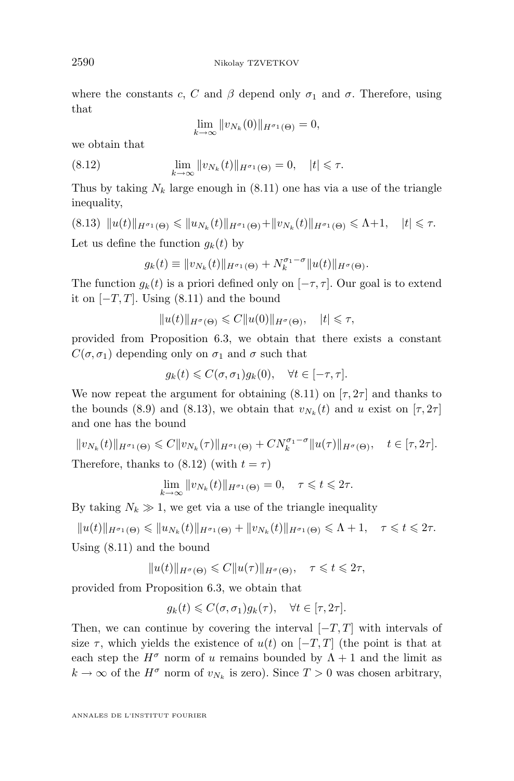where the constants c, C and  $\beta$  depend only  $\sigma_1$  and  $\sigma$ . Therefore, using that

$$
\lim_{k \to \infty} ||v_{N_k}(0)||_{H^{\sigma_1}(\Theta)} = 0,
$$

we obtain that

(8.12) 
$$
\lim_{k \to \infty} ||v_{N_k}(t)||_{H^{\sigma_1}(\Theta)} = 0, \quad |t| \leq \tau.
$$

Thus by taking  $N_k$  large enough in [\(8.11\)](#page-47-0) one has via a use of the triangle inequality,

$$
(8.13) \|u(t)\|_{H^{\sigma_1}(\Theta)} \leq \|u_{N_k}(t)\|_{H^{\sigma_1}(\Theta)} + \|v_{N_k}(t)\|_{H^{\sigma_1}(\Theta)} \leq \Lambda + 1, \quad |t| \leq \tau.
$$

Let us define the function  $q_k(t)$  by

$$
g_k(t) \equiv ||v_{N_k}(t)||_{H^{\sigma_1}(\Theta)} + N_k^{\sigma_1 - \sigma} ||u(t)||_{H^{\sigma}(\Theta)}.
$$

The function  $g_k(t)$  is a priori defined only on  $[-\tau, \tau]$ . Our goal is to extend it on  $[-T, T]$ . Using  $(8.11)$  and the bound

$$
||u(t)||_{H^{\sigma}(\Theta)} \leqslant C||u(0)||_{H^{\sigma}(\Theta)}, \quad |t| \leqslant \tau,
$$

provided from Proposition [6.3,](#page-39-0) we obtain that there exists a constant  $C(\sigma, \sigma_1)$  depending only on  $\sigma_1$  and  $\sigma$  such that

$$
g_k(t) \leqslant C(\sigma,\sigma_1)g_k(0), \quad \forall t \in [-\tau,\tau].
$$

We now repeat the argument for obtaining  $(8.11)$  on  $[\tau, 2\tau]$  and thanks to the bounds [\(8.9\)](#page-46-0) and (8.13), we obtain that  $v_{N_k}(t)$  and u exist on  $[\tau, 2\tau]$ and one has the bound

$$
||v_{N_k}(t)||_{H^{\sigma_1}(\Theta)} \leq C||v_{N_k}(\tau)||_{H^{\sigma_1}(\Theta)} + CN_k^{\sigma_1-\sigma}||u(\tau)||_{H^{\sigma}(\Theta)}, \quad t \in [\tau, 2\tau].
$$
  
Therefore, thanks to (8.12) (with  $t = \tau$ )

$$
\lim_{k \to \infty} ||v_{N_k}(t)||_{H^{\sigma_1}(\Theta)} = 0, \quad \tau \leq t \leq 2\tau.
$$

By taking  $N_k \gg 1$ , we get via a use of the triangle inequality

$$
||u(t)||_{H^{\sigma_1}(\Theta)} \leqslant ||u_{N_k}(t)||_{H^{\sigma_1}(\Theta)} + ||v_{N_k}(t)||_{H^{\sigma_1}(\Theta)} \leqslant \Lambda + 1, \quad \tau \leqslant t \leqslant 2\tau.
$$

Using [\(8.11\)](#page-47-0) and the bound

$$
||u(t)||_{H^{\sigma}(\Theta)} \leqslant C||u(\tau)||_{H^{\sigma}(\Theta)}, \quad \tau \leqslant t \leqslant 2\tau,
$$

provided from Proposition [6.3,](#page-39-0) we obtain that

$$
g_k(t) \leqslant C(\sigma, \sigma_1)g_k(\tau), \quad \forall t \in [\tau, 2\tau].
$$

Then, we can continue by covering the interval  $[-T, T]$  with intervals of size  $\tau$ , which yields the existence of  $u(t)$  on  $[-T, T]$  (the point is that at each step the  $H^{\sigma}$  norm of u remains bounded by  $\Lambda + 1$  and the limit as  $k \to \infty$  of the  $H^{\sigma}$  norm of  $v_{N_k}$  is zero). Since  $T > 0$  was chosen arbitrary,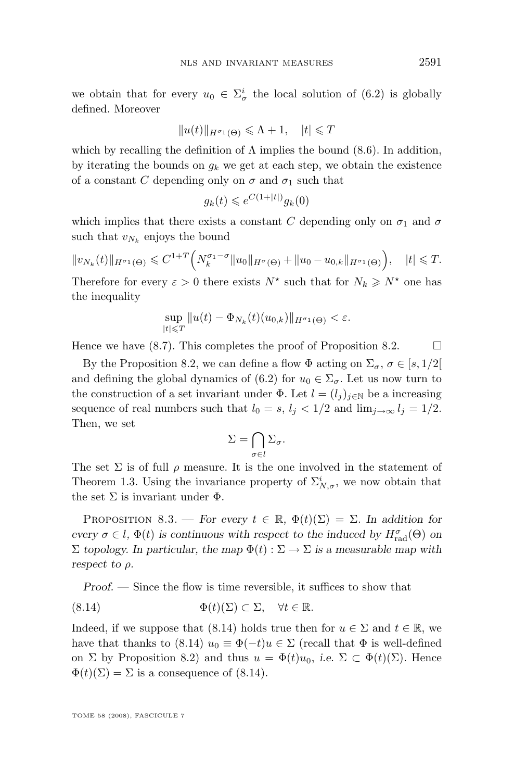<span id="page-49-0"></span>we obtain that for every  $u_0 \in \Sigma^i_\sigma$  the local solution of [\(6.2\)](#page-39-0) is globally defined. Moreover

$$
||u(t)||_{H^{\sigma_1}(\Theta)} \leq \Lambda + 1, \quad |t| \leq T
$$

which by recalling the definition of  $\Lambda$  implies the bound [\(8.6\)](#page-45-0). In addition, by iterating the bounds on  $g_k$  we get at each step, we obtain the existence of a constant C depending only on  $\sigma$  and  $\sigma_1$  such that

$$
g_k(t) \leqslant e^{C(1+|t|)}g_k(0)
$$

which implies that there exists a constant C depending only on  $\sigma_1$  and  $\sigma$ such that  $v_{N_k}$  enjoys the bound

$$
||v_{N_k}(t)||_{H^{\sigma_1}(\Theta)} \leq C^{1+T} \Big(N_k^{\sigma_1-\sigma}||u_0||_{H^{\sigma}(\Theta)} + ||u_0-u_{0,k}||_{H^{\sigma_1}(\Theta)}\Big), \quad |t| \leq T.
$$

Therefore for every  $\varepsilon > 0$  there exists  $N^*$  such that for  $N_k \geq N^*$  one has the inequality

$$
\sup_{|t|\leq T} ||u(t)-\Phi_{N_k}(t)(u_{0,k})||_{H^{\sigma_1}(\Theta)} < \varepsilon.
$$

Hence we have  $(8.7)$ . This completes the proof of Proposition [8.2.](#page-45-0)

By the Proposition [8.2,](#page-45-0) we can define a flow  $\Phi$  acting on  $\Sigma_{\sigma}$ ,  $\sigma \in [s, 1/2]$ and defining the global dynamics of [\(6.2\)](#page-39-0) for  $u_0 \in \Sigma_{\sigma}$ . Let us now turn to the construction of a set invariant under  $\Phi$ . Let  $l = (l_j)_{j \in \mathbb{N}}$  be a increasing sequence of real numbers such that  $l_0 = s$ ,  $l_i < 1/2$  and  $\lim_{i \to \infty} l_i = 1/2$ . Then, we set

$$
\Sigma = \bigcap_{\sigma \in l} \Sigma_{\sigma}.
$$

The set  $\Sigma$  is of full  $\rho$  measure. It is the one involved in the statement of Theorem [1.3.](#page-9-0) Using the invariance property of  $\Sigma^i_{N,\sigma}$ , we now obtain that the set  $\Sigma$  is invariant under  $\Phi$ .

PROPOSITION 8.3. — *For every*  $t \in \mathbb{R}$ ,  $\Phi(t)(\Sigma) = \Sigma$ . In addition for *every*  $\sigma \in l$ ,  $\Phi(t)$  *is continuous with respect to the induced by*  $H_{\text{rad}}^{\sigma}(\Theta)$  *on*  $\Sigma$  *topology. In particular, the map*  $\Phi(t): \Sigma \to \Sigma$  *is a measurable map with respect to* ρ*.*

*Proof. —* Since the flow is time reversible, it suffices to show that

(8.14) 
$$
\Phi(t)(\Sigma) \subset \Sigma, \quad \forall t \in \mathbb{R}.
$$

Indeed, if we suppose that (8.14) holds true then for  $u \in \Sigma$  and  $t \in \mathbb{R}$ , we have that thanks to (8.14)  $u_0 \equiv \Phi(-t)u \in \Sigma$  (recall that  $\Phi$  is well-defined on  $\Sigma$  by Proposition [8.2\)](#page-45-0) and thus  $u = \Phi(t)u_0$ , *i.e.*  $\Sigma \subset \Phi(t)(\Sigma)$ . Hence  $\Phi(t)(\Sigma) = \Sigma$  is a consequence of (8.14).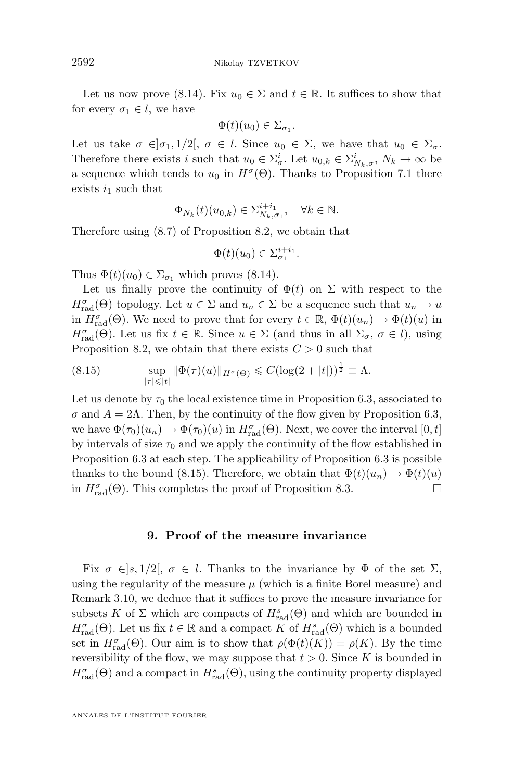Let us now prove [\(8.14\)](#page-49-0). Fix  $u_0 \in \Sigma$  and  $t \in \mathbb{R}$ . It suffices to show that for every  $\sigma_1 \in l$ , we have

$$
\Phi(t)(u_0) \in \Sigma_{\sigma_1}.
$$

Let us take  $\sigma \in ]\sigma_1, 1/2[$ ,  $\sigma \in l$ . Since  $u_0 \in \Sigma$ , we have that  $u_0 \in \Sigma_{\sigma}$ . Therefore there exists i such that  $u_0 \in \Sigma_{\sigma}^i$ . Let  $u_{0,k} \in \Sigma_{N_k,\sigma}^i$ ,  $N_k \to \infty$  be a sequence which tends to  $u_0$  in  $H^{\sigma}(\Theta)$ . Thanks to Proposition [7.1](#page-41-0) there exists  $i_1$  such that

$$
\Phi_{N_k}(t)(u_{0,k}) \in \Sigma_{N_k,\sigma_1}^{i+i_1}, \quad \forall k \in \mathbb{N}.
$$

Therefore using [\(8.7\)](#page-45-0) of Proposition [8.2,](#page-45-0) we obtain that

$$
\Phi(t)(u_0) \in \Sigma_{\sigma_1}^{i+i_1}.
$$

Thus  $\Phi(t)(u_0) \in \Sigma_{\sigma_1}$  which proves [\(8.14\)](#page-49-0).

Let us finally prove the continuity of  $\Phi(t)$  on  $\Sigma$  with respect to the  $H_{\text{rad}}^{\sigma}(\Theta)$  topology. Let  $u \in \Sigma$  and  $u_n \in \Sigma$  be a sequence such that  $u_n \to u$ in  $H_{\text{rad}}^{\sigma}(\Theta)$ . We need to prove that for every  $t \in \mathbb{R}$ ,  $\Phi(t)(u_n) \to \Phi(t)(u)$  in  $H_{\text{rad}}^{\sigma}(\Theta)$ . Let us fix  $t \in \mathbb{R}$ . Since  $u \in \Sigma$  (and thus in all  $\Sigma_{\sigma}$ ,  $\sigma \in l$ ), using Proposition [8.2,](#page-45-0) we obtain that there exists  $C > 0$  such that

(8.15) 
$$
\sup_{|\tau| \leq |t|} \|\Phi(\tau)(u)\|_{H^{\sigma}(\Theta)} \leq C(\log(2+|t|))^{\frac{1}{2}} \equiv \Lambda.
$$

Let us denote by  $\tau_0$  the local existence time in Proposition [6.3,](#page-39-0) associated to  $\sigma$  and  $A = 2\Lambda$ . Then, by the continuity of the flow given by Proposition [6.3,](#page-39-0) we have  $\Phi(\tau_0)(u_n) \to \Phi(\tau_0)(u)$  in  $H_{\text{rad}}^{\sigma}(\Theta)$ . Next, we cover the interval  $[0, t]$ by intervals of size  $\tau_0$  and we apply the continuity of the flow established in Proposition [6.3](#page-39-0) at each step. The applicability of Proposition [6.3](#page-39-0) is possible thanks to the bound (8.15). Therefore, we obtain that  $\Phi(t)(u_n) \to \Phi(t)(u)$ in  $H_{\text{rad}}^{\sigma}(\Theta)$ . This completes the proof of Proposition [8.3.](#page-49-0)

## **9. Proof of the measure invariance**

Fix  $\sigma \in ]s, 1/2[$ ,  $\sigma \in l$ . Thanks to the invariance by  $\Phi$  of the set  $\Sigma$ , using the regularity of the measure  $\mu$  (which is a finite Borel measure) and Remark [3.10,](#page-23-0) we deduce that it suffices to prove the measure invariance for subsets K of  $\Sigma$  which are compacts of  $H_{\text{rad}}^s(\Theta)$  and which are bounded in  $H_{\text{rad}}^{\sigma}(\Theta)$ . Let us fix  $t \in \mathbb{R}$  and a compact K of  $H_{\text{rad}}^{s}(\Theta)$  which is a bounded set in  $H_{\text{rad}}^{\sigma}(\Theta)$ . Our aim is to show that  $\rho(\Phi(t)(K)) = \rho(K)$ . By the time reversibility of the flow, we may suppose that  $t > 0$ . Since K is bounded in  $H_{\text{rad}}^{\sigma}(\Theta)$  and a compact in  $H_{\text{rad}}^{s}(\Theta)$ , using the continuity property displayed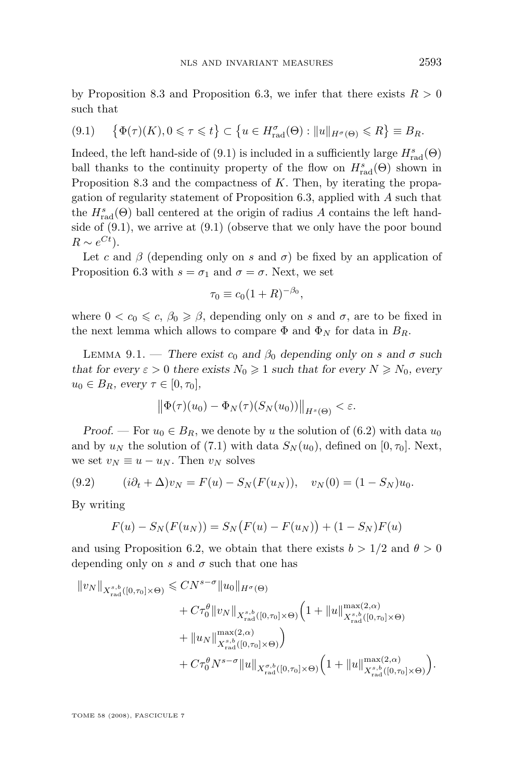<span id="page-51-0"></span>by Proposition [8.3](#page-49-0) and Proposition [6.3,](#page-39-0) we infer that there exists  $R > 0$ such that

$$
(9.1) \quad \left\{ \Phi(\tau)(K), 0 \leq \tau \leq t \right\} \subset \left\{ u \in H_{\text{rad}}^{\sigma}(\Theta) : ||u||_{H^{\sigma}(\Theta)} \leq R \right\} \equiv B_R.
$$

Indeed, the left hand-side of (9.1) is included in a sufficiently large  $H^s_{\text{rad}}(\Theta)$ ball thanks to the continuity property of the flow on  $H_{\text{rad}}^s(\Theta)$  shown in Proposition [8.3](#page-49-0) and the compactness of  $K$ . Then, by iterating the propagation of regularity statement of Proposition [6.3,](#page-39-0) applied with A such that the  $H_{\text{rad}}^s(\Theta)$  ball centered at the origin of radius A contains the left handside of (9.1), we arrive at (9.1) (observe that we only have the poor bound  $R \sim e^{Ct}$ ).

Let c and  $\beta$  (depending only on s and  $\sigma$ ) be fixed by an application of Proposition [6.3](#page-39-0) with  $s = \sigma_1$  and  $\sigma = \sigma$ . Next, we set

$$
\tau_0 \equiv c_0 (1+R)^{-\beta_0},
$$

where  $0 < c_0 \leq c, \beta_0 \geq \beta$ , depending only on s and  $\sigma$ , are to be fixed in the next lemma which allows to compare  $\Phi$  and  $\Phi_N$  for data in  $B_R$ .

LEMMA 9.1. — *There exist*  $c_0$  *and*  $\beta_0$  *depending only on* s and  $\sigma$  *such that for every*  $\varepsilon > 0$  *there exists*  $N_0 \ge 1$  *such that for every*  $N \ge N_0$ *, every*  $u_0 \in B_R$ , every  $\tau \in [0, \tau_0]$ ,

$$
\left\|\Phi(\tau)(u_0)-\Phi_N(\tau)(S_N(u_0))\right\|_{H^s(\Theta)}<\varepsilon.
$$

*Proof.* — For  $u_0 \in B_R$ , we denote by u the solution of [\(6.2\)](#page-39-0) with data  $u_0$ and by  $u_N$  the solution of [\(7.1\)](#page-41-0) with data  $S_N(u_0)$ , defined on [0,  $\tau_0$ ]. Next, we set  $v_N \equiv u - u_N$ . Then  $v_N$  solves

(9.2) 
$$
(i\partial_t + \Delta)v_N = F(u) - S_N(F(u_N)), \quad v_N(0) = (1 - S_N)u_0.
$$

By writing

$$
F(u) - S_N(F(u_N)) = S_N(F(u) - F(u_N)) + (1 - S_N)F(u)
$$

and using Proposition [6.2,](#page-39-0) we obtain that there exists  $b > 1/2$  and  $\theta > 0$ depending only on s and  $\sigma$  such that one has

$$
\|v_N\|_{X^{s,b}_{\text{rad}}([0,\tau_0]\times\Theta)} \leq C N^{s-\sigma} \|u_0\|_{H^{\sigma}(\Theta)} + C\tau_0^{\theta}\|v_N\|_{X^{s,b}_{\text{rad}}([0,\tau_0]\times\Theta)} \Big(1 + \|u\|_{X^{s,b}_{\text{rad}}([0,\tau_0]\times\Theta)}^{\max(2,\alpha)} + \|u_N\|_{X^{s,b}_{\text{rad}}([0,\tau_0]\times\Theta)}^{\max(2,\alpha)}\Big) + C\tau_0^{\theta} N^{s-\sigma} \|u\|_{X^{{\sigma,b}_{\text{rad}}([0,\tau_0]\times\Theta)}} \Big(1 + \|u\|_{X^{s,b}_{\text{rad}}([0,\tau_0]\times\Theta)}^{\max(2,\alpha)}\Big).
$$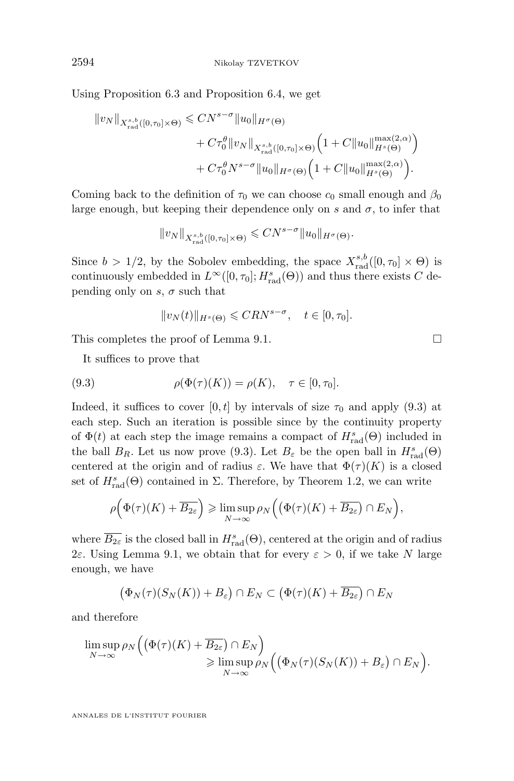Using Proposition [6.3](#page-39-0) and Proposition [6.4,](#page-40-0) we get

$$
||v_N||_{X^{s,b}_{\text{rad}}([0,\tau_0]\times\Theta)} \leq CN^{s-\sigma} ||u_0||_{H^{\sigma}(\Theta)}
$$
  
+  $C\tau_0^{\theta} ||v_N||_{X^{s,b}_{\text{rad}}([0,\tau_0]\times\Theta)} \left(1 + C ||u_0||_{H^s(\Theta)}^{\max(2,\alpha)}\right)$   
+  $C\tau_0^{\theta} N^{s-\sigma} ||u_0||_{H^{\sigma}(\Theta)} \left(1 + C ||u_0||_{H^s(\Theta)}^{\max(2,\alpha)}\right).$ 

Coming back to the definition of  $\tau_0$  we can choose  $c_0$  small enough and  $\beta_0$ large enough, but keeping their dependence only on s and  $\sigma$ , to infer that

$$
||v_N||_{X^{s,b}_{\mathrm{rad}}([0,\tau_0]\times\Theta)}\leqslant CN^{s-\sigma}||u_0||_{H^{\sigma}(\Theta)}.
$$

Since  $b > 1/2$ , by the Sobolev embedding, the space  $X_{\text{rad}}^{s,b}([0, \tau_0] \times \Theta)$  is continuously embedded in  $L^{\infty}([0, \tau_0]; H_{{\rm rad}}^s(\Theta))$  and thus there exists C depending only on s,  $\sigma$  such that

$$
||v_N(t)||_{H^s(\Theta)} \leqslant CRN^{s-\sigma}, \quad t \in [0, \tau_0].
$$

This completes the proof of Lemma [9.1.](#page-51-0)

It suffices to prove that

(9.3) 
$$
\rho(\Phi(\tau)(K)) = \rho(K), \quad \tau \in [0, \tau_0].
$$

Indeed, it suffices to cover [0, t] by intervals of size  $\tau_0$  and apply (9.3) at each step. Such an iteration is possible since by the continuity property of  $\Phi(t)$  at each step the image remains a compact of  $H_{\text{rad}}^s(\Theta)$  included in the ball  $B_R$ . Let us now prove (9.3). Let  $B_\varepsilon$  be the open ball in  $H^s_{\text{rad}}(\Theta)$ centered at the origin and of radius  $\varepsilon$ . We have that  $\Phi(\tau)(K)$  is a closed set of  $H_{\text{rad}}^{s}(\Theta)$  contained in  $\Sigma$ . Therefore, by Theorem [1.2,](#page-9-0) we can write

$$
\rho\Big(\Phi(\tau)(K)+\overline{B_{2\varepsilon}}\Big)\geqslant \limsup_{N\to\infty}\rho_N\Big(\big(\Phi(\tau)(K)+\overline{B_{2\varepsilon}}\big)\cap E_N\Big),
$$

where  $\overline{B_{2\varepsilon}}$  is the closed ball in  $H_{\text{rad}}^s(\Theta)$ , centered at the origin and of radius 2ε. Using Lemma [9.1,](#page-51-0) we obtain that for every  $\varepsilon > 0$ , if we take N large enough, we have

$$
(\Phi_N(\tau)(S_N(K)) + B_\varepsilon) \cap E_N \subset (\Phi(\tau)(K) + \overline{B_{2\varepsilon}}) \cap E_N
$$

and therefore

$$
\limsup_{N \to \infty} \rho_N \Big( \big( \Phi(\tau)(K) + \overline{B_{2\varepsilon}} \big) \cap E_N \Big) \n\geqslant \limsup_{N \to \infty} \rho_N \Big( \big( \Phi_N(\tau)(S_N(K)) + B_\varepsilon \big) \cap E_N \Big).
$$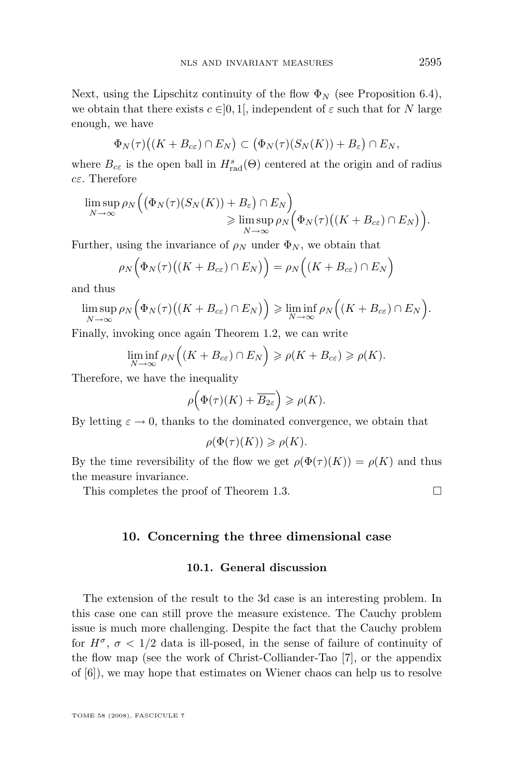Next, using the Lipschitz continuity of the flow  $\Phi_N$  (see Proposition [6.4\)](#page-40-0), we obtain that there exists  $c \in ]0,1[$ , independent of  $\varepsilon$  such that for N large enough, we have

$$
\Phi_N(\tau)\big((K+B_{c\varepsilon})\cap E_N\big)\subset \big(\Phi_N(\tau)(S_N(K))+B_{\varepsilon}\big)\cap E_N,
$$

where  $B_{c\epsilon}$  is the open ball in  $H_{\text{rad}}^s(\Theta)$  centered at the origin and of radius  $c \varepsilon$ . Therefore

$$
\limsup_{N \to \infty} \rho_N \Big( \big( \Phi_N(\tau)(S_N(K)) + B_\varepsilon \big) \cap E_N \Big) \n\geqslant \limsup_{N \to \infty} \rho_N \Big( \Phi_N(\tau) \big( (K + B_{c \varepsilon}) \cap E_N \big) \Big).
$$

Further, using the invariance of  $\rho_N$  under  $\Phi_N$ , we obtain that

$$
\rho_N\Big(\Phi_N(\tau)\big((K+B_{c\varepsilon})\cap E_N\big)\Big)=\rho_N\Big((K+B_{c\varepsilon})\cap E_N\Big)
$$

and thus

$$
\limsup_{N \to \infty} \rho_N\Big(\Phi_N(\tau)\big((K + B_{c\varepsilon}) \cap E_N\big)\Big) \geq \liminf_{N \to \infty} \rho_N\Big((K + B_{c\varepsilon}) \cap E_N\Big).
$$

Finally, invoking once again Theorem [1.2,](#page-9-0) we can write

$$
\liminf_{N \to \infty} \rho_N\Big((K + B_{c\varepsilon}) \cap E_N\Big) \ge \rho(K + B_{c\varepsilon}) \ge \rho(K).
$$

Therefore, we have the inequality

$$
\rho\Big(\Phi(\tau)(K)+\overline{B_{2\varepsilon}}\Big)\geqslant\rho(K).
$$

By letting  $\varepsilon \to 0$ , thanks to the dominated convergence, we obtain that

$$
\rho(\Phi(\tau)(K)) \geqslant \rho(K).
$$

By the time reversibility of the flow we get  $\rho(\Phi(\tau)(K)) = \rho(K)$  and thus the measure invariance.

This completes the proof of Theorem [1.3.](#page-9-0)

## **10. Concerning the three dimensional case**

## **10.1. General discussion**

The extension of the result to the 3d case is an interesting problem. In this case one can still prove the measure existence. The Cauchy problem issue is much more challenging. Despite the fact that the Cauchy problem for  $H^{\sigma}$ ,  $\sigma$  < 1/2 data is ill-posed, in the sense of failure of continuity of the flow map (see the work of Christ-Colliander-Tao [\[7\]](#page-62-0), or the appendix of [\[6\]](#page-62-0)), we may hope that estimates on Wiener chaos can help us to resolve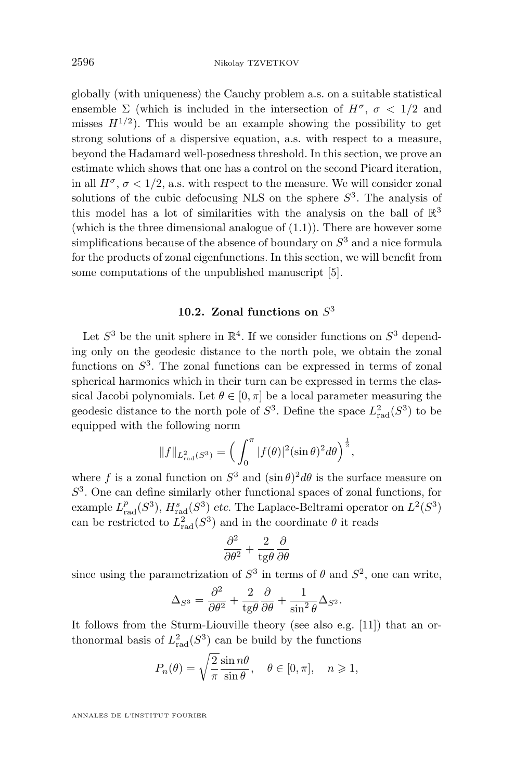globally (with uniqueness) the Cauchy problem a.s. on a suitable statistical ensemble  $\Sigma$  (which is included in the intersection of  $H^{\sigma}$ ,  $\sigma$  < 1/2 and misses  $H^{1/2}$ ). This would be an example showing the possibility to get strong solutions of a dispersive equation, a.s. with respect to a measure, beyond the Hadamard well-posedness threshold. In this section, we prove an estimate which shows that one has a control on the second Picard iteration, in all  $H^{\sigma}$ ,  $\sigma$  < 1/2, a.s. with respect to the measure. We will consider zonal solutions of the cubic defocusing NLS on the sphere  $S<sup>3</sup>$ . The analysis of this model has a lot of similarities with the analysis on the ball of  $\mathbb{R}^3$ (which is the three dimensional analogue of  $(1.1)$ ). There are however some simplifications because of the absence of boundary on  $S<sup>3</sup>$  and a nice formula for the products of zonal eigenfunctions. In this section, we will benefit from some computations of the unpublished manuscript [\[5\]](#page-61-0).

## **10.2. Zonal functions on** S 3

Let  $S^3$  be the unit sphere in  $\mathbb{R}^4$ . If we consider functions on  $S^3$  depending only on the geodesic distance to the north pole, we obtain the zonal functions on  $S<sup>3</sup>$ . The zonal functions can be expressed in terms of zonal spherical harmonics which in their turn can be expressed in terms the classical Jacobi polynomials. Let  $\theta \in [0, \pi]$  be a local parameter measuring the geodesic distance to the north pole of  $S^3$ . Define the space  $L^2_{rad}(S^3)$  to be equipped with the following norm

$$
||f||_{L_{\text{rad}}^2(S^3)} = \left(\int_0^{\pi} |f(\theta)|^2 (\sin \theta)^2 d\theta\right)^{\frac{1}{2}},
$$

where f is a zonal function on  $S^3$  and  $(\sin \theta)^2 d\theta$  is the surface measure on S 3 . One can define similarly other functional spaces of zonal functions, for example  $L_{\text{rad}}^p(S^3)$ ,  $H_{\text{rad}}^s(S^3)$  *etc.* The Laplace-Beltrami operator on  $L^2(S^3)$ can be restricted to  $L^2_{rad}(S^3)$  and in the coordinate  $\theta$  it reads

$$
\frac{\partial^2}{\partial \theta^2} + \frac{2}{\text{tg}\theta} \frac{\partial}{\partial \theta}
$$

since using the parametrization of  $S^3$  in terms of  $\theta$  and  $S^2$ , one can write,

$$
\Delta_{S^3} = \frac{\partial^2}{\partial \theta^2} + \frac{2}{\text{tg}\theta} \frac{\partial}{\partial \theta} + \frac{1}{\sin^2 \theta} \Delta_{S^2}.
$$

It follows from the Sturm-Liouville theory (see also e.g. [\[11\]](#page-62-0)) that an orthonormal basis of  $L<sub>rad</sub><sup>2</sup>(S<sup>3</sup>)$  can be build by the functions

$$
P_n(\theta) = \sqrt{\frac{2}{\pi}} \frac{\sin n\theta}{\sin \theta}, \quad \theta \in [0, \pi], \quad n \geq 1,
$$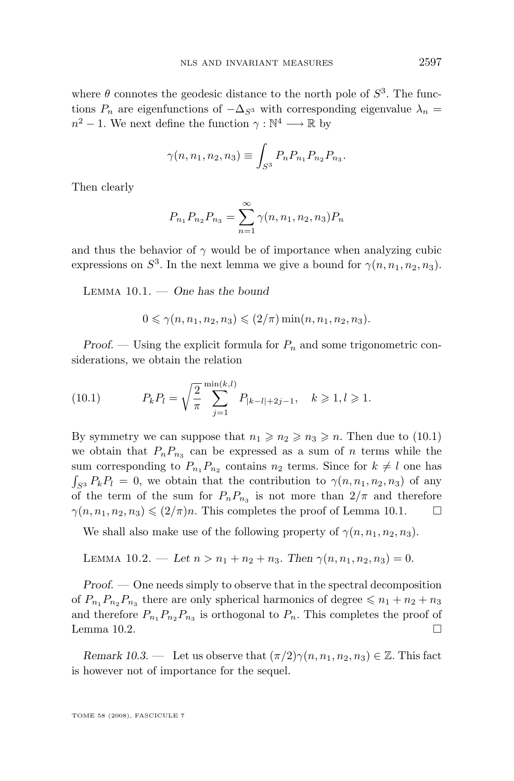<span id="page-55-0"></span>where  $\theta$  connotes the geodesic distance to the north pole of  $S^3$ . The functions  $P_n$  are eigenfunctions of  $-\Delta_{S^3}$  with corresponding eigenvalue  $\lambda_n =$  $n^2 - 1$ . We next define the function  $\gamma : \mathbb{N}^4 \longrightarrow \mathbb{R}$  by

$$
\gamma(n, n_1, n_2, n_3) \equiv \int_{S^3} P_n P_{n_1} P_{n_2} P_{n_3}.
$$

Then clearly

$$
P_{n_1}P_{n_2}P_{n_3} = \sum_{n=1}^{\infty} \gamma(n, n_1, n_2, n_3)P_n
$$

and thus the behavior of  $\gamma$  would be of importance when analyzing cubic expressions on  $S^3$ . In the next lemma we give a bound for  $\gamma(n, n_1, n_2, n_3)$ .

Lemma 10.1. — *One has the bound*

$$
0 \leq \gamma(n, n_1, n_2, n_3) \leq (2/\pi) \min(n, n_1, n_2, n_3).
$$

*Proof.* — Using the explicit formula for  $P_n$  and some trigonometric considerations, we obtain the relation

(10.1) 
$$
P_k P_l = \sqrt{\frac{2}{\pi}} \sum_{j=1}^{\min(k,l)} P_{|k-l|+2j-1}, \quad k \geq 1, l \geq 1.
$$

By symmetry we can suppose that  $n_1 \geqslant n_2 \geqslant n_3 \geqslant n$ . Then due to (10.1) we obtain that  $P_nP_{n_3}$  can be expressed as a sum of n terms while the sum corresponding to  $P_{n_1}P_{n_2}$  contains  $n_2$  terms. Since for  $k \neq l$  one has  $\int_{S^3} P_k P_l = 0$ , we obtain that the contribution to  $\gamma(n, n_1, n_2, n_3)$  of any of the term of the sum for  $P_nP_{n_3}$  is not more than  $2/\pi$  and therefore  $\gamma(n, n_1, n_2, n_3) \leqslant (2/\pi)n$ . This completes the proof of Lemma 10.1.  $\Box$ 

We shall also make use of the following property of  $\gamma(n, n_1, n_2, n_3)$ .

LEMMA 10.2. — Let 
$$
n > n_1 + n_2 + n_3
$$
. Then  $\gamma(n, n_1, n_2, n_3) = 0$ .

*Proof. —* One needs simply to observe that in the spectral decomposition of  $P_{n_1}P_{n_2}P_{n_3}$  there are only spherical harmonics of degree  $\leq n_1 + n_2 + n_3$ and therefore  $P_{n_1}P_{n_2}P_{n_3}$  is orthogonal to  $P_n$ . This completes the proof of Lemma 10.2.  $\Box$ 

*Remark 10.3.* — Let us observe that  $(\pi/2)\gamma(n, n_1, n_2, n_3) \in \mathbb{Z}$ . This fact is however not of importance for the sequel.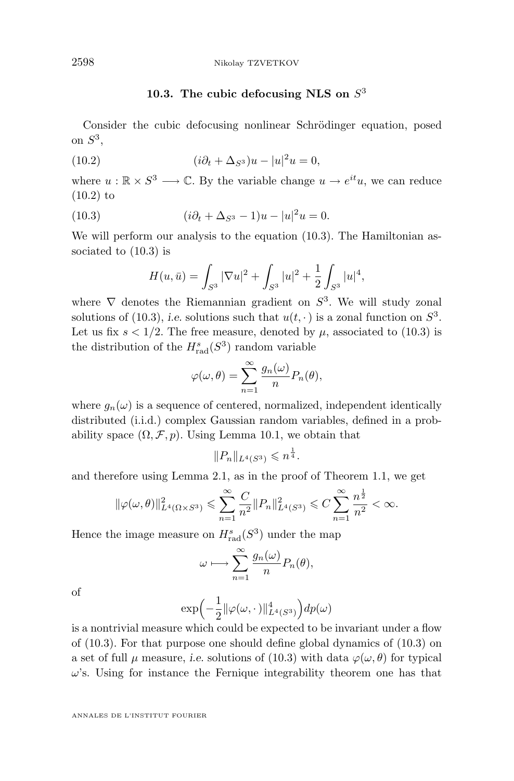## **10.3. The cubic defocusing NLS on** S 3

<span id="page-56-0"></span>Consider the cubic defocusing nonlinear Schrödinger equation, posed on  $S^3$ ,

(10.2) 
$$
(i\partial_t + \Delta_{S^3})u - |u|^2 u = 0,
$$

where  $u : \mathbb{R} \times S^3 \longrightarrow \mathbb{C}$ . By the variable change  $u \to e^{it}u$ , we can reduce (10.2) to

(10.3) 
$$
(i\partial_t + \Delta_{S^3} - 1)u - |u|^2 u = 0.
$$

We will perform our analysis to the equation  $(10.3)$ . The Hamiltonian associated to (10.3) is

$$
H(u, \bar{u}) = \int_{S^3} |\nabla u|^2 + \int_{S^3} |u|^2 + \frac{1}{2} \int_{S^3} |u|^4,
$$

where  $\nabla$  denotes the Riemannian gradient on  $S^3$ . We will study zonal solutions of (10.3), *i.e.* solutions such that  $u(t, \cdot)$  is a zonal function on  $S^3$ . Let us fix  $s < 1/2$ . The free measure, denoted by  $\mu$ , associated to (10.3) is the distribution of the  $H_{\text{rad}}^s(S^3)$  random variable

$$
\varphi(\omega,\theta) = \sum_{n=1}^{\infty} \frac{g_n(\omega)}{n} P_n(\theta),
$$

where  $g_n(\omega)$  is a sequence of centered, normalized, independent identically distributed (i.i.d.) complex Gaussian random variables, defined in a probability space  $(\Omega, \mathcal{F}, p)$ . Using Lemma [10.1,](#page-55-0) we obtain that

$$
||P_n||_{L^4(S^3)} \leqslant n^{\frac{1}{4}}.
$$

and therefore using Lemma [2.1,](#page-11-0) as in the proof of Theorem [1.1,](#page-6-0) we get

$$
\|\varphi(\omega,\theta)\|_{L^4(\Omega\times S^3)}^2 \leq \sum_{n=1}^{\infty} \frac{C}{n^2} \|P_n\|_{L^4(S^3)}^2 \leq C \sum_{n=1}^{\infty} \frac{n^{\frac{1}{2}}}{n^2} < \infty.
$$

Hence the image measure on  $H_{\text{rad}}^s(S^3)$  under the map

$$
\omega \longmapsto \sum_{n=1}^{\infty} \frac{g_n(\omega)}{n} P_n(\theta),
$$

of

$$
\exp\Bigl(-\frac{1}{2}\|\varphi(\omega,\cdot\,)\|_{L^4(S^3)}^4\Bigr)dp(\omega)
$$

is a nontrivial measure which could be expected to be invariant under a flow of (10.3). For that purpose one should define global dynamics of (10.3) on a set of full  $\mu$  measure, *i.e.* solutions of (10.3) with data  $\varphi(\omega, \theta)$  for typical  $\omega$ 's. Using for instance the Fernique integrability theorem one has that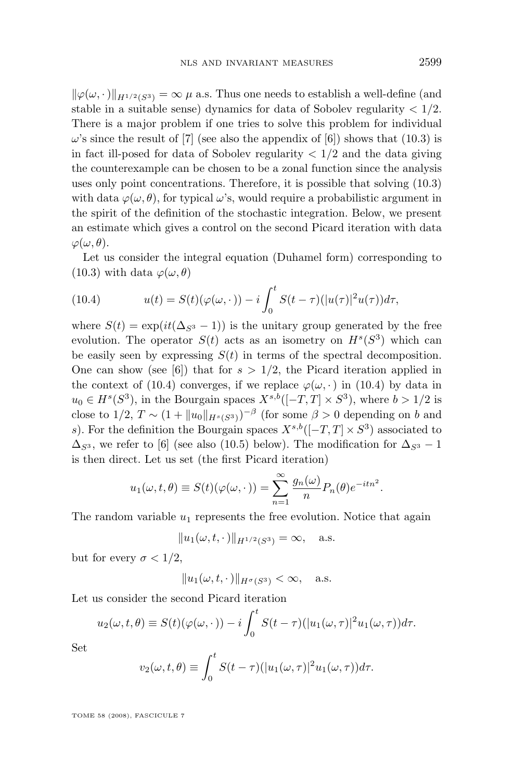<span id="page-57-0"></span> $\|\varphi(\omega, \cdot)\|_{H^{1/2}(S^3)} = \infty \mu$  a.s. Thus one needs to establish a well-define (and stable in a suitable sense) dynamics for data of Sobolev regularity  $\langle 1/2$ . There is a major problem if one tries to solve this problem for individual  $\omega$ 's since the result of [\[7\]](#page-62-0) (see also the appendix of [\[6\]](#page-62-0)) shows that [\(10.3\)](#page-56-0) is in fact ill-posed for data of Sobolev regularity  $\langle 1/2 \rangle$  and the data giving the counterexample can be chosen to be a zonal function since the analysis uses only point concentrations. Therefore, it is possible that solving [\(10.3\)](#page-56-0) with data  $\varphi(\omega, \theta)$ , for typical  $\omega$ 's, would require a probabilistic argument in the spirit of the definition of the stochastic integration. Below, we present an estimate which gives a control on the second Picard iteration with data  $\varphi(\omega,\theta).$ 

Let us consider the integral equation (Duhamel form) corresponding to [\(10.3\)](#page-56-0) with data  $\varphi(\omega, \theta)$ 

(10.4) 
$$
u(t) = S(t)(\varphi(\omega, \cdot)) - i \int_0^t S(t - \tau)(|u(\tau)|^2 u(\tau)) d\tau,
$$

where  $S(t) = \exp(it(\Delta_{S^3} - 1))$  is the unitary group generated by the free evolution. The operator  $S(t)$  acts as an isometry on  $H<sup>s</sup>(S<sup>3</sup>)$  which can be easily seen by expressing  $S(t)$  in terms of the spectral decomposition. One can show (see [\[6\]](#page-62-0)) that for  $s > 1/2$ , the Picard iteration applied in the context of (10.4) converges, if we replace  $\varphi(\omega, \cdot)$  in (10.4) by data in  $u_0 \in H^s(S^3)$ , in the Bourgain spaces  $X^{s,b}([-T,T] \times S^3)$ , where  $b > 1/2$  is close to  $1/2$ ,  $T \sim (1 + \|u_0\|_{H^s(S^3)})^{-\beta}$  (for some  $\beta > 0$  depending on b and s). For the definition the Bourgain spaces  $X^{s,b}([-T,T] \times S^3)$  associated to  $\Delta_{S^3}$ , we refer to [\[6\]](#page-62-0) (see also [\(10.5\)](#page-58-0) below). The modification for  $\Delta_{S^3}$  – 1 is then direct. Let us set (the first Picard iteration)

$$
u_1(\omega, t, \theta) \equiv S(t)(\varphi(\omega, \cdot)) = \sum_{n=1}^{\infty} \frac{g_n(\omega)}{n} P_n(\theta) e^{-itn^2}
$$

.

The random variable  $u_1$  represents the free evolution. Notice that again

$$
||u_1(\omega, t, \cdot)||_{H^{1/2}(S^3)} = \infty, \quad \text{a.s.}
$$

but for every  $\sigma < 1/2$ ,

$$
||u_1(\omega, t, \cdot)||_{H^{\sigma}(S^3)} < \infty, \quad \text{a.s.}
$$

Let us consider the second Picard iteration

$$
u_2(\omega, t, \theta) \equiv S(t)(\varphi(\omega, \cdot)) - i \int_0^t S(t - \tau) (|u_1(\omega, \tau)|^2 u_1(\omega, \tau)) d\tau.
$$

Set

$$
v_2(\omega, t, \theta) \equiv \int_0^t S(t-\tau) (|u_1(\omega, \tau)|^2 u_1(\omega, \tau)) d\tau.
$$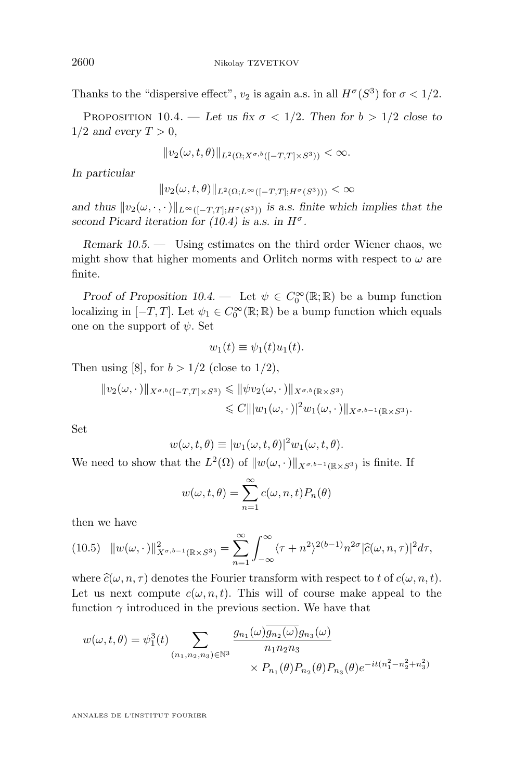Thanks to the "dispersive effect",  $v_2$  is again a.s. in all  $H^{\sigma}(S^3)$  for  $\sigma < 1/2$ .

PROPOSITION 10.4. — Let us fix  $\sigma < 1/2$ . Then for  $b > 1/2$  close to  $1/2$  *and every*  $T > 0$ ,

$$
||v_2(\omega, t, \theta)||_{L^2(\Omega; X^{\sigma, b}([-T, T] \times S^3))} < \infty.
$$

*In particular*

$$
||v_2(\omega, t, \theta)||_{L^2(\Omega; L^\infty([-T, T]; H^\sigma(S^3)))} < \infty
$$

*and thus*  $||v_2(\omega, \cdot, \cdot)||_{L^{\infty}([-T,T]; H^{\sigma}(S^3))}$  *is a.s. finite which implies that the* second Picard iteration for  $(10.4)$  is a.s. in  $H^{\sigma}$ .

*Remark 10.5. —* Using estimates on the third order Wiener chaos, we might show that higher moments and Orlitch norms with respect to  $\omega$  are finite.

*Proof of Proposition*  $10.4$  – Let  $\psi \in C_0^{\infty}(\mathbb{R}; \mathbb{R})$  be a bump function localizing in  $[-T, T]$ . Let  $\psi_1 \in C_0^{\infty}(\mathbb{R}; \mathbb{R})$  be a bump function which equals one on the support of  $\psi$ . Set

$$
w_1(t) \equiv \psi_1(t)u_1(t).
$$

Then using [\[8\]](#page-62-0), for  $b > 1/2$  (close to  $1/2$ ),

$$
||v_2(\omega,\cdot)||_{X^{\sigma,b}([-T,T]\times S^3)} \leq ||\psi v_2(\omega,\cdot)||_{X^{\sigma,b}(\mathbb{R}\times S^3)}
$$
  

$$
\leq C|||w_1(\omega,\cdot)|^2w_1(\omega,\cdot)||_{X^{\sigma,b-1}(\mathbb{R}\times S^3)}.
$$

Set

$$
w(\omega, t, \theta) \equiv |w_1(\omega, t, \theta)|^2 w_1(\omega, t, \theta).
$$

We need to show that the  $L^2(\Omega)$  of  $||w(\omega, \cdot)||_{X^{\sigma,b-1}(\mathbb{R}\times S^3)}$  is finite. If

$$
w(\omega, t, \theta) = \sum_{n=1}^{\infty} c(\omega, n, t) P_n(\theta)
$$

then we have

$$
(10.5) \quad ||w(\omega, \cdot)||_{X^{\sigma,b-1}(\mathbb{R}\times S^3)}^2 = \sum_{n=1}^{\infty} \int_{-\infty}^{\infty} \langle \tau + n^2 \rangle^{2(b-1)} n^{2\sigma} |\widehat{c}(\omega, n, \tau)|^2 d\tau,
$$

where  $\hat{c}(\omega, n, \tau)$  denotes the Fourier transform with respect to t of  $c(\omega, n, t)$ . Let us next compute  $c(\omega, n, t)$ . This will of course make appeal to the function  $\gamma$  introduced in the previous section. We have that

$$
w(\omega, t, \theta) = \psi_1^3(t) \sum_{(n_1, n_2, n_3) \in \mathbb{N}^3} \frac{g_{n_1}(\omega) \overline{g_{n_2}(\omega)} g_{n_3}(\omega)}{n_1 n_2 n_3} \times P_{n_1}(\theta) P_{n_2}(\theta) P_{n_3}(\theta) e^{-it(n_1^2 - n_2^2 + n_3^2)}
$$

<span id="page-58-0"></span>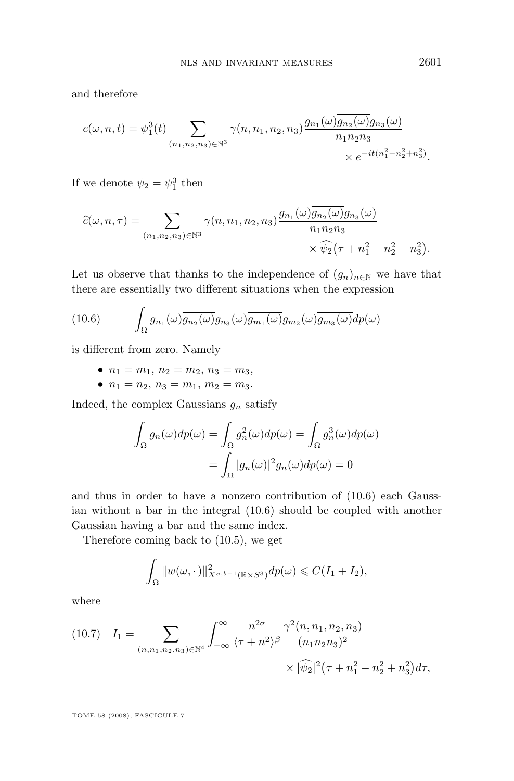<span id="page-59-0"></span>and therefore

$$
c(\omega, n, t) = \psi_1^3(t) \sum_{(n_1, n_2, n_3) \in \mathbb{N}^3} \gamma(n, n_1, n_2, n_3) \frac{g_{n_1}(\omega)g_{n_2}(\omega)g_{n_3}(\omega)}{n_1 n_2 n_3} \times e^{-it(n_1^2 - n_2^2 + n_3^2)}.
$$

If we denote  $\psi_2 = \psi_1^3$  then

$$
\widehat{c}(\omega, n, \tau) = \sum_{(n_1, n_2, n_3) \in \mathbb{N}^3} \gamma(n, n_1, n_2, n_3) \frac{g_{n_1}(\omega) \overline{g_{n_2}(\omega)} g_{n_3}(\omega)}{n_1 n_2 n_3} \times \widehat{\psi}_2(\tau + n_1^2 - n_2^2 + n_3^2).
$$

Let us observe that thanks to the independence of  $(g_n)_{n\in\mathbb{N}}$  we have that there are essentially two different situations when the expression

(10.6) 
$$
\int_{\Omega} g_{n_1}(\omega) \overline{g_{n_2}(\omega)} g_{n_3}(\omega) \overline{g_{m_1}(\omega)} g_{m_2}(\omega) \overline{g_{m_3}(\omega)} dp(\omega)
$$

is different from zero. Namely

- $n_1 = m_1, n_2 = m_2, n_3 = m_3,$
- $n_1 = n_2, n_3 = m_1, m_2 = m_3.$

Indeed, the complex Gaussians  $g_n$  satisfy

$$
\int_{\Omega} g_n(\omega) dp(\omega) = \int_{\Omega} g_n^2(\omega) dp(\omega) = \int_{\Omega} g_n^3(\omega) dp(\omega)
$$

$$
= \int_{\Omega} |g_n(\omega)|^2 g_n(\omega) dp(\omega) = 0
$$

and thus in order to have a nonzero contribution of (10.6) each Gaussian without a bar in the integral (10.6) should be coupled with another Gaussian having a bar and the same index.

Therefore coming back to [\(10.5\)](#page-58-0), we get

$$
\int_{\Omega} ||w(\omega, \cdot)||_{X^{\sigma,b-1}(\mathbb{R}\times S^3)}^2 dp(\omega) \leqslant C(I_1 + I_2),
$$

where

$$
(10.7) \quad I_1 = \sum_{(n,n_1,n_2,n_3)\in\mathbb{N}^4} \int_{-\infty}^{\infty} \frac{n^{2\sigma}}{\langle \tau + n^2 \rangle^{\beta}} \frac{\gamma^2(n,n_1,n_2,n_3)}{(n_1 n_2 n_3)^2} \times |\widehat{\psi}_2|^2 (\tau + n_1^2 - n_2^2 + n_3^2) d\tau,
$$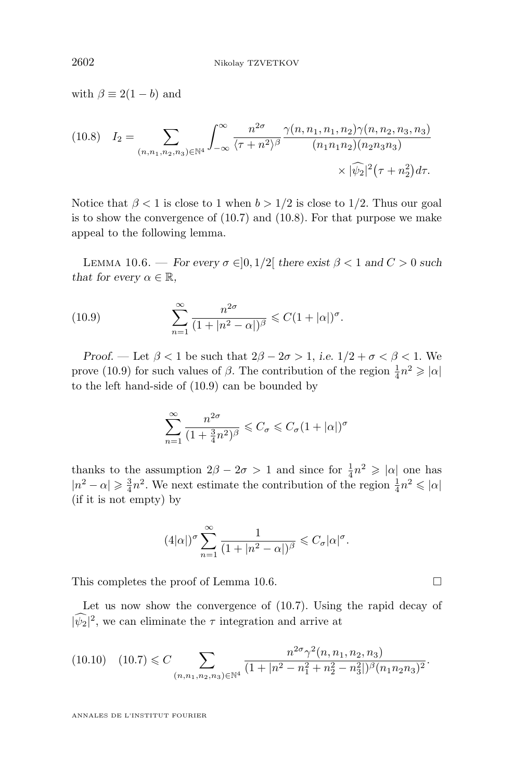<span id="page-60-0"></span>with  $\beta \equiv 2(1-b)$  and

$$
(10.8) \quad I_2 = \sum_{(n,n_1,n_2,n_3)\in\mathbb{N}^4} \int_{-\infty}^{\infty} \frac{n^{2\sigma}}{\langle \tau + n^2 \rangle^{\beta}} \frac{\gamma(n,n_1,n_1,n_2)\gamma(n,n_2,n_3,n_3)}{(n_1n_1n_2)(n_2n_3n_3)} \times |\widehat{\psi}_2|^2(\tau + n_2^2)d\tau.
$$

Notice that  $\beta < 1$  is close to 1 when  $b > 1/2$  is close to 1/2. Thus our goal is to show the convergence of [\(10.7\)](#page-59-0) and (10.8). For that purpose we make appeal to the following lemma.

LEMMA 10.6. — *For every*  $\sigma \in ]0, 1/2[$  *there exist*  $\beta < 1$  *and*  $C > 0$  *such that for every*  $\alpha \in \mathbb{R}$ *,* 

(10.9) 
$$
\sum_{n=1}^{\infty} \frac{n^{2\sigma}}{(1+|n^2-\alpha|)^{\beta}} \leq C(1+|\alpha|)^{\sigma}.
$$

*Proof.* — Let  $\beta < 1$  be such that  $2\beta - 2\sigma > 1$ , *i.e.*  $1/2 + \sigma < \beta < 1$ . We prove (10.9) for such values of  $\beta$ . The contribution of the region  $\frac{1}{4}n^2 \geqslant |\alpha|$ to the left hand-side of (10.9) can be bounded by

$$
\sum_{n=1}^{\infty} \frac{n^{2\sigma}}{(1 + \frac{3}{4}n^2)^{\beta}} \leq C_{\sigma} \leq C_{\sigma} (1 + |\alpha|)^{\sigma}
$$

thanks to the assumption  $2\beta - 2\sigma > 1$  and since for  $\frac{1}{4}n^2 \geq |\alpha|$  one has  $|n^2 - \alpha| \geq \frac{3}{4}n^2$ . We next estimate the contribution of the region  $\frac{1}{4}n^2 \leq \vert \alpha \vert$ (if it is not empty) by

$$
(4|\alpha|)^{\sigma} \sum_{n=1}^{\infty} \frac{1}{(1+|n^2-\alpha|)^{\beta}} \leq C_{\sigma} |\alpha|^{\sigma}.
$$

This completes the proof of Lemma 10.6.

Let us now show the convergence of [\(10.7\)](#page-59-0). Using the rapid decay of  $|\psi_2|^2$ , we can eliminate the  $\tau$  integration and arrive at

$$
(10.10) \quad (10.7) \leq C \sum_{(n,n_1,n_2,n_3)\in\mathbb{N}^4} \frac{n^{2\sigma} \gamma^2(n,n_1,n_2,n_3)}{(1+|n^2-n_1^2+n_2^2-n_3^2|)^{\beta}(n_1n_2n_3)^2}.
$$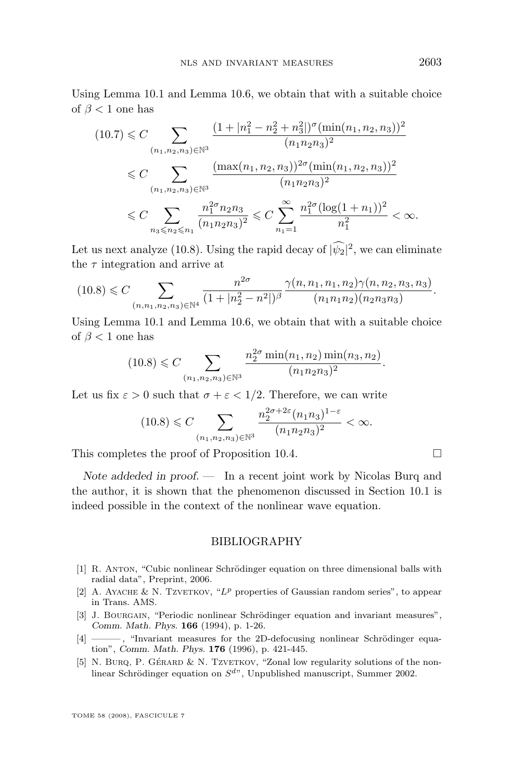<span id="page-61-0"></span>Using Lemma [10.1](#page-55-0) and Lemma [10.6,](#page-60-0) we obtain that with a suitable choice of  $\beta$  < 1 one has

$$
(10.7) \leq C \sum_{(n_1, n_2, n_3) \in \mathbb{N}^3} \frac{(1 + |n_1^2 - n_2^2 + n_3^2|)^{\sigma} (\min(n_1, n_2, n_3))^2}{(n_1 n_2 n_3)^2}
$$
  

$$
\leq C \sum_{(n_1, n_2, n_3) \in \mathbb{N}^3} \frac{(\max(n_1, n_2, n_3))^{2\sigma} (\min(n_1, n_2, n_3))^2}{(n_1 n_2 n_3)^2}
$$
  

$$
\leq C \sum_{n_3 \leq n_2 \leq n_1} \frac{n_1^{2\sigma} n_2 n_3}{(n_1 n_2 n_3)^2} \leq C \sum_{n_1=1}^{\infty} \frac{n_1^{2\sigma} (\log(1 + n_1))^2}{n_1^2} < \infty.
$$

Let us next analyze [\(10.8\)](#page-60-0). Using the rapid decay of  $|\psi_2|^2$ , we can eliminate the  $\tau$  integration and arrive at

$$
(10.8) \leq C \sum_{(n,n_1,n_2,n_3)\in \mathbb{N}^4} \frac{n^{2\sigma}}{(1+|n_2^2-n^2|)^{\beta}} \frac{\gamma(n,n_1,n_1,n_2)\gamma(n,n_2,n_3,n_3)}{(n_1n_1n_2)(n_2n_3n_3)}.
$$

Using Lemma [10.1](#page-55-0) and Lemma [10.6,](#page-60-0) we obtain that with a suitable choice of  $\beta$  < 1 one has

$$
(10.8) \leq C \sum_{(n_1, n_2, n_3) \in \mathbb{N}^3} \frac{n_2^{2\sigma} \min(n_1, n_2) \min(n_3, n_2)}{(n_1 n_2 n_3)^2}.
$$

Let us fix  $\varepsilon > 0$  such that  $\sigma + \varepsilon < 1/2$ . Therefore, we can write

$$
(10.8) \leq C \sum_{(n_1, n_2, n_3) \in \mathbb{N}^3} \frac{n_2^{2\sigma + 2\varepsilon} (n_1 n_3)^{1-\varepsilon}}{(n_1 n_2 n_3)^2} < \infty.
$$

This completes the proof of Proposition [10.4.](#page-58-0)  $\Box$ 

*Note addeded in proof. —* In a recent joint work by Nicolas Burq and the author, it is shown that the phenomenon discussed in Section 10.1 is indeed possible in the context of the nonlinear wave equation.

## BIBLIOGRAPHY

- [1] R. Anton, "Cubic nonlinear Schrödinger equation on three dimensional balls with radial data", Preprint, 2006.
- [2] A. AYACHE & N. TZVETKOV, "L<sup>p</sup> properties of Gaussian random series", to appear in Trans. AMS.
- [3] J. BOURGAIN, "Periodic nonlinear Schrödinger equation and invariant measures", *Comm. Math. Phys.* **166** (1994), p. 1-26.
- [4] ——— , "Invariant measures for the 2D-defocusing nonlinear Schrödinger equation", *Comm. Math. Phys.* **176** (1996), p. 421-445.
- [5] N. BURQ, P. GÉRARD & N. TZVETKOV, "Zonal low regularity solutions of the nonlinear Schrödinger equation on  $S^{d}$ , Unpublished manuscript, Summer 2002.